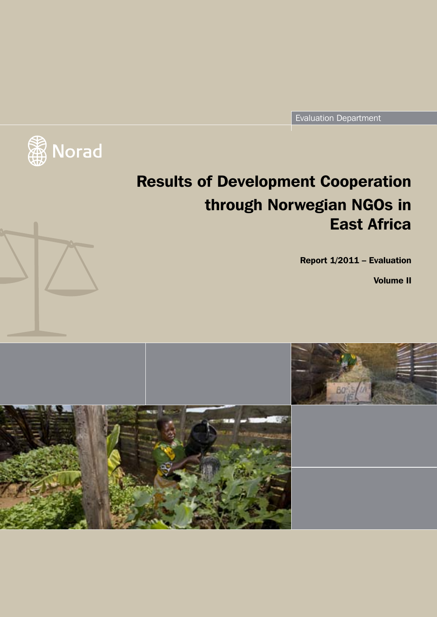Evaluation Department



# Results of Development Cooperation through Norwegian NGOs in East Africa

Report 1/2011 – Evaluation

Volume II

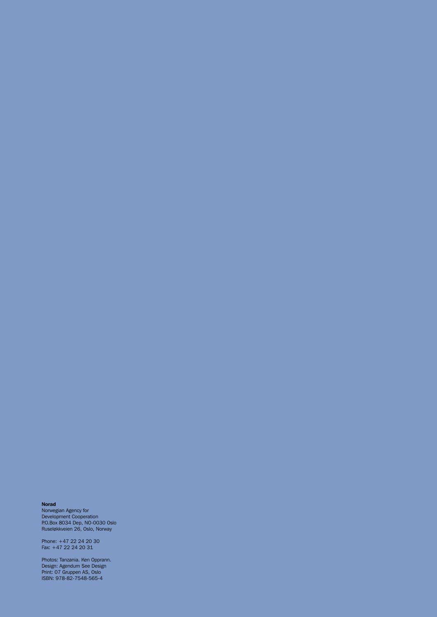#### Norad

Norwegian Agency for Development Cooperation P.O.Box 8034 Dep, NO-0030 Oslo Ruseløkkveien 26, Oslo, Norway

Phone: +47 22 24 20 30 Fax: +47 22 24 20 31

Photos: Tanzania. Ken Opprann. Design: Agendum See Design Print: 07 Gruppen AS, Oslo ISBN: 978-82-7548-565-4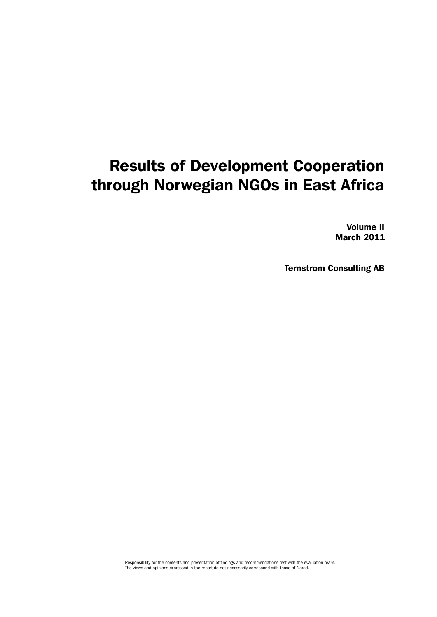## Results of Development Cooperation through Norwegian NGOs in East Africa

Volume II March 2011

Ternstrom Consulting AB

Responsibility for the contents and presentation of findings and recommendations rest with the evaluation team. The views and opinions expressed in the report do not necessarily correspond with those of Norad.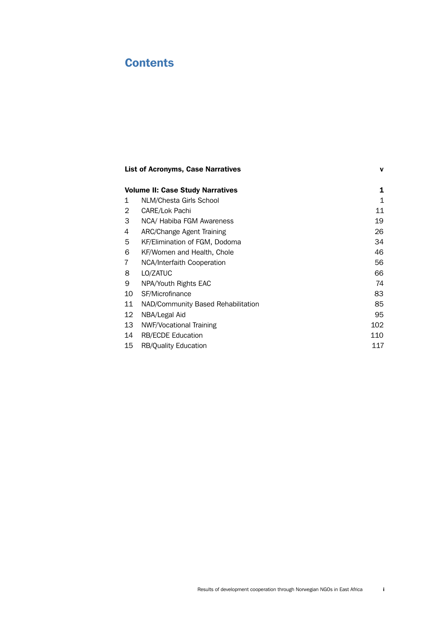### **Contents**

| <b>List of Acronyms, Case Narratives</b>     |                                    | $\mathbf v$ |
|----------------------------------------------|------------------------------------|-------------|
| <b>Volume II: Case Study Narratives</b><br>1 |                                    |             |
| 1                                            | NLM/Chesta Girls School            | 1           |
| $\overline{2}$                               | CARE/Lok Pachi                     | 11          |
| 3                                            | NCA/ Habiba FGM Awareness          | 19          |
| 4                                            | ARC/Change Agent Training          | 26          |
| 5                                            | KF/Elimination of FGM, Dodoma      | 34          |
| 6                                            | KF/Women and Health, Chole         | 46          |
| 7                                            | NCA/Interfaith Cooperation         | 56          |
| 8                                            | LO/ZATUC                           | 66          |
| 9                                            | NPA/Youth Rights EAC               | 74          |
| 10                                           | SF/Microfinance                    | 83          |
| 11                                           | NAD/Community Based Rehabilitation | 85          |
| 12                                           | NBA/Legal Aid                      | 95          |
| 13                                           | NWF/Vocational Training            | 102         |
| 14                                           | <b>RB/ECDE Education</b>           | 110         |
| 15                                           | <b>RB/Quality Education</b>        | 117         |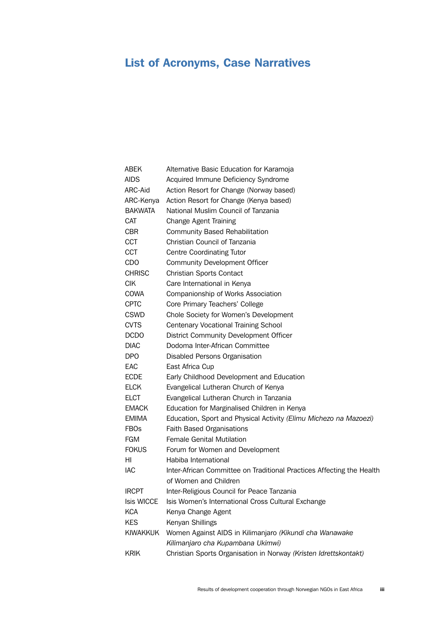## <span id="page-6-0"></span>List of Acronyms, Case Narratives

| ABEK            | Alternative Basic Education for Karamoja                              |
|-----------------|-----------------------------------------------------------------------|
| <b>AIDS</b>     | Acquired Immune Deficiency Syndrome                                   |
| ARC-Aid         | Action Resort for Change (Norway based)                               |
| ARC-Kenya       | Action Resort for Change (Kenya based)                                |
| <b>BAKWATA</b>  | National Muslim Council of Tanzania                                   |
| <b>CAT</b>      | <b>Change Agent Training</b>                                          |
| <b>CBR</b>      | <b>Community Based Rehabilitation</b>                                 |
| CCT             | Christian Council of Tanzania                                         |
| <b>CCT</b>      | <b>Centre Coordinating Tutor</b>                                      |
| <b>CDO</b>      | <b>Community Development Officer</b>                                  |
| <b>CHRISC</b>   | Christian Sports Contact                                              |
| <b>CIK</b>      | Care International in Kenya                                           |
| COWA            | Companionship of Works Association                                    |
| <b>CPTC</b>     | Core Primary Teachers' College                                        |
| <b>CSWD</b>     | Chole Society for Women's Development                                 |
| <b>CVTS</b>     | <b>Centenary Vocational Training School</b>                           |
| <b>DCDO</b>     | District Community Development Officer                                |
| <b>DIAC</b>     | Dodoma Inter-African Committee                                        |
| <b>DPO</b>      | Disabled Persons Organisation                                         |
| EAC             | East Africa Cup                                                       |
| <b>ECDE</b>     | Early Childhood Development and Education                             |
| <b>ELCK</b>     | Evangelical Lutheran Church of Kenya                                  |
| <b>ELCT</b>     | Evangelical Lutheran Church in Tanzania                               |
| <b>EMACK</b>    | Education for Marginalised Children in Kenya                          |
| <b>EMIMA</b>    | Education, Sport and Physical Activity (Elimu Michezo na Mazoezi)     |
| <b>FBOs</b>     | <b>Faith Based Organisations</b>                                      |
| <b>FGM</b>      | <b>Female Genital Mutilation</b>                                      |
| <b>FOKUS</b>    | Forum for Women and Development                                       |
| ΗI              | Habiba International                                                  |
| IAC             | Inter-African Committee on Traditional Practices Affecting the Health |
|                 | of Women and Children                                                 |
| <b>IRCPT</b>    | Inter-Religious Council for Peace Tanzania                            |
| Isis WICCE      | Isis Women's International Cross Cultural Exchange                    |
| <b>KCA</b>      | Kenya Change Agent                                                    |
| <b>KES</b>      | Kenyan Shillings                                                      |
| <b>KIWAKKUK</b> | Women Against AIDS in Kilimanjaro (Kikundi cha Wanawake               |
|                 | Kilimanjaro cha Kupambana Ukimwi)                                     |
| <b>KRIK</b>     | Christian Sports Organisation in Norway (Kristen Idrettskontakt)      |
|                 |                                                                       |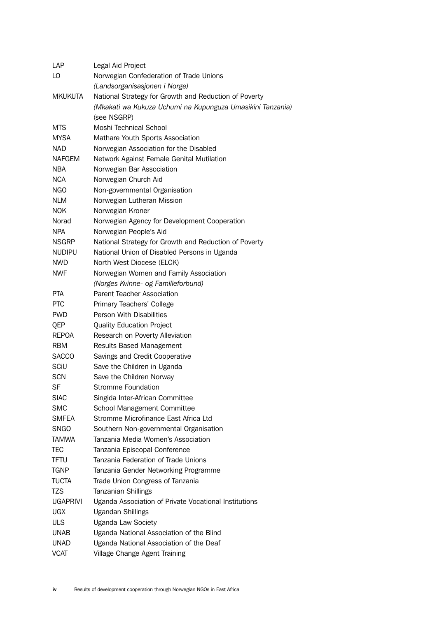| LAP             | Legal Aid Project                                          |
|-----------------|------------------------------------------------------------|
| LO              | Norwegian Confederation of Trade Unions                    |
|                 | (Landsorganisasjonen i Norge)                              |
| <b>MKUKUTA</b>  | National Strategy for Growth and Reduction of Poverty      |
|                 | (Mkakati wa Kukuza Uchumi na Kupunguza Umasikini Tanzania) |
|                 | (see NSGRP)                                                |
| <b>MTS</b>      | Moshi Technical School                                     |
| <b>MYSA</b>     | Mathare Youth Sports Association                           |
| NAD             | Norwegian Association for the Disabled                     |
| <b>NAFGEM</b>   | Network Against Female Genital Mutilation                  |
| <b>NBA</b>      | Norwegian Bar Association                                  |
| <b>NCA</b>      | Norwegian Church Aid                                       |
| NGO             | Non-governmental Organisation                              |
| <b>NLM</b>      | Norwegian Lutheran Mission                                 |
| <b>NOK</b>      | Norwegian Kroner                                           |
| Norad           | Norwegian Agency for Development Cooperation               |
| <b>NPA</b>      | Norwegian People's Aid                                     |
| <b>NSGRP</b>    | National Strategy for Growth and Reduction of Poverty      |
| <b>NUDIPU</b>   | National Union of Disabled Persons in Uganda               |
| <b>NWD</b>      | North West Diocese (ELCK)                                  |
| <b>NWF</b>      | Norwegian Women and Family Association                     |
|                 | (Norges Kvinne- og Familieforbund)                         |
| <b>PTA</b>      | <b>Parent Teacher Association</b>                          |
| <b>PTC</b>      | Primary Teachers' College                                  |
| <b>PWD</b>      | Person With Disabilities                                   |
|                 |                                                            |
| QEP             | <b>Quality Education Project</b>                           |
| <b>REPOA</b>    | Research on Poverty Alleviation                            |
| <b>RBM</b>      | <b>Results Based Management</b>                            |
| <b>SACCO</b>    | Savings and Credit Cooperative                             |
| SCiU            | Save the Children in Uganda                                |
| <b>SCN</b>      | Save the Children Norway                                   |
| SF              | <b>Stromme Foundation</b>                                  |
| <b>SIAC</b>     | Singida Inter-African Committee                            |
| <b>SMC</b>      | School Management Committee                                |
| <b>SMFEA</b>    | Stromme Microfinance East Africa Ltd                       |
| <b>SNGO</b>     | Southern Non-governmental Organisation                     |
| <b>TAMWA</b>    | Tanzania Media Women's Association                         |
| TEC             | Tanzania Episcopal Conference                              |
| <b>TFTU</b>     | Tanzania Federation of Trade Unions                        |
| <b>TGNP</b>     | Tanzania Gender Networking Programme                       |
| <b>TUCTA</b>    | Trade Union Congress of Tanzania                           |
| <b>TZS</b>      | <b>Tanzanian Shillings</b>                                 |
| <b>UGAPRIVI</b> | Uganda Association of Private Vocational Institutions      |
| <b>UGX</b>      | <b>Ugandan Shillings</b>                                   |
| <b>ULS</b>      | <b>Uganda Law Society</b>                                  |
| <b>UNAB</b>     | Uganda National Association of the Blind                   |
| <b>UNAD</b>     | Uganda National Association of the Deaf                    |
| <b>VCAT</b>     | Village Change Agent Training                              |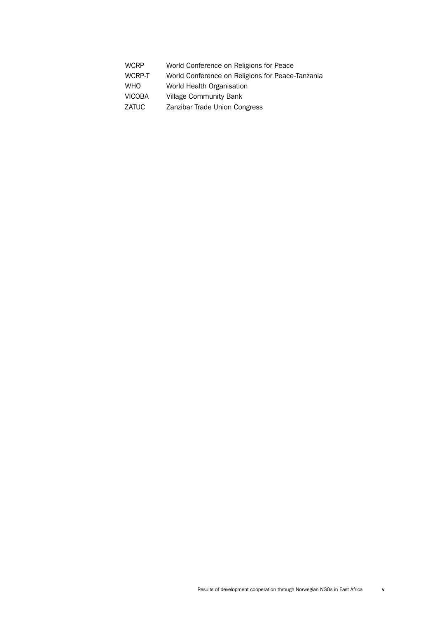| <b>WCRP</b> | World Conference on Religions for Peace          |
|-------------|--------------------------------------------------|
| WCRP-T      | World Conference on Religions for Peace-Tanzania |
| WHO         | World Health Organisation                        |
| VICOBA      | <b>Village Community Bank</b>                    |
| ZATUC       | Zanzibar Trade Union Congress                    |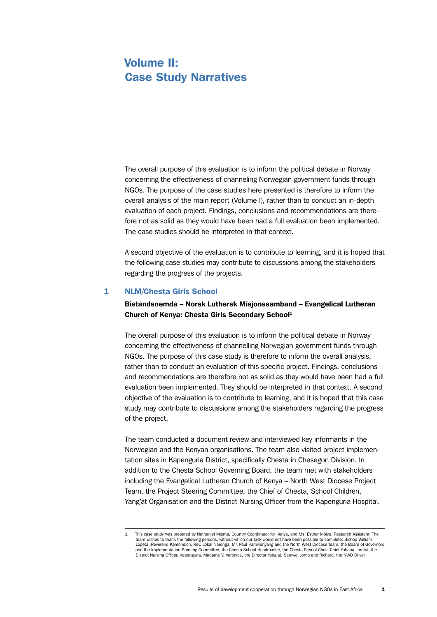### <span id="page-10-0"></span>Volume II: Case Study Narratives

The overall purpose of this evaluation is to inform the political debate in Norway concerning the effectiveness of channeling Norwegian government funds through NGOs. The purpose of the case studies here presented is therefore to inform the overall analysis of the main report (Volume I), rather than to conduct an in-depth evaluation of each project. Findings, conclusions and recommendations are therefore not as solid as they would have been had a full evaluation been implemented. The case studies should be interpreted in that context.

A second objective of the evaluation is to contribute to learning, and it is hoped that the following case studies may contribute to discussions among the stakeholders regarding the progress of the projects.

#### 1 NLM/Chesta Girls School

#### Bistandsnemda – Norsk Luthersk Misjonssamband – Evangelical Lutheran Church of Kenya: Chesta Girls Secondary School<sup>1</sup>

The overall purpose of this evaluation is to inform the political debate in Norway concerning the effectiveness of channelling Norwegian government funds through NGOs. The purpose of this case study is therefore to inform the overall analysis, rather than to conduct an evaluation of this specific project. Findings, conclusions and recommendations are therefore not as solid as they would have been had a full evaluation been implemented. They should be interpreted in that context. A second objective of the evaluation is to contribute to learning, and it is hoped that this case study may contribute to discussions among the stakeholders regarding the progress of the project.

The team conducted a document review and interviewed key informants in the Norwegian and the Kenyan organisations. The team also visited project implementation sites in Kapenguria District, specifically Chesta in Chesegon Division. In addition to the Chesta School Governing Board, the team met with stakeholders including the Evangelical Lutheran Church of Kenya – North West Diocese Project Team, the Project Steering Committee, the Chief of Chesta, School Children, Yang'at Organisation and the District Nursing Officer from the Kapenguria Hospital.

<sup>1</sup> This case study was prepared by Nathaniel Mjema, Country Coordinator for Kenya, and Ms. Esther Mbiyu, Research Assistant. The team wishes to thank the following persons, without which our task would not have been possible to complete: Bishop William Lopeta, Reverend Kamondich, Rev. Lokal Naronga, Mr. Paul Karriwonyang and the North West Diocese team, the Board of Governors and the Implementation Steering Committee, the Chesta School Headmaster, the Chesta School Choir, Chief Yohana Loretai, the District Nursing Officer, Kapenguria, Madame V. Veronica, the Director Yang'at, Samwel Jomo and Richard, the NWD Driver.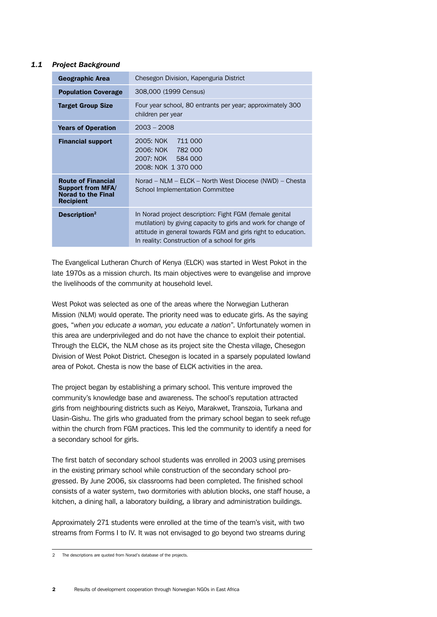#### *1.1 Project Background*

| <b>Geographic Area</b>                                                                                 | Chesegon Division, Kapenguria District                                                                                                                                                                                                       |  |
|--------------------------------------------------------------------------------------------------------|----------------------------------------------------------------------------------------------------------------------------------------------------------------------------------------------------------------------------------------------|--|
| <b>Population Coverage</b>                                                                             | 308,000 (1999 Census)                                                                                                                                                                                                                        |  |
| <b>Target Group Size</b>                                                                               | Four year school, 80 entrants per year; approximately 300<br>children per year                                                                                                                                                               |  |
| <b>Years of Operation</b>                                                                              | $2003 - 2008$                                                                                                                                                                                                                                |  |
| <b>Financial support</b>                                                                               | 2005: NOK<br>711 000<br>2006: NOK<br>782 000<br>2007: NOK 584 000<br>2008: NOK 1 370 000                                                                                                                                                     |  |
| <b>Route of Financial</b><br><b>Support from MFA/</b><br><b>Norad to the Final</b><br><b>Recipient</b> | Norad – NLM – ELCK – North West Diocese (NWD) – Chesta<br>School Implementation Committee                                                                                                                                                    |  |
| Description <sup>2</sup>                                                                               | In Norad project description: Fight FGM (female genital<br>mutilation) by giving capacity to girls and work for change of<br>attitude in general towards FGM and girls right to education.<br>In reality: Construction of a school for girls |  |

The Evangelical Lutheran Church of Kenya (ELCK) was started in West Pokot in the late 1970s as a mission church. Its main objectives were to evangelise and improve the livelihoods of the community at household level.

West Pokot was selected as one of the areas where the Norwegian Lutheran Mission (NLM) would operate. The priority need was to educate girls. As the saying goes, "*when you educate a woman, you educate a nation*". Unfortunately women in this area are underprivileged and do not have the chance to exploit their potential. Through the ELCK, the NLM chose as its project site the Chesta village, Chesegon Division of West Pokot District. Chesegon is located in a sparsely populated lowland area of Pokot. Chesta is now the base of ELCK activities in the area.

The project began by establishing a primary school. This venture improved the community's knowledge base and awareness. The school's reputation attracted girls from neighbouring districts such as Keiyo, Marakwet, Transzoia, Turkana and Uasin-Gishu. The girls who graduated from the primary school began to seek refuge within the church from FGM practices. This led the community to identify a need for a secondary school for girls.

The first batch of secondary school students was enrolled in 2003 using premises in the existing primary school while construction of the secondary school progressed. By June 2006, six classrooms had been completed. The finished school consists of a water system, two dormitories with ablution blocks, one staff house, a kitchen, a dining hall, a laboratory building, a library and administration buildings.

Approximately 271 students were enrolled at the time of the team's visit, with two streams from Forms I to IV. It was not envisaged to go beyond two streams during

<sup>2</sup> The descriptions are quoted from Norad's database of the projects.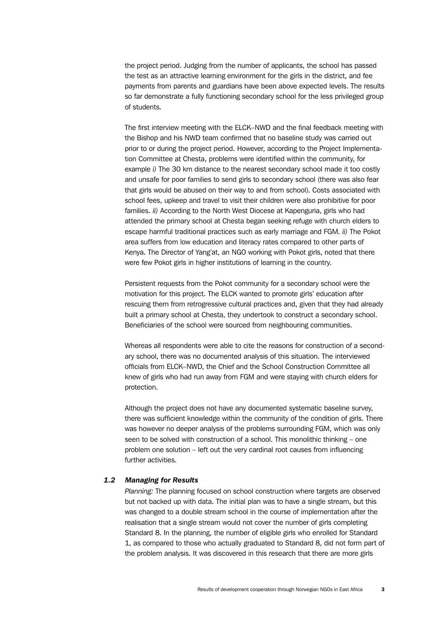the project period. Judging from the number of applicants, the school has passed the test as an attractive learning environment for the girls in the district, and fee payments from parents and guardians have been above expected levels. The results so far demonstrate a fully functioning secondary school for the less privileged group of students.

The first interview meeting with the ELCK–NWD and the final feedback meeting with the Bishop and his NWD team confirmed that no baseline study was carried out prior to or during the project period. However, according to the Project Implementation Committee at Chesta, problems were identified within the community, for example *i)* The 30 km distance to the nearest secondary school made it too costly and unsafe for poor families to send girls to secondary school (there was also fear that girls would be abused on their way to and from school). Costs associated with school fees, upkeep and travel to visit their children were also prohibitive for poor families. *ii)* According to the North West Diocese at Kapenguria, girls who had attended the primary school at Chesta began seeking refuge with church elders to escape harmful traditional practices such as early marriage and FGM. *ii)* The Pokot area suffers from low education and literacy rates compared to other parts of Kenya. The Director of Yang'at, an NGO working with Pokot girls, noted that there were few Pokot girls in higher institutions of learning in the country.

Persistent requests from the Pokot community for a secondary school were the motivation for this project. The ELCK wanted to promote girls' education after rescuing them from retrogressive cultural practices and, given that they had already built a primary school at Chesta, they undertook to construct a secondary school. Beneficiaries of the school were sourced from neighbouring communities.

Whereas all respondents were able to cite the reasons for construction of a secondary school, there was no documented analysis of this situation. The interviewed officials from ELCK–NWD, the Chief and the School Construction Committee all knew of girls who had run away from FGM and were staying with church elders for protection.

Although the project does not have any documented systematic baseline survey, there was sufficient knowledge within the community of the condition of girls. There was however no deeper analysis of the problems surrounding FGM, which was only seen to be solved with construction of a school. This monolithic thinking – one problem one solution – left out the very cardinal root causes from influencing further activities.

#### *1.2 Managing for Results*

*Planning:* The planning focused on school construction where targets are observed but not backed up with data. The initial plan was to have a single stream, but this was changed to a double stream school in the course of implementation after the realisation that a single stream would not cover the number of girls completing Standard 8. In the planning, the number of eligible girls who enrolled for Standard 1, as compared to those who actually graduated to Standard 8, did not form part of the problem analysis. It was discovered in this research that there are more girls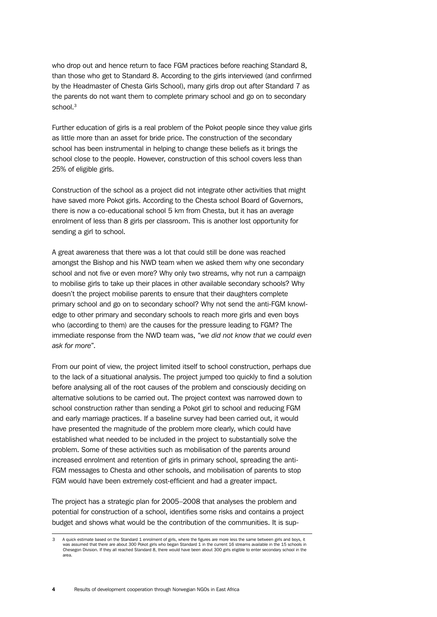who drop out and hence return to face FGM practices before reaching Standard 8, than those who get to Standard 8. According to the girls interviewed (and confirmed by the Headmaster of Chesta Girls School), many girls drop out after Standard 7 as the parents do not want them to complete primary school and go on to secondary school.<sup>3</sup>

Further education of girls is a real problem of the Pokot people since they value girls as little more than an asset for bride price. The construction of the secondary school has been instrumental in helping to change these beliefs as it brings the school close to the people. However, construction of this school covers less than 25% of eligible girls.

Construction of the school as a project did not integrate other activities that might have saved more Pokot girls. According to the Chesta school Board of Governors, there is now a co-educational school 5 km from Chesta, but it has an average enrolment of less than 8 girls per classroom. This is another lost opportunity for sending a girl to school.

A great awareness that there was a lot that could still be done was reached amongst the Bishop and his NWD team when we asked them why one secondary school and not five or even more? Why only two streams, why not run a campaign to mobilise girls to take up their places in other available secondary schools? Why doesn't the project mobilise parents to ensure that their daughters complete primary school and go on to secondary school? Why not send the anti-FGM knowledge to other primary and secondary schools to reach more girls and even boys who (according to them) are the causes for the pressure leading to FGM? The immediate response from the NWD team was, "*we did not know that we could even ask for more*".

From our point of view, the project limited itself to school construction, perhaps due to the lack of a situational analysis. The project jumped too quickly to find a solution before analysing all of the root causes of the problem and consciously deciding on alternative solutions to be carried out. The project context was narrowed down to school construction rather than sending a Pokot girl to school and reducing FGM and early marriage practices. If a baseline survey had been carried out, it would have presented the magnitude of the problem more clearly, which could have established what needed to be included in the project to substantially solve the problem. Some of these activities such as mobilisation of the parents around increased enrolment and retention of girls in primary school, spreading the anti-FGM messages to Chesta and other schools, and mobilisation of parents to stop FGM would have been extremely cost-efficient and had a greater impact.

The project has a strategic plan for 2005–2008 that analyses the problem and potential for construction of a school, identifies some risks and contains a project budget and shows what would be the contribution of the communities. It is sup-

<sup>3</sup> A quick estimate based on the Standard 1 enrolment of girls, where the figures are more less the same between girls and boys, it was assumed that there are about 300 Pokot girls who began Standard 1 in the current 16 streams available in the 15 schools in Chesegon Division. If they all reached Standard 8, there would have been about 300 girls eligible to enter secondary school in the area.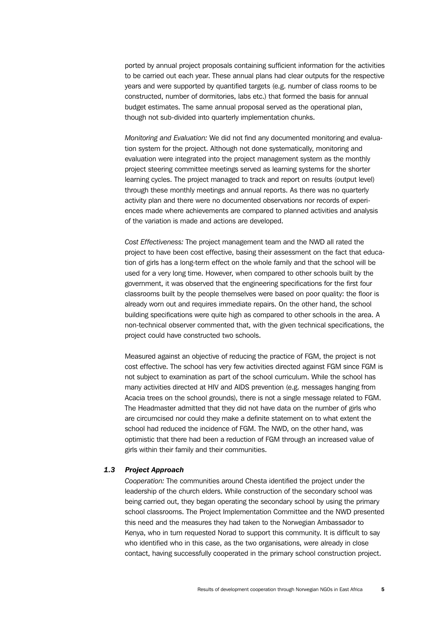ported by annual project proposals containing sufficient information for the activities to be carried out each year. These annual plans had clear outputs for the respective years and were supported by quantified targets (e.g. number of class rooms to be constructed, number of dormitories, labs etc.) that formed the basis for annual budget estimates. The same annual proposal served as the operational plan, though not sub-divided into quarterly implementation chunks.

*Monitoring and Evaluation:* We did not find any documented monitoring and evaluation system for the project. Although not done systematically, monitoring and evaluation were integrated into the project management system as the monthly project steering committee meetings served as learning systems for the shorter learning cycles. The project managed to track and report on results (output level) through these monthly meetings and annual reports. As there was no quarterly activity plan and there were no documented observations nor records of experiences made where achievements are compared to planned activities and analysis of the variation is made and actions are developed.

*Cost Effectiveness:* The project management team and the NWD all rated the project to have been cost effective, basing their assessment on the fact that education of girls has a long-term effect on the whole family and that the school will be used for a very long time. However, when compared to other schools built by the government, it was observed that the engineering specifications for the first four classrooms built by the people themselves were based on poor quality: the floor is already worn out and requires immediate repairs. On the other hand, the school building specifications were quite high as compared to other schools in the area. A non-technical observer commented that, with the given technical specifications, the project could have constructed two schools.

Measured against an objective of reducing the practice of FGM, the project is not cost effective. The school has very few activities directed against FGM since FGM is not subject to examination as part of the school curriculum. While the school has many activities directed at HIV and AIDS prevention (e.g. messages hanging from Acacia trees on the school grounds), there is not a single message related to FGM. The Headmaster admitted that they did not have data on the number of girls who are circumcised nor could they make a definite statement on to what extent the school had reduced the incidence of FGM. The NWD, on the other hand, was optimistic that there had been a reduction of FGM through an increased value of girls within their family and their communities.

#### *1.3 Project Approach*

*Cooperation:* The communities around Chesta identified the project under the leadership of the church elders. While construction of the secondary school was being carried out, they began operating the secondary school by using the primary school classrooms. The Project Implementation Committee and the NWD presented this need and the measures they had taken to the Norwegian Ambassador to Kenya, who in turn requested Norad to support this community. It is difficult to say who identified who in this case, as the two organisations, were already in close contact, having successfully cooperated in the primary school construction project.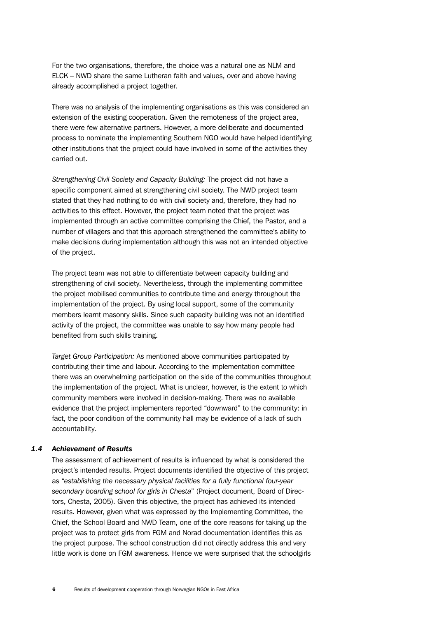For the two organisations, therefore, the choice was a natural one as NLM and ELCK – NWD share the same Lutheran faith and values, over and above having already accomplished a project together.

There was no analysis of the implementing organisations as this was considered an extension of the existing cooperation. Given the remoteness of the project area, there were few alternative partners. However, a more deliberate and documented process to nominate the implementing Southern NGO would have helped identifying other institutions that the project could have involved in some of the activities they carried out.

*Strengthening Civil Society and Capacity Building:* The project did not have a specific component aimed at strengthening civil society. The NWD project team stated that they had nothing to do with civil society and, therefore, they had no activities to this effect. However, the project team noted that the project was implemented through an active committee comprising the Chief, the Pastor, and a number of villagers and that this approach strengthened the committee's ability to make decisions during implementation although this was not an intended objective of the project.

The project team was not able to differentiate between capacity building and strengthening of civil society. Nevertheless, through the implementing committee the project mobilised communities to contribute time and energy throughout the implementation of the project. By using local support, some of the community members learnt masonry skills. Since such capacity building was not an identified activity of the project, the committee was unable to say how many people had benefited from such skills training.

*Target Group Participation:* As mentioned above communities participated by contributing their time and labour. According to the implementation committee there was an overwhelming participation on the side of the communities throughout the implementation of the project. What is unclear, however, is the extent to which community members were involved in decision-making. There was no available evidence that the project implementers reported "downward" to the community: in fact, the poor condition of the community hall may be evidence of a lack of such accountability.

#### *1.4 Achievement of Results*

The assessment of achievement of results is influenced by what is considered the project's intended results. Project documents identified the objective of this project as *"establishing the necessary physical facilities for a fully functional four-year secondary boarding school for girls in Chesta*" (Project document, Board of Directors, Chesta, 2005). Given this objective, the project has achieved its intended results. However, given what was expressed by the Implementing Committee, the Chief, the School Board and NWD Team, one of the core reasons for taking up the project was to protect girls from FGM and Norad documentation identifies this as the project purpose. The school construction did not directly address this and very little work is done on FGM awareness. Hence we were surprised that the schoolgirls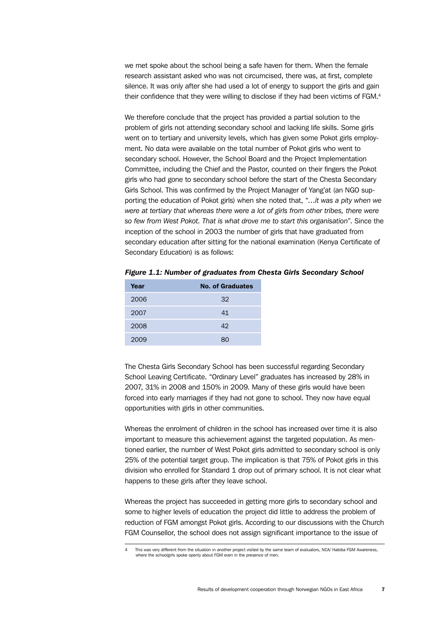we met spoke about the school being a safe haven for them. When the female research assistant asked who was not circumcised, there was, at first, complete silence. It was only after she had used a lot of energy to support the girls and gain their confidence that they were willing to disclose if they had been victims of FGM.4

We therefore conclude that the project has provided a partial solution to the problem of girls not attending secondary school and lacking life skills. Some girls went on to tertiary and university levels, which has given some Pokot girls employment. No data were available on the total number of Pokot girls who went to secondary school. However, the School Board and the Project Implementation Committee, including the Chief and the Pastor, counted on their fingers the Pokot girls who had gone to secondary school before the start of the Chesta Secondary Girls School. This was confirmed by the Project Manager of Yang'at (an NGO supporting the education of Pokot girls) when she noted that, "…*it was a pity when we were at tertiary that whereas there were a lot of girls from other tribes, there were so few from West Pokot. That is what drove me to start this organisation*". Since the inception of the school in 2003 the number of girls that have graduated from secondary education after sitting for the national examination (Kenya Certificate of Secondary Education) is as follows:

*Figure 1.1: Number of graduates from Chesta Girls Secondary School*

| Year | <b>No. of Graduates</b> |
|------|-------------------------|
| 2006 | 32                      |
| 2007 | 41                      |
| 2008 | 42                      |
| 2009 |                         |

The Chesta Girls Secondary School has been successful regarding Secondary School Leaving Certificate. "Ordinary Level" graduates has increased by 28% in 2007, 31% in 2008 and 150% in 2009. Many of these girls would have been forced into early marriages if they had not gone to school. They now have equal opportunities with girls in other communities.

Whereas the enrolment of children in the school has increased over time it is also important to measure this achievement against the targeted population. As mentioned earlier, the number of West Pokot girls admitted to secondary school is only 25% of the potential target group. The implication is that 75% of Pokot girls in this division who enrolled for Standard 1 drop out of primary school. It is not clear what happens to these girls after they leave school.

Whereas the project has succeeded in getting more girls to secondary school and some to higher levels of education the project did little to address the problem of reduction of FGM amongst Pokot girls. According to our discussions with the Church FGM Counsellor, the school does not assign significant importance to the issue of

4 This was very different from the situation in another project visited by the same team of evaluators, NCA/ Habiba FGM Awareness, where the schoolgirls spoke openly about FGM even in the presence of men.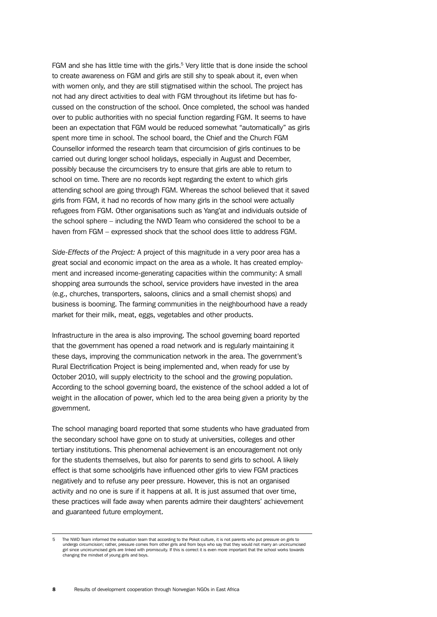FGM and she has little time with the girls.<sup>5</sup> Very little that is done inside the school to create awareness on FGM and girls are still shy to speak about it, even when with women only, and they are still stigmatised within the school. The project has not had any direct activities to deal with FGM throughout its lifetime but has focussed on the construction of the school. Once completed, the school was handed over to public authorities with no special function regarding FGM. It seems to have been an expectation that FGM would be reduced somewhat "automatically" as girls spent more time in school. The school board, the Chief and the Church FGM Counsellor informed the research team that circumcision of girls continues to be carried out during longer school holidays, especially in August and December, possibly because the circumcisers try to ensure that girls are able to return to school on time. There are no records kept regarding the extent to which girls attending school are going through FGM. Whereas the school believed that it saved girls from FGM, it had no records of how many girls in the school were actually refugees from FGM. Other organisations such as Yang'at and individuals outside of the school sphere – including the NWD Team who considered the school to be a haven from FGM – expressed shock that the school does little to address FGM.

*Side-Effects of the Project:* A project of this magnitude in a very poor area has a great social and economic impact on the area as a whole. It has created employment and increased income-generating capacities within the community: A small shopping area surrounds the school, service providers have invested in the area (e.g., churches, transporters, saloons, clinics and a small chemist shops) and business is booming. The farming communities in the neighbourhood have a ready market for their milk, meat, eggs, vegetables and other products.

Infrastructure in the area is also improving. The school governing board reported that the government has opened a road network and is regularly maintaining it these days, improving the communication network in the area. The government's Rural Electrification Project is being implemented and, when ready for use by October 2010, will supply electricity to the school and the growing population. According to the school governing board, the existence of the school added a lot of weight in the allocation of power, which led to the area being given a priority by the government.

The school managing board reported that some students who have graduated from the secondary school have gone on to study at universities, colleges and other tertiary institutions. This phenomenal achievement is an encouragement not only for the students themselves, but also for parents to send girls to school. A likely effect is that some schoolgirls have influenced other girls to view FGM practices negatively and to refuse any peer pressure. However, this is not an organised activity and no one is sure if it happens at all. It is just assumed that over time, these practices will fade away when parents admire their daughters' achievement and guaranteed future employment.

<sup>5</sup> The NWD Team informed the evaluation team that according to the Pokot culture, it is not parents who put pressure on girls to undergo circumcision; rather, pressure comes from other girls and from boys who say that they would not marry an uncircumcised girl since uncircumcised girls are linked with promiscuity. If this is correct it is even more important that the school works towards<br>changing the mindset of young girls and boys.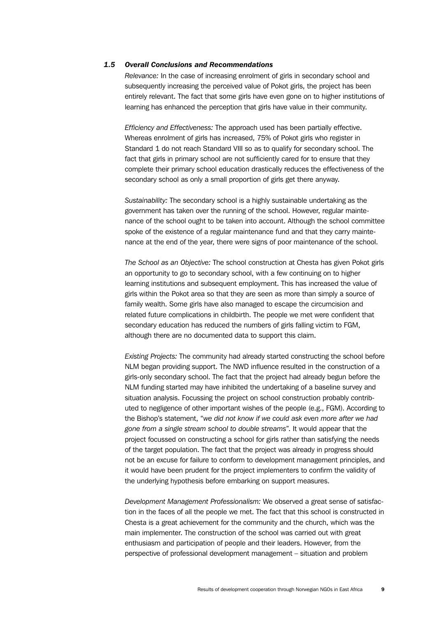#### *1.5 Overall Conclusions and Recommendations*

*Relevance:* In the case of increasing enrolment of girls in secondary school and subsequently increasing the perceived value of Pokot girls, the project has been entirely relevant. The fact that some girls have even gone on to higher institutions of learning has enhanced the perception that girls have value in their community.

*Efficiency and Effectiveness:* The approach used has been partially effective. Whereas enrolment of girls has increased, 75% of Pokot girls who register in Standard 1 do not reach Standard VIII so as to qualify for secondary school. The fact that girls in primary school are not sufficiently cared for to ensure that they complete their primary school education drastically reduces the effectiveness of the secondary school as only a small proportion of girls get there anyway.

*Sustainability:* The secondary school is a highly sustainable undertaking as the government has taken over the running of the school. However, regular maintenance of the school ought to be taken into account. Although the school committee spoke of the existence of a regular maintenance fund and that they carry maintenance at the end of the year, there were signs of poor maintenance of the school.

*The School as an Objective:* The school construction at Chesta has given Pokot girls an opportunity to go to secondary school, with a few continuing on to higher learning institutions and subsequent employment. This has increased the value of girls within the Pokot area so that they are seen as more than simply a source of family wealth. Some girls have also managed to escape the circumcision and related future complications in childbirth. The people we met were confident that secondary education has reduced the numbers of girls falling victim to FGM, although there are no documented data to support this claim.

*Existing Projects:* The community had already started constructing the school before NLM began providing support. The NWD influence resulted in the construction of a girls-only secondary school. The fact that the project had already begun before the NLM funding started may have inhibited the undertaking of a baseline survey and situation analysis. Focussing the project on school construction probably contributed to negligence of other important wishes of the people (e.g., FGM). According to the Bishop's statement, "*we did not know if we could ask even more after we had gone from a single stream school to double streams*". It would appear that the project focussed on constructing a school for girls rather than satisfying the needs of the target population. The fact that the project was already in progress should not be an excuse for failure to conform to development management principles, and it would have been prudent for the project implementers to confirm the validity of the underlying hypothesis before embarking on support measures.

*Development Management Professionalism:* We observed a great sense of satisfaction in the faces of all the people we met. The fact that this school is constructed in Chesta is a great achievement for the community and the church, which was the main implementer. The construction of the school was carried out with great enthusiasm and participation of people and their leaders. However, from the perspective of professional development management – situation and problem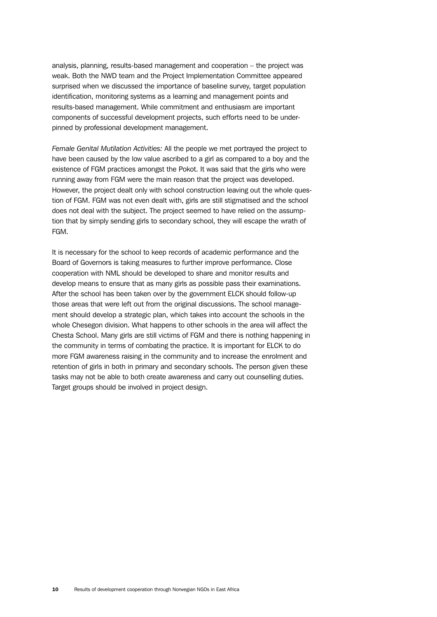analysis, planning, results-based management and cooperation – the project was weak. Both the NWD team and the Project Implementation Committee appeared surprised when we discussed the importance of baseline survey, target population identification, monitoring systems as a learning and management points and results-based management. While commitment and enthusiasm are important components of successful development projects, such efforts need to be underpinned by professional development management.

*Female Genital Mutilation Activities:* All the people we met portrayed the project to have been caused by the low value ascribed to a girl as compared to a boy and the existence of FGM practices amongst the Pokot. It was said that the girls who were running away from FGM were the main reason that the project was developed. However, the project dealt only with school construction leaving out the whole question of FGM. FGM was not even dealt with, girls are still stigmatised and the school does not deal with the subject. The project seemed to have relied on the assumption that by simply sending girls to secondary school, they will escape the wrath of FGM.

It is necessary for the school to keep records of academic performance and the Board of Governors is taking measures to further improve performance. Close cooperation with NML should be developed to share and monitor results and develop means to ensure that as many girls as possible pass their examinations. After the school has been taken over by the government ELCK should follow-up those areas that were left out from the original discussions. The school management should develop a strategic plan, which takes into account the schools in the whole Chesegon division. What happens to other schools in the area will affect the Chesta School. Many girls are still victims of FGM and there is nothing happening in the community in terms of combating the practice. It is important for ELCK to do more FGM awareness raising in the community and to increase the enrolment and retention of girls in both in primary and secondary schools. The person given these tasks may not be able to both create awareness and carry out counselling duties. Target groups should be involved in project design.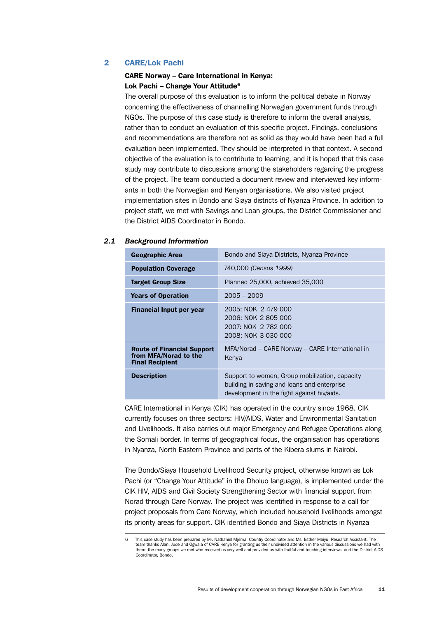#### <span id="page-20-0"></span>2 CARE/Lok Pachi

#### CARE Norway – Care International in Kenya: Lok Pachi – Change Your Attitude<sup>6</sup>

The overall purpose of this evaluation is to inform the political debate in Norway concerning the effectiveness of channelling Norwegian government funds through NGOs. The purpose of this case study is therefore to inform the overall analysis, rather than to conduct an evaluation of this specific project. Findings, conclusions and recommendations are therefore not as solid as they would have been had a full evaluation been implemented. They should be interpreted in that context. A second objective of the evaluation is to contribute to learning, and it is hoped that this case study may contribute to discussions among the stakeholders regarding the progress of the project. The team conducted a document review and interviewed key informants in both the Norwegian and Kenyan organisations. We also visited project implementation sites in Bondo and Siaya districts of Nyanza Province. In addition to project staff, we met with Savings and Loan groups, the District Commissioner and the District AIDS Coordinator in Bondo.

#### *2.1 Background Information*

| <b>Geographic Area</b>                                                               | Bondo and Siaya Districts, Nyanza Province                                                                                                  |
|--------------------------------------------------------------------------------------|---------------------------------------------------------------------------------------------------------------------------------------------|
| <b>Population Coverage</b>                                                           | 740,000 (Census 1999)                                                                                                                       |
| <b>Target Group Size</b>                                                             | Planned 25,000, achieved 35,000                                                                                                             |
| <b>Years of Operation</b>                                                            | $2005 - 2009$                                                                                                                               |
| <b>Financial Input per year</b>                                                      | 2005: NOK 2 479 000<br>2006: NOK 2 805 000<br>2007: NOK 2 782 000<br>2008: NOK 3 030 000                                                    |
| <b>Route of Financial Support</b><br>from MFA/Norad to the<br><b>Final Recipient</b> | MFA/Norad – CARE Norway – CARE International in<br>Kenya                                                                                    |
| <b>Description</b>                                                                   | Support to women, Group mobilization, capacity<br>building in saving and loans and enterprise<br>development in the fight against hiv/aids. |

CARE International in Kenya (CIK) has operated in the country since 1968. CIK currently focuses on three sectors: HIV/AIDS, Water and Environmental Sanitation and Livelihoods. It also carries out major Emergency and Refugee Operations along the Somali border. In terms of geographical focus, the organisation has operations in Nyanza, North Eastern Province and parts of the Kibera slums in Nairobi.

The Bondo/Siaya Household Livelihood Security project, otherwise known as Lok Pachi (or "Change Your Attitude" in the Dholuo language), is implemented under the CIK HIV, AIDS and Civil Society Strengthening Sector with financial support from Norad through Care Norway. The project was identified in response to a call for project proposals from Care Norway, which included household livelihoods amongst its priority areas for support. CIK identified Bondo and Siaya Districts in Nyanza

<sup>6</sup> This case study has been prepared by Mr. Nathaniel Mjema, Country Coordinator and Ms. Esther Mbiyu, Research Assistant. The team thanks Alan, Jude and Ogwala of CARE Kenya for granting us their undivided attention in the various discussions we had with them; the many groups we met who received us very well and provided us with fruitful and touching interviews; and the District AIDS Coordinator, Bondo.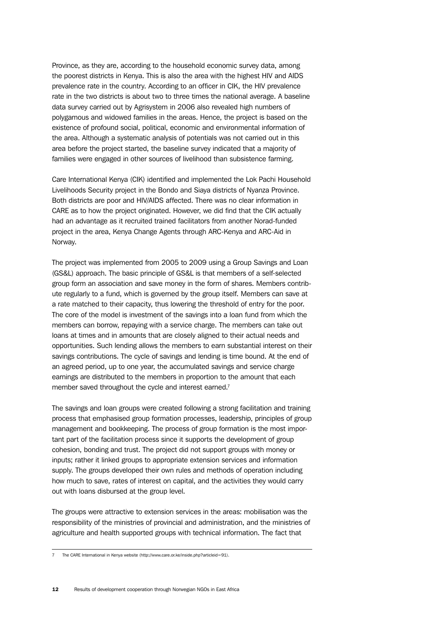Province, as they are, according to the household economic survey data, among the poorest districts in Kenya. This is also the area with the highest HIV and AIDS prevalence rate in the country. According to an officer in CIK, the HIV prevalence rate in the two districts is about two to three times the national average. A baseline data survey carried out by Agrisystem in 2006 also revealed high numbers of polygamous and widowed families in the areas. Hence, the project is based on the existence of profound social, political, economic and environmental information of the area. Although a systematic analysis of potentials was not carried out in this area before the project started, the baseline survey indicated that a majority of families were engaged in other sources of livelihood than subsistence farming.

Care International Kenya (CIK) identified and implemented the Lok Pachi Household Livelihoods Security project in the Bondo and Siaya districts of Nyanza Province. Both districts are poor and HIV/AIDS affected. There was no clear information in CARE as to how the project originated. However, we did find that the CIK actually had an advantage as it recruited trained facilitators from another Norad-funded project in the area, Kenya Change Agents through ARC-Kenya and ARC-Aid in Norway.

The project was implemented from 2005 to 2009 using a Group Savings and Loan (GS&L) approach. The basic principle of GS&L is that members of a self-selected group form an association and save money in the form of shares. Members contribute regularly to a fund, which is governed by the group itself. Members can save at a rate matched to their capacity, thus lowering the threshold of entry for the poor. The core of the model is investment of the savings into a loan fund from which the members can borrow, repaying with a service charge. The members can take out loans at times and in amounts that are closely aligned to their actual needs and opportunities. Such lending allows the members to earn substantial interest on their savings contributions. The cycle of savings and lending is time bound. At the end of an agreed period, up to one year, the accumulated savings and service charge earnings are distributed to the members in proportion to the amount that each member saved throughout the cycle and interest earned.<sup>7</sup>

The savings and loan groups were created following a strong facilitation and training process that emphasised group formation processes, leadership, principles of group management and bookkeeping. The process of group formation is the most important part of the facilitation process since it supports the development of group cohesion, bonding and trust. The project did not support groups with money or inputs; rather it linked groups to appropriate extension services and information supply. The groups developed their own rules and methods of operation including how much to save, rates of interest on capital, and the activities they would carry out with loans disbursed at the group level.

The groups were attractive to extension services in the areas: mobilisation was the responsibility of the ministries of provincial and administration, and the ministries of agriculture and health supported groups with technical information. The fact that

<sup>7</sup> The CARE International in Kenya website (http://www.care.or.ke/inside.php?articleid=91).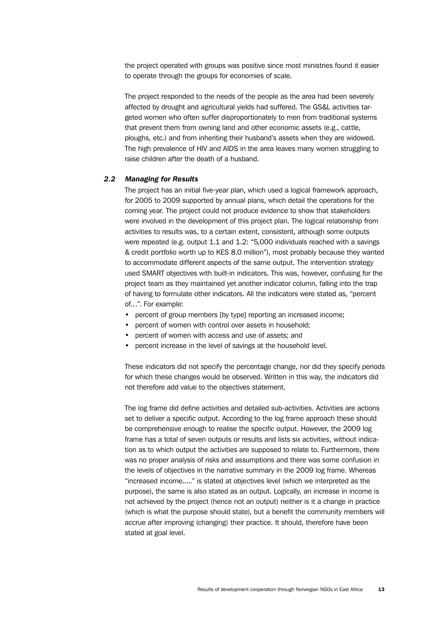the project operated with groups was positive since most ministries found it easier to operate through the groups for economies of scale.

The project responded to the needs of the people as the area had been severely affected by drought and agricultural yields had suffered. The GS&L activities targeted women who often suffer disproportionately to men from traditional systems that prevent them from owning land and other economic assets (e.g., cattle, ploughs, etc.) and from inheriting their husband's assets when they are widowed. The high prevalence of HIV and AIDS in the area leaves many women struggling to raise children after the death of a husband.

#### *2.2 Managing for Results*

The project has an initial five-year plan, which used a logical framework approach, for 2005 to 2009 supported by annual plans, which detail the operations for the coming year. The project could not produce evidence to show that stakeholders were involved in the development of this project plan. The logical relationship from activities to results was, to a certain extent, consistent, although some outputs were repeated (e.g. output 1.1 and 1.2: *"*5,000 individuals reached with a savings & credit portfolio worth up to KES 8.0 million"), most probably because they wanted to accommodate different aspects of the same output. The intervention strategy used SMART objectives with built-in indicators. This was, however, confusing for the project team as they maintained yet another indicator column, falling into the trap of having to formulate other indicators. All the indicators were stated as, "percent of…". For example:

- percent of group members [by type] reporting an increased income;
- percent of women with control over assets in household;
- percent of women with access and use of assets; and
- percent increase in the level of savings at the household level.

These indicators did not specify the percentage change, nor did they specify periods for which these changes would be observed. Written in this way, the indicators did not therefore add value to the objectives statement.

The log frame did define activities and detailed sub-activities. Activities are actions set to deliver a specific output. According to the log frame approach these should be comprehensive enough to realise the specific output. However, the 2009 log frame has a total of seven outputs or results and lists six activities, without indication as to which output the activities are supposed to relate to. Furthermore, there was no proper analysis of risks and assumptions and there was some confusion in the levels of objectives in the narrative summary in the 2009 log frame. Whereas "increased income....." is stated at objectives level (which we interpreted as the purpose), the same is also stated as an output. Logically, an increase in income is not achieved by the project (hence not an output) neither is it a change in practice (which is what the purpose should state), but a benefit the community members will accrue after improving (changing) their practice. It should, therefore have been stated at goal level.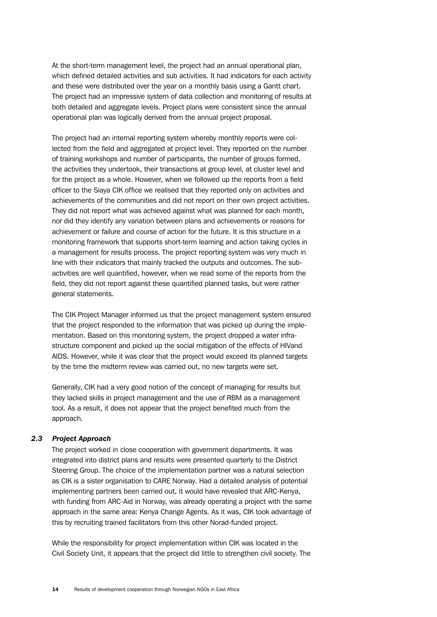At the short-term management level, the project had an annual operational plan, which defined detailed activities and sub activities. It had indicators for each activity and these were distributed over the year on a monthly basis using a Gantt chart. The project had an impressive system of data collection and monitoring of results at both detailed and aggregate levels. Project plans were consistent since the annual operational plan was logically derived from the annual project proposal.

The project had an internal reporting system whereby monthly reports were collected from the field and aggregated at project level. They reported on the number of training workshops and number of participants, the number of groups formed, the activities they undertook, their transactions at group level, at cluster level and for the project as a whole. However, when we followed up the reports from a field officer to the Siaya CIK office we realised that they reported only on activities and achievements of the communities and did not report on their own project activities. They did not report what was achieved against what was planned for each month, nor did they identify any variation between plans and achievements or reasons for achievement or failure and course of action for the future. It is this structure in a monitoring framework that supports short-term learning and action taking cycles in a management for results process. The project reporting system was very much in line with their indicators that mainly tracked the outputs and outcomes. The subactivities are well quantified, however, when we read some of the reports from the field, they did not report against these quantified planned tasks, but were rather general statements.

The CIK Project Manager informed us that the project management system ensured that the project responded to the information that was picked up during the implementation. Based on this monitoring system, the project dropped a water infrastructure component and picked up the social mitigation of the effects of HIVand AIDS. However, while it was clear that the project would exceed its planned targets by the time the midterm review was carried out, no new targets were set.

Generally, CIK had a very good notion of the concept of managing for results but they lacked skills in project management and the use of RBM as a management tool. As a result, it does not appear that the project benefited much from the approach.

#### *2.3 Project Approach*

The project worked in close cooperation with government departments. It was integrated into district plans and results were presented quarterly to the District Steering Group. The choice of the implementation partner was a natural selection as CIK is a sister organisation to CARE Norway. Had a detailed analysis of potential implementing partners been carried out, it would have revealed that ARC-Kenya, with funding from ARC-Aid in Norway, was already operating a project with the same approach in the same area: Kenya Change Agents. As it was, CIK took advantage of this by recruiting trained facilitators from this other Norad-funded project.

While the responsibility for project implementation within CIK was located in the Civil Society Unit, it appears that the project did little to strengthen civil society. The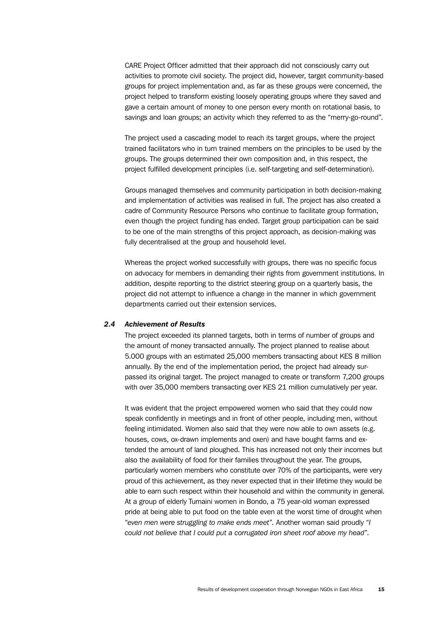CARE Project Officer admitted that their approach did not consciously carry out activities to promote civil society. The project did, however, target community-based groups for project implementation and, as far as these groups were concerned, the project helped to transform existing loosely operating groups where they saved and gave a certain amount of money to one person every month on rotational basis, to savings and loan groups; an activity which they referred to as the "merry-go-round".

The project used a cascading model to reach its target groups, where the project trained facilitators who in turn trained members on the principles to be used by the groups. The groups determined their own composition and, in this respect, the project fulfilled development principles (i.e. self-targeting and self-determination).

Groups managed themselves and community participation in both decision-making and implementation of activities was realised in full. The project has also created a cadre of Community Resource Persons who continue to facilitate group formation, even though the project funding has ended. Target group participation can be said to be one of the main strengths of this project approach, as decision-making was fully decentralised at the group and household level.

Whereas the project worked successfully with groups, there was no specific focus on advocacy for members in demanding their rights from government institutions. In addition, despite reporting to the district steering group on a quarterly basis, the project did not attempt to influence a change in the manner in which government departments carried out their extension services.

#### *2.4 Achievement of Results*

The project exceeded its planned targets, both in terms of number of groups and the amount of money transacted annually. The project planned to realise about 5.000 groups with an estimated 25,000 members transacting about KES 8 million annually. By the end of the implementation period, the project had already surpassed its original target. The project managed to create or transform 7,200 groups with over 35,000 members transacting over KES 21 million cumulatively per year.

It was evident that the project empowered women who said that they could now speak confidently in meetings and in front of other people, including men, without feeling intimidated. Women also said that they were now able to own assets (e.g. houses, cows, ox-drawn implements and oxen) and have bought farms and extended the amount of land ploughed. This has increased not only their incomes but also the availability of food for their families throughout the year. The groups, particularly women members who constitute over 70% of the participants, were very proud of this achievement, as they never expected that in their lifetime they would be able to earn such respect within their household and within the community in general. At a group of elderly Tumaini women in Bondo, a 75 year-old woman expressed pride at being able to put food on the table even at the worst time of drought when "*even men were struggling to make ends meet*". Another woman said proudly "*I could not believe that I could put a corrugated iron sheet roof above my head*".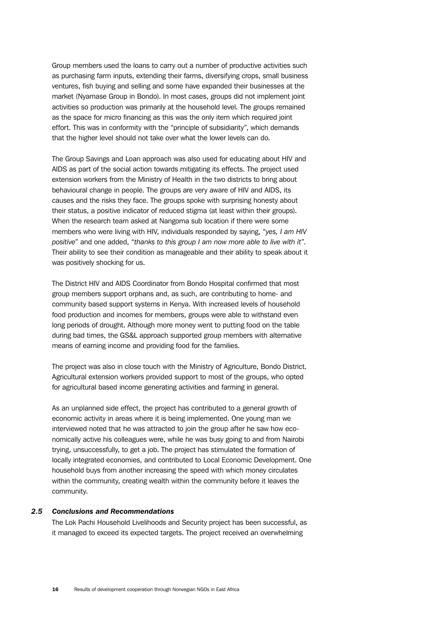Group members used the loans to carry out a number of productive activities such as purchasing farm inputs, extending their farms, diversifying crops, small business ventures, fish buying and selling and some have expanded their businesses at the market (Nyamase Group in Bondo). In most cases, groups did not implement joint activities so production was primarily at the household level. The groups remained as the space for micro financing as this was the only item which required joint effort. This was in conformity with the "principle of subsidiarity", which demands that the higher level should not take over what the lower levels can do.

The Group Savings and Loan approach was also used for educating about HIV and AIDS as part of the social action towards mitigating its effects. The project used extension workers from the Ministry of Health in the two districts to bring about behavioural change in people. The groups are very aware of HIV and AIDS, its causes and the risks they face. The groups spoke with surprising honesty about their status, a positive indicator of reduced stigma (at least within their groups). When the research team asked at Nangoma sub location if there were some members who were living with HIV, individuals responded by saying, "*yes, I am HIV positive*" and one added, "*thanks to this group I am now more able to live with it*". Their ability to see their condition as manageable and their ability to speak about it was positively shocking for us.

The District HIV and AIDS Coordinator from Bondo Hospital confirmed that most group members support orphans and, as such, are contributing to home- and community based support systems in Kenya. With increased levels of household food production and incomes for members, groups were able to withstand even long periods of drought. Although more money went to putting food on the table during bad times, the GS&L approach supported group members with alternative means of earning income and providing food for the families.

The project was also in close touch with the Ministry of Agriculture, Bondo District. Agricultural extension workers provided support to most of the groups, who opted for agricultural based income generating activities and farming in general.

As an unplanned side effect, the project has contributed to a general growth of economic activity in areas where it is being implemented. One young man we interviewed noted that he was attracted to join the group after he saw how economically active his colleagues were, while he was busy going to and from Nairobi trying, unsuccessfully, to get a job. The project has stimulated the formation of locally integrated economies, and contributed to Local Economic Development. One household buys from another increasing the speed with which money circulates within the community, creating wealth within the community before it leaves the community.

#### *2.5 Conclusions and Recommendations*

The Lok Pachi Household Livelihoods and Security project has been successful, as it managed to exceed its expected targets. The project received an overwhelming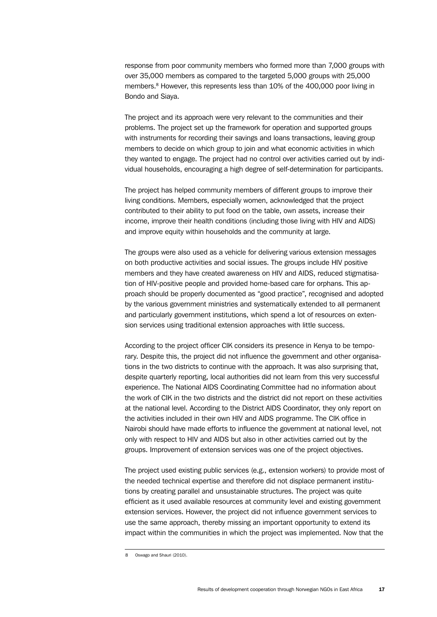response from poor community members who formed more than 7,000 groups with over 35,000 members as compared to the targeted 5,000 groups with 25,000 members.8 However, this represents less than 10% of the 400,000 poor living in Bondo and Siaya.

The project and its approach were very relevant to the communities and their problems. The project set up the framework for operation and supported groups with instruments for recording their savings and loans transactions, leaving group members to decide on which group to join and what economic activities in which they wanted to engage. The project had no control over activities carried out by individual households, encouraging a high degree of self-determination for participants.

The project has helped community members of different groups to improve their living conditions. Members, especially women, acknowledged that the project contributed to their ability to put food on the table, own assets, increase their income, improve their health conditions (including those living with HIV and AIDS) and improve equity within households and the community at large.

The groups were also used as a vehicle for delivering various extension messages on both productive activities and social issues. The groups include HIV positive members and they have created awareness on HIV and AIDS, reduced stigmatisation of HIV-positive people and provided home-based care for orphans. This approach should be properly documented as "good practice", recognised and adopted by the various government ministries and systematically extended to all permanent and particularly government institutions, which spend a lot of resources on extension services using traditional extension approaches with little success.

According to the project officer CIK considers its presence in Kenya to be temporary. Despite this, the project did not influence the government and other organisations in the two districts to continue with the approach. It was also surprising that, despite quarterly reporting, local authorities did not learn from this very successful experience. The National AIDS Coordinating Committee had no information about the work of CIK in the two districts and the district did not report on these activities at the national level. According to the District AIDS Coordinator, they only report on the activities included in their own HIV and AIDS programme. The CIK office in Nairobi should have made efforts to influence the government at national level, not only with respect to HIV and AIDS but also in other activities carried out by the groups. Improvement of extension services was one of the project objectives.

The project used existing public services (e.g., extension workers) to provide most of the needed technical expertise and therefore did not displace permanent institutions by creating parallel and unsustainable structures. The project was quite efficient as it used available resources at community level and existing government extension services. However, the project did not influence government services to use the same approach, thereby missing an important opportunity to extend its impact within the communities in which the project was implemented. Now that the

<sup>8</sup> Oswago and Shauri (2010).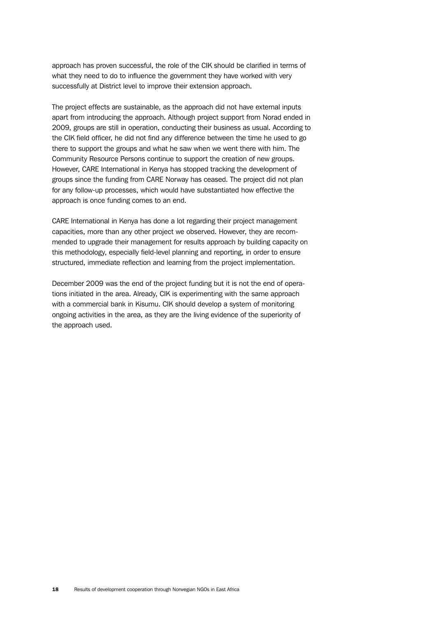approach has proven successful, the role of the CIK should be clarified in terms of what they need to do to influence the government they have worked with very successfully at District level to improve their extension approach.

The project effects are sustainable, as the approach did not have external inputs apart from introducing the approach. Although project support from Norad ended in 2009, groups are still in operation, conducting their business as usual. According to the CIK field officer, he did not find any difference between the time he used to go there to support the groups and what he saw when we went there with him. The Community Resource Persons continue to support the creation of new groups. However, CARE International in Kenya has stopped tracking the development of groups since the funding from CARE Norway has ceased. The project did not plan for any follow-up processes, which would have substantiated how effective the approach is once funding comes to an end.

CARE International in Kenya has done a lot regarding their project management capacities, more than any other project we observed. However, they are recommended to upgrade their management for results approach by building capacity on this methodology, especially field-level planning and reporting, in order to ensure structured, immediate reflection and learning from the project implementation.

December 2009 was the end of the project funding but it is not the end of operations initiated in the area. Already, CIK is experimenting with the same approach with a commercial bank in Kisumu. CIK should develop a system of monitoring ongoing activities in the area, as they are the living evidence of the superiority of the approach used.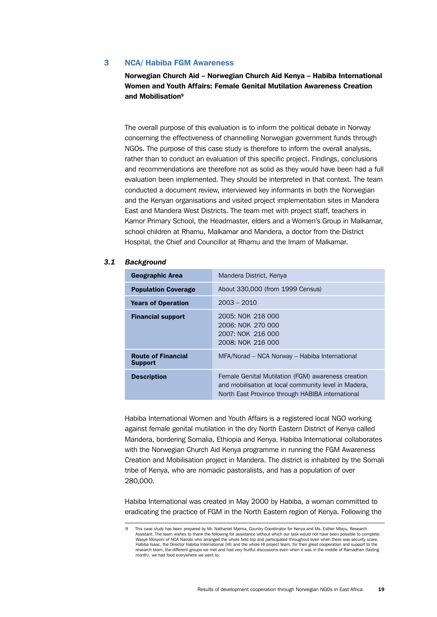#### <span id="page-28-0"></span>3 NCA/ Habiba FGM Awareness

Norwegian Church Aid – Norwegian Church Aid Kenya – Habiba International Women and Youth Affairs: Female Genital Mutilation Awareness Creation and Mobilisation9

The overall purpose of this evaluation is to inform the political debate in Norway concerning the effectiveness of channelling Norwegian government funds through NGOs. The purpose of this case study is therefore to inform the overall analysis, rather than to conduct an evaluation of this specific project. Findings, conclusions and recommendations are therefore not as solid as they would have been had a full evaluation been implemented. They should be interpreted in that context. The team conducted a document review, interviewed key informants in both the Norwegian and the Kenyan organisations and visited project implementation sites in Mandera East and Mandera West Districts. The team met with project staff, teachers in Kamor Primary School, the Headmaster, elders and a Women's Group in Malkamar, school children at Rhamu, Malkamar and Mandera, a doctor from the District Hospital, the Chief and Councillor at Rhamu and the Imam of Malkamar.

#### *3.1 Background*

| <b>Geographic Area</b>                      | Mandera District, Kenya                                                                                                                                        |
|---------------------------------------------|----------------------------------------------------------------------------------------------------------------------------------------------------------------|
| <b>Population Coverage</b>                  | About 330,000 (from 1999 Census)                                                                                                                               |
| <b>Years of Operation</b>                   | $2003 - 2010$                                                                                                                                                  |
| <b>Financial support</b>                    | 2005: NOK 216 000<br>2006: NOK 270 000<br>2007: NOK 216 000<br>2008: NOK 216 000                                                                               |
| <b>Route of Financial</b><br><b>Support</b> | MFA/Norad - NCA Norway - Habiba International                                                                                                                  |
| <b>Description</b>                          | Female Genital Mutilation (FGM) awareness creation<br>and mobilisation at local community level in Madera,<br>North East Province through HABIBA international |

Habiba International Women and Youth Affairs is a registered local NGO working against female genital mutilation in the dry North Eastern District of Kenya called Mandera, bordering Somalia, Ethiopia and Kenya. Habiba International collaborates with the Norwegian Church Aid Kenya programme in running the FGM Awareness Creation and Mobilisation project in Mandera. The district is inhabited by the Somali tribe of Kenya, who are nomadic pastoralists, and has a population of over 280,000.

Habiba International was created in May 2000 by Habiba, a woman committed to eradicating the practice of FGM in the North Eastern region of Kenya. Following the

This case study has been prepared by Mr. Nathaniel Mjema, Country Coordinator for Kenya and Ms. Esther Mbiyu, Research Assistant. The team wishes to thank the following for assistance without which our task would not have been possible to complete: Wasye Mosyoni of NCA Nairobi who arranged the whole field trip and participated throughout even when there was security scare. Habiba Isaac, the Director Habiba International (HI) and the whole HI project team, for their great cooperation and support to the research team, the different groups we met and had very fruitful discussions even when it was in the middle of Ramadhan (fasting month), we had food everywhere we went to.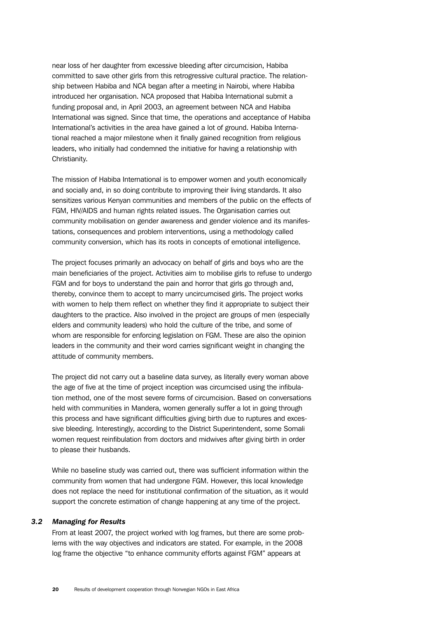near loss of her daughter from excessive bleeding after circumcision, Habiba committed to save other girls from this retrogressive cultural practice. The relationship between Habiba and NCA began after a meeting in Nairobi, where Habiba introduced her organisation. NCA proposed that Habiba International submit a funding proposal and, in April 2003, an agreement between NCA and Habiba International was signed. Since that time, the operations and acceptance of Habiba International's activities in the area have gained a lot of ground. Habiba International reached a major milestone when it finally gained recognition from religious leaders, who initially had condemned the initiative for having a relationship with Christianity.

The mission of Habiba International is to empower women and youth economically and socially and, in so doing contribute to improving their living standards. It also sensitizes various Kenyan communities and members of the public on the effects of FGM, HIV/AIDS and human rights related issues. The Organisation carries out community mobilisation on gender awareness and gender violence and its manifestations, consequences and problem interventions, using a methodology called community conversion, which has its roots in concepts of emotional intelligence.

The project focuses primarily an advocacy on behalf of girls and boys who are the main beneficiaries of the project. Activities aim to mobilise girls to refuse to undergo FGM and for boys to understand the pain and horror that girls go through and, thereby, convince them to accept to marry uncircumcised girls. The project works with women to help them reflect on whether they find it appropriate to subject their daughters to the practice. Also involved in the project are groups of men (especially elders and community leaders) who hold the culture of the tribe, and some of whom are responsible for enforcing legislation on FGM. These are also the opinion leaders in the community and their word carries significant weight in changing the attitude of community members.

The project did not carry out a baseline data survey, as literally every woman above the age of five at the time of project inception was circumcised using the infibulation method, one of the most severe forms of circumcision. Based on conversations held with communities in Mandera, women generally suffer a lot in going through this process and have significant difficulties giving birth due to ruptures and excessive bleeding. Interestingly, according to the District Superintendent, some Somali women request reinfibulation from doctors and midwives after giving birth in order to please their husbands.

While no baseline study was carried out, there was sufficient information within the community from women that had undergone FGM. However, this local knowledge does not replace the need for institutional confirmation of the situation, as it would support the concrete estimation of change happening at any time of the project.

#### *3.2 Managing for Results*

From at least 2007, the project worked with log frames, but there are some problems with the way objectives and indicators are stated. For example, in the 2008 log frame the objective "to enhance community efforts against FGM" appears at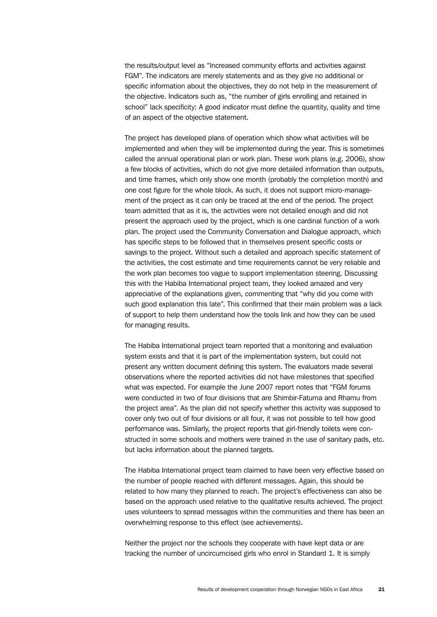the results/output level as "Increased community efforts and activities against FGM". The indicators are merely statements and as they give no additional or specific information about the objectives, they do not help in the measurement of the objective. Indicators such as, "the number of girls enrolling and retained in school" lack specificity: A good indicator must define the quantity, quality and time of an aspect of the objective statement.

The project has developed plans of operation which show what activities will be implemented and when they will be implemented during the year. This is sometimes called the annual operational plan or work plan. These work plans (e.g. 2006), show a few blocks of activities, which do not give more detailed information than outputs, and time frames, which only show one month (probably the completion month) and one cost figure for the whole block. As such, it does not support micro-management of the project as it can only be traced at the end of the period. The project team admitted that as it is, the activities were not detailed enough and did not present the approach used by the project, which is one cardinal function of a work plan. The project used the Community Conversation and Dialogue approach, which has specific steps to be followed that in themselves present specific costs or savings to the project. Without such a detailed and approach specific statement of the activities, the cost estimate and time requirements cannot be very reliable and the work plan becomes too vague to support implementation steering. Discussing this with the Habiba International project team, they looked amazed and very appreciative of the explanations given, commenting that "why did you come with such good explanation this late". This confirmed that their main problem was a lack of support to help them understand how the tools link and how they can be used for managing results.

The Habiba International project team reported that a monitoring and evaluation system exists and that it is part of the implementation system, but could not present any written document defining this system. The evaluators made several observations where the reported activities did not have milestones that specified what was expected. For example the June 2007 report notes that "FGM forums were conducted in two of four divisions that are Shimbir-Fatuma and Rhamu from the project area". As the plan did not specify whether this activity was supposed to cover only two out of four divisions or all four, it was not possible to tell how good performance was. Similarly, the project reports that girl-friendly toilets were constructed in some schools and mothers were trained in the use of sanitary pads, etc. but lacks information about the planned targets.

The Habiba International project team claimed to have been very effective based on the number of people reached with different messages. Again, this should be related to how many they planned to reach. The project's effectiveness can also be based on the approach used relative to the qualitative results achieved. The project uses volunteers to spread messages within the communities and there has been an overwhelming response to this effect (see achievements).

Neither the project nor the schools they cooperate with have kept data or are tracking the number of uncircumcised girls who enrol in Standard 1. It is simply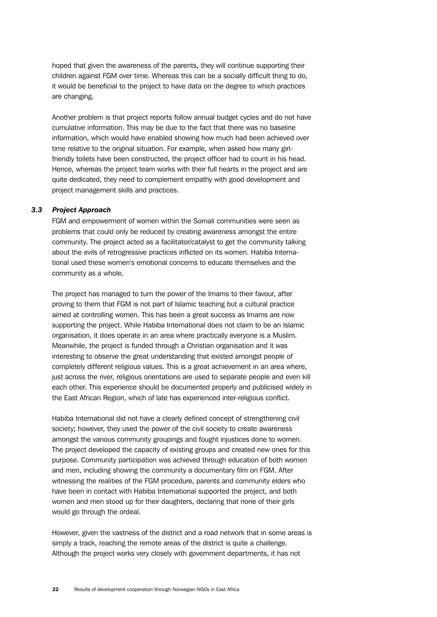hoped that given the awareness of the parents, they will continue supporting their children against FGM over time. Whereas this can be a socially difficult thing to do, it would be beneficial to the project to have data on the degree to which practices are changing.

Another problem is that project reports follow annual budget cycles and do not have cumulative information. This may be due to the fact that there was no baseline information, which would have enabled showing how much had been achieved over time relative to the original situation. For example, when asked how many girlfriendly toilets have been constructed, the project officer had to count in his head. Hence, whereas the project team works with their full hearts in the project and are quite dedicated, they need to complement empathy with good development and project management skills and practices.

#### *3.3 Project Approach*

FGM and empowerment of women within the Somali communities were seen as problems that could only be reduced by creating awareness amongst the entire community. The project acted as a facilitator/catalyst to get the community talking about the evils of retrogressive practices inflicted on its women. Habiba International used these women's emotional concerns to educate themselves and the community as a whole.

The project has managed to turn the power of the Imams to their favour, after proving to them that FGM is not part of Islamic teaching but a cultural practice aimed at controlling women. This has been a great success as Imams are now supporting the project. While Habiba International does not claim to be an Islamic organisation, it does operate in an area where practically everyone is a Muslim. Meanwhile, the project is funded through a Christian organisation and it was interesting to observe the great understanding that existed amongst people of completely different religious values. This is a great achievement in an area where, just across the river, religious orientations are used to separate people and even kill each other. This experience should be documented properly and publicised widely in the East African Region, which of late has experienced inter-religious conflict.

Habiba International did not have a clearly defined concept of strengthening civil society; however, they used the power of the civil society to create awareness amongst the various community groupings and fought injustices done to women. The project developed the capacity of existing groups and created new ones for this purpose. Community participation was achieved through education of both women and men, including showing the community a documentary film on FGM. After witnessing the realities of the FGM procedure, parents and community elders who have been in contact with Habiba International supported the project, and both women and men stood up for their daughters, declaring that none of their girls would go through the ordeal.

However, given the vastness of the district and a road network that in some areas is simply a track, reaching the remote areas of the district is quite a challenge. Although the project works very closely with government departments, it has not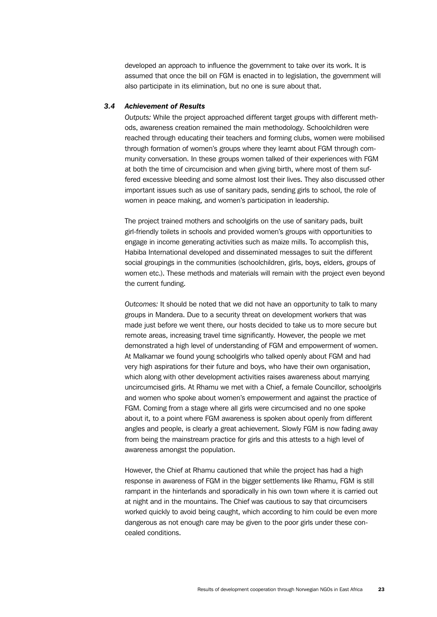developed an approach to influence the government to take over its work. It is assumed that once the bill on FGM is enacted in to legislation, the government will also participate in its elimination, but no one is sure about that.

### *3.4 Achievement of Results*

*Outputs:* While the project approached different target groups with different methods, awareness creation remained the main methodology. Schoolchildren were reached through educating their teachers and forming clubs, women were mobilised through formation of women's groups where they learnt about FGM through community conversation. In these groups women talked of their experiences with FGM at both the time of circumcision and when giving birth, where most of them suffered excessive bleeding and some almost lost their lives. They also discussed other important issues such as use of sanitary pads, sending girls to school, the role of women in peace making, and women's participation in leadership.

The project trained mothers and schoolgirls on the use of sanitary pads, built girl-friendly toilets in schools and provided women's groups with opportunities to engage in income generating activities such as maize mills. To accomplish this, Habiba International developed and disseminated messages to suit the different social groupings in the communities (schoolchildren, girls, boys, elders, groups of women etc.). These methods and materials will remain with the project even beyond the current funding.

*Outcomes:* It should be noted that we did not have an opportunity to talk to many groups in Mandera. Due to a security threat on development workers that was made just before we went there, our hosts decided to take us to more secure but remote areas, increasing travel time significantly. However, the people we met demonstrated a high level of understanding of FGM and empowerment of women. At Malkamar we found young schoolgirls who talked openly about FGM and had very high aspirations for their future and boys, who have their own organisation, which along with other development activities raises awareness about marrying uncircumcised girls. At Rhamu we met with a Chief, a female Councillor, schoolgirls and women who spoke about women's empowerment and against the practice of FGM. Coming from a stage where all girls were circumcised and no one spoke about it, to a point where FGM awareness is spoken about openly from different angles and people, is clearly a great achievement. Slowly FGM is now fading away from being the mainstream practice for girls and this attests to a high level of awareness amongst the population.

However, the Chief at Rhamu cautioned that while the project has had a high response in awareness of FGM in the bigger settlements like Rhamu, FGM is still rampant in the hinterlands and sporadically in his own town where it is carried out at night and in the mountains. The Chief was cautious to say that circumcisers worked quickly to avoid being caught, which according to him could be even more dangerous as not enough care may be given to the poor girls under these concealed conditions.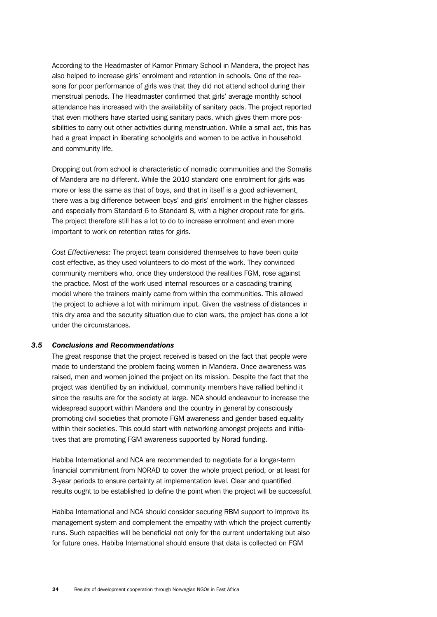According to the Headmaster of Kamor Primary School in Mandera, the project has also helped to increase girls' enrolment and retention in schools. One of the reasons for poor performance of girls was that they did not attend school during their menstrual periods. The Headmaster confirmed that girls' average monthly school attendance has increased with the availability of sanitary pads. The project reported that even mothers have started using sanitary pads, which gives them more possibilities to carry out other activities during menstruation. While a small act, this has had a great impact in liberating schoolgirls and women to be active in household and community life.

Dropping out from school is characteristic of nomadic communities and the Somalis of Mandera are no different. While the 2010 standard one enrolment for girls was more or less the same as that of boys, and that in itself is a good achievement, there was a big difference between boys' and girls' enrolment in the higher classes and especially from Standard 6 to Standard 8, with a higher dropout rate for girls. The project therefore still has a lot to do to increase enrolment and even more important to work on retention rates for girls.

*Cost Effectiveness:* The project team considered themselves to have been quite cost effective, as they used volunteers to do most of the work. They convinced community members who, once they understood the realities FGM, rose against the practice. Most of the work used internal resources or a cascading training model where the trainers mainly came from within the communities. This allowed the project to achieve a lot with minimum input. Given the vastness of distances in this dry area and the security situation due to clan wars, the project has done a lot under the circumstances.

#### *3.5 Conclusions and Recommendations*

The great response that the project received is based on the fact that people were made to understand the problem facing women in Mandera. Once awareness was raised, men and women joined the project on its mission. Despite the fact that the project was identified by an individual, community members have rallied behind it since the results are for the society at large. NCA should endeavour to increase the widespread support within Mandera and the country in general by consciously promoting civil societies that promote FGM awareness and gender based equality within their societies. This could start with networking amongst projects and initiatives that are promoting FGM awareness supported by Norad funding.

Habiba International and NCA are recommended to negotiate for a longer-term financial commitment from NORAD to cover the whole project period, or at least for 3-year periods to ensure certainty at implementation level. Clear and quantified results ought to be established to define the point when the project will be successful.

Habiba International and NCA should consider securing RBM support to improve its management system and complement the empathy with which the project currently runs. Such capacities will be beneficial not only for the current undertaking but also for future ones. Habiba International should ensure that data is collected on FGM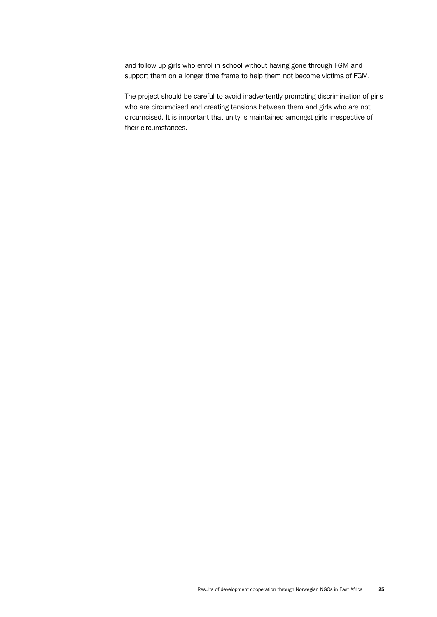and follow up girls who enrol in school without having gone through FGM and support them on a longer time frame to help them not become victims of FGM.

The project should be careful to avoid inadvertently promoting discrimination of girls who are circumcised and creating tensions between them and girls who are not circumcised. It is important that unity is maintained amongst girls irrespective of their circumstances.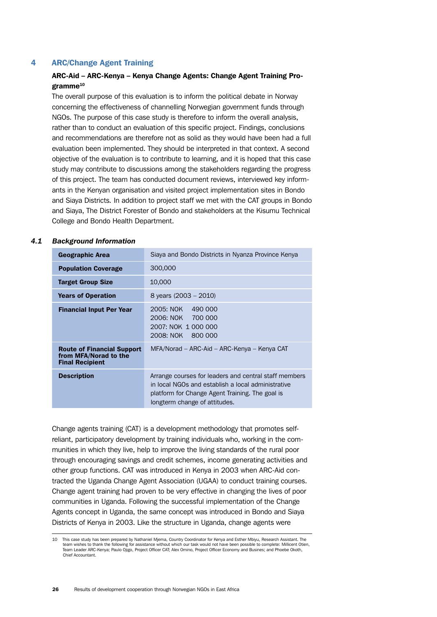#### <span id="page-35-0"></span>4 ARC/Change Agent Training

#### ARC-Aid – ARC-Kenya – Kenya Change Agents: Change Agent Training Pro**ramme** $10$

The overall purpose of this evaluation is to inform the political debate in Norway concerning the effectiveness of channelling Norwegian government funds through NGOs. The purpose of this case study is therefore to inform the overall analysis, rather than to conduct an evaluation of this specific project. Findings, conclusions and recommendations are therefore not as solid as they would have been had a full evaluation been implemented. They should be interpreted in that context. A second objective of the evaluation is to contribute to learning, and it is hoped that this case study may contribute to discussions among the stakeholders regarding the progress of this project. The team has conducted document reviews, interviewed key informants in the Kenyan organisation and visited project implementation sites in Bondo and Siaya Districts*.* In addition to project staff we met with the CAT groups in Bondo and Siaya, The District Forester of Bondo and stakeholders at the Kisumu Technical College and Bondo Health Department.

#### *4.1 Background Information*

| Geographic Area                                                                      | Siaya and Bondo Districts in Nyanza Province Kenya                                                                                                                                              |
|--------------------------------------------------------------------------------------|-------------------------------------------------------------------------------------------------------------------------------------------------------------------------------------------------|
| <b>Population Coverage</b>                                                           | 300,000                                                                                                                                                                                         |
| <b>Target Group Size</b>                                                             | 10,000                                                                                                                                                                                          |
| <b>Years of Operation</b>                                                            | 8 years $(2003 - 2010)$                                                                                                                                                                         |
| <b>Financial Input Per Year</b>                                                      | 2005: NOK<br>490 000<br>2006: NOK 700 000<br>2007: NOK 1 000 000<br>2008: NOK<br>800 000                                                                                                        |
| <b>Route of Financial Support</b><br>from MFA/Norad to the<br><b>Final Recipient</b> | MFA/Norad – ARC-Aid – ARC-Kenya – Kenya CAT                                                                                                                                                     |
| <b>Description</b>                                                                   | Arrange courses for leaders and central staff members<br>in local NGOs and establish a local administrative<br>platform for Change Agent Training. The goal is<br>longterm change of attitudes. |

Change agents training (CAT) is a development methodology that promotes selfreliant, participatory development by training individuals who, working in the communities in which they live, help to improve the living standards of the rural poor through encouraging savings and credit schemes, income generating activities and other group functions. CAT was introduced in Kenya in 2003 when ARC-Aid contracted the Uganda Change Agent Association (UGAA) to conduct training courses. Change agent training had proven to be very effective in changing the lives of poor communities in Uganda. Following the successful implementation of the Change Agents concept in Uganda, the same concept was introduced in Bondo and Siaya Districts of Kenya in 2003. Like the structure in Uganda, change agents were

<sup>10</sup> This case study has been prepared by Nathaniel Mjema, Country Coordinator for Kenya and Esther Mbiyu, Research Assistant. The team wishes to thank the following for assistance without which our task would not have been possible to complete: Millicent Otien, Team Leader ARC-Kenya; Paulo Ojigo, Project Officer CAT; Alex Omino, Project Officer Economy and Busines; and Phoebe Okoth, Chief Accountant.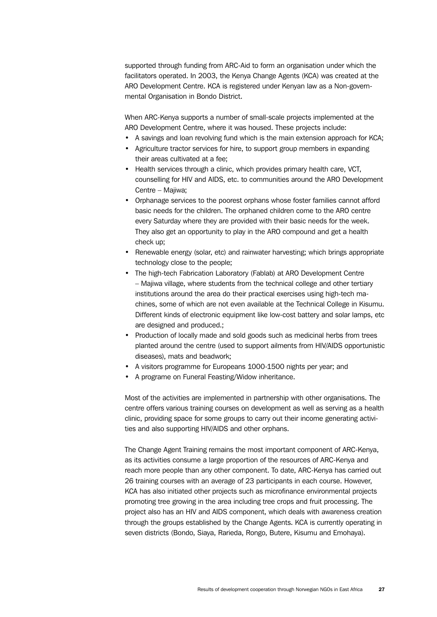supported through funding from ARC-Aid to form an organisation under which the facilitators operated. In 2003, the Kenya Change Agents (KCA) was created at the ARO Development Centre. KCA is registered under Kenyan law as a Non-governmental Organisation in Bondo District.

When ARC-Kenya supports a number of small-scale projects implemented at the ARO Development Centre, where it was housed. These projects include:

- A savings and loan revolving fund which is the main extension approach for KCA;
- Agriculture tractor services for hire, to support group members in expanding their areas cultivated at a fee;
- Health services through a clinic, which provides primary health care, VCT, counselling for HIV and AIDS, etc. to communities around the ARO Development Centre – Majiwa;
- Orphanage services to the poorest orphans whose foster families cannot afford basic needs for the children. The orphaned children come to the ARO centre every Saturday where they are provided with their basic needs for the week. They also get an opportunity to play in the ARO compound and get a health check up;
- Renewable energy (solar, etc) and rainwater harvesting; which brings appropriate technology close to the people;
- The high-tech Fabrication Laboratory (Fablab) at ARO Development Centre – Majiwa village, where students from the technical college and other tertiary institutions around the area do their practical exercises using high-tech machines, some of which are not even available at the Technical College in Kisumu. Different kinds of electronic equipment like low-cost battery and solar lamps, etc are designed and produced.;
- Production of locally made and sold goods such as medicinal herbs from trees planted around the centre (used to support ailments from HIV/AIDS opportunistic diseases), mats and beadwork;
- A visitors programme for Europeans 1000-1500 nights per year; and
- A programe on Funeral Feasting/Widow inheritance.

Most of the activities are implemented in partnership with other organisations. The centre offers various training courses on development as well as serving as a health clinic, providing space for some groups to carry out their income generating activities and also supporting HIV/AIDS and other orphans.

The Change Agent Training remains the most important component of ARC-Kenya, as its activities consume a large proportion of the resources of ARC-Kenya and reach more people than any other component. To date, ARC-Kenya has carried out 26 training courses with an average of 23 participants in each course. However, KCA has also initiated other projects such as microfinance environmental projects promoting tree growing in the area including tree crops and fruit processing. The project also has an HIV and AIDS component, which deals with awareness creation through the groups established by the Change Agents. KCA is currently operating in seven districts (Bondo, Siaya, Rarieda, Rongo, Butere, Kisumu and Emohaya).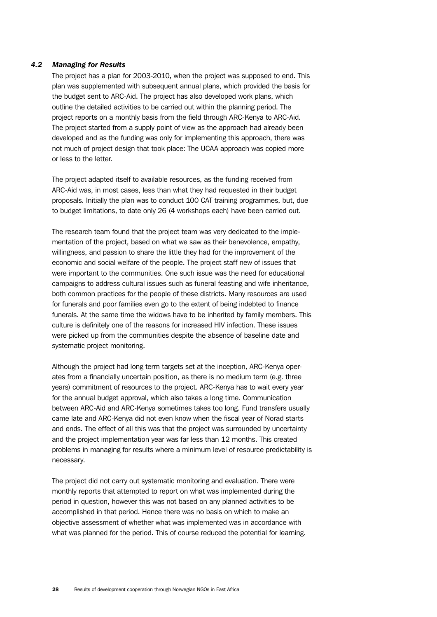# *4.2 Managing for Results*

The project has a plan for 2003-2010, when the project was supposed to end. This plan was supplemented with subsequent annual plans, which provided the basis for the budget sent to ARC-Aid. The project has also developed work plans, which outline the detailed activities to be carried out within the planning period. The project reports on a monthly basis from the field through ARC-Kenya to ARC-Aid. The project started from a supply point of view as the approach had already been developed and as the funding was only for implementing this approach, there was not much of project design that took place: The UCAA approach was copied more or less to the letter.

The project adapted itself to available resources, as the funding received from ARC-Aid was, in most cases, less than what they had requested in their budget proposals. Initially the plan was to conduct 100 CAT training programmes, but, due to budget limitations, to date only 26 (4 workshops each) have been carried out.

The research team found that the project team was very dedicated to the implementation of the project, based on what we saw as their benevolence, empathy, willingness, and passion to share the little they had for the improvement of the economic and social welfare of the people. The project staff new of issues that were important to the communities. One such issue was the need for educational campaigns to address cultural issues such as funeral feasting and wife inheritance, both common practices for the people of these districts. Many resources are used for funerals and poor families even go to the extent of being indebted to finance funerals. At the same time the widows have to be inherited by family members. This culture is definitely one of the reasons for increased HIV infection. These issues were picked up from the communities despite the absence of baseline date and systematic project monitoring.

Although the project had long term targets set at the inception, ARC-Kenya operates from a financially uncertain position, as there is no medium term (e.g. three years) commitment of resources to the project. ARC-Kenya has to wait every year for the annual budget approval, which also takes a long time. Communication between ARC-Aid and ARC-Kenya sometimes takes too long. Fund transfers usually came late and ARC-Kenya did not even know when the fiscal year of Norad starts and ends. The effect of all this was that the project was surrounded by uncertainty and the project implementation year was far less than 12 months. This created problems in managing for results where a minimum level of resource predictability is necessary.

The project did not carry out systematic monitoring and evaluation. There were monthly reports that attempted to report on what was implemented during the period in question, however this was not based on any planned activities to be accomplished in that period. Hence there was no basis on which to make an objective assessment of whether what was implemented was in accordance with what was planned for the period. This of course reduced the potential for learning.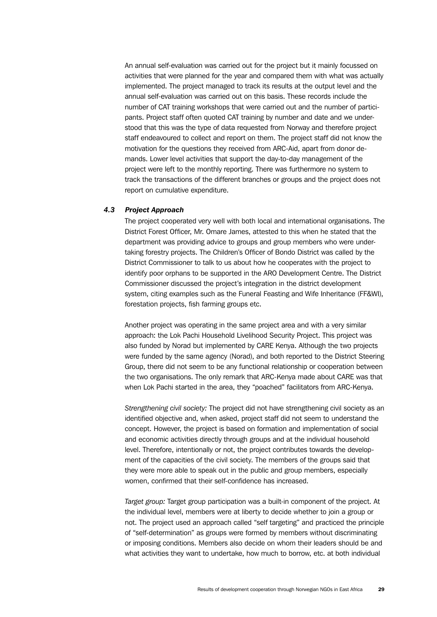An annual self-evaluation was carried out for the project but it mainly focussed on activities that were planned for the year and compared them with what was actually implemented. The project managed to track its results at the output level and the annual self-evaluation was carried out on this basis. These records include the number of CAT training workshops that were carried out and the number of participants. Project staff often quoted CAT training by number and date and we understood that this was the type of data requested from Norway and therefore project staff endeavoured to collect and report on them. The project staff did not know the motivation for the questions they received from ARC-Aid, apart from donor demands. Lower level activities that support the day-to-day management of the project were left to the monthly reporting. There was furthermore no system to track the transactions of the different branches or groups and the project does not report on cumulative expenditure.

# *4.3 Project Approach*

The project cooperated very well with both local and international organisations. The District Forest Officer, Mr. Omare James, attested to this when he stated that the department was providing advice to groups and group members who were undertaking forestry projects. The Children's Officer of Bondo District was called by the District Commissioner to talk to us about how he cooperates with the project to identify poor orphans to be supported in the ARO Development Centre. The District Commissioner discussed the project's integration in the district development system, citing examples such as the Funeral Feasting and Wife Inheritance (FF&WI), forestation projects, fish farming groups etc.

Another project was operating in the same project area and with a very similar approach: the Lok Pachi Household Livelihood Security Project. This project was also funded by Norad but implemented by CARE Kenya. Although the two projects were funded by the same agency (Norad), and both reported to the District Steering Group, there did not seem to be any functional relationship or cooperation between the two organisations. The only remark that ARC-Kenya made about CARE was that when Lok Pachi started in the area, they "poached" facilitators from ARC-Kenya.

*Strengthening civil society:* The project did not have strengthening civil society as an identified objective and, when asked, project staff did not seem to understand the concept. However, the project is based on formation and implementation of social and economic activities directly through groups and at the individual household level. Therefore, intentionally or not, the project contributes towards the development of the capacities of the civil society. The members of the groups said that they were more able to speak out in the public and group members, especially women, confirmed that their self-confidence has increased.

*Target group:* Target group participation was a built-in component of the project. At the individual level, members were at liberty to decide whether to join a group or not. The project used an approach called "self targeting" and practiced the principle of "self-determination" as groups were formed by members without discriminating or imposing conditions. Members also decide on whom their leaders should be and what activities they want to undertake, how much to borrow, etc. at both individual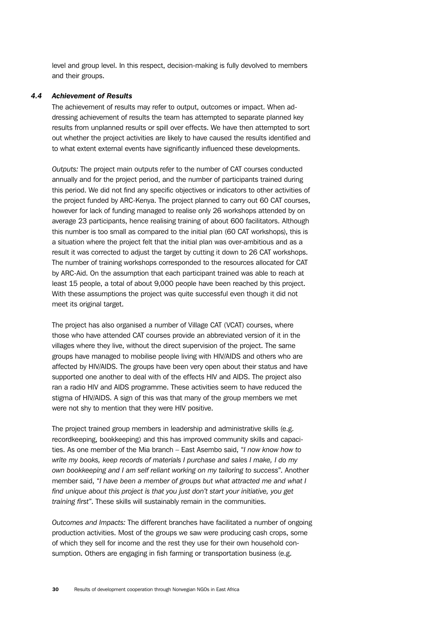level and group level. In this respect, decision-making is fully devolved to members and their groups.

# *4.4 Achievement of Results*

The achievement of results may refer to output, outcomes or impact. When addressing achievement of results the team has attempted to separate planned key results from unplanned results or spill over effects. We have then attempted to sort out whether the project activities are likely to have caused the results identified and to what extent external events have significantly influenced these developments.

*Outputs:* The project main outputs refer to the number of CAT courses conducted annually and for the project period, and the number of participants trained during this period. We did not find any specific objectives or indicators to other activities of the project funded by ARC-Kenya. The project planned to carry out 60 CAT courses, however for lack of funding managed to realise only 26 workshops attended by on average 23 participants, hence realising training of about 600 facilitators. Although this number is too small as compared to the initial plan (60 CAT workshops), this is a situation where the project felt that the initial plan was over-ambitious and as a result it was corrected to adjust the target by cutting it down to 26 CAT workshops. The number of training workshops corresponded to the resources allocated for CAT by ARC-Aid. On the assumption that each participant trained was able to reach at least 15 people, a total of about 9,000 people have been reached by this project. With these assumptions the project was quite successful even though it did not meet its original target.

The project has also organised a number of Village CAT (VCAT) courses, where those who have attended CAT courses provide an abbreviated version of it in the villages where they live, without the direct supervision of the project. The same groups have managed to mobilise people living with HIV/AIDS and others who are affected by HIV/AIDS. The groups have been very open about their status and have supported one another to deal with of the effects HIV and AIDS. The project also ran a radio HIV and AIDS programme. These activities seem to have reduced the stigma of HIV/AIDS. A sign of this was that many of the group members we met were not shy to mention that they were HIV positive.

The project trained group members in leadership and administrative skills (e.g. recordkeeping, bookkeeping) and this has improved community skills and capacities. As one member of the Mia branch – East Asembo said, "*I now know how to write my books, keep records of materials I purchase and sales I make, I do my own bookkeeping and I am self reliant working on my tailoring to success*". Another member said, "*I have been a member of groups but what attracted me and what I find unique about this project is that you just don't start your initiative, you get training first*". These skills will sustainably remain in the communities.

*Outcomes and Impacts:* The different branches have facilitated a number of ongoing production activities. Most of the groups we saw were producing cash crops, some of which they sell for income and the rest they use for their own household consumption. Others are engaging in fish farming or transportation business (e.g.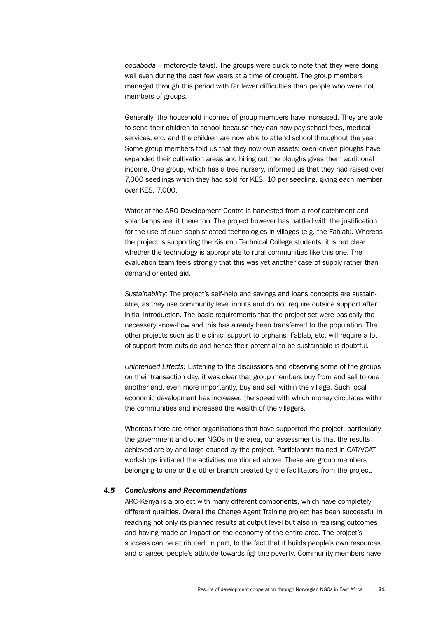*bodaboda* – motorcycle taxis). The groups were quick to note that they were doing well even during the past few years at a time of drought. The group members managed through this period with far fewer difficulties than people who were not members of groups.

Generally, the household incomes of group members have increased. They are able to send their children to school because they can now pay school fees, medical services, etc. and the children are now able to attend school throughout the year. Some group members told us that they now own assets: oxen-driven ploughs have expanded their cultivation areas and hiring out the ploughs gives them additional income. One group, which has a tree nursery, informed us that they had raised over 7,000 seedlings which they had sold for KES. 10 per seedling, giving each member over KES. 7,000.

Water at the ARO Development Centre is harvested from a roof catchment and solar lamps are lit there too. The project however has battled with the justification for the use of such sophisticated technologies in villages (e.g. the Fablab). Whereas the project is supporting the Kisumu Technical College students, it is not clear whether the technology is appropriate to rural communities like this one. The evaluation team feels strongly that this was yet another case of supply rather than demand oriented aid.

*Sustainability:* The project's self-help and savings and loans concepts are sustainable, as they use community level inputs and do not require outside support after initial introduction. The basic requirements that the project set were basically the necessary know-how and this has already been transferred to the population. The other projects such as the clinic, support to orphans, Fablab, etc. will require a lot of support from outside and hence their potential to be sustainable is doubtful.

*Unintended Effects:* Listening to the discussions and observing some of the groups on their transaction day, it was clear that group members buy from and sell to one another and, even more importantly, buy and sell within the village. Such local economic development has increased the speed with which money circulates within the communities and increased the wealth of the villagers.

Whereas there are other organisations that have supported the project, particularly the government and other NGOs in the area, our assessment is that the results achieved are by and large caused by the project. Participants trained in CAT/VCAT workshops initiated the activities mentioned above. These are group members belonging to one or the other branch created by the facilitators from the project.

# *4.5 Conclusions and Recommendations*

ARC-Kenya is a project with many different components, which have completely different qualities. Overall the Change Agent Training project has been successful in reaching not only its planned results at output level but also in realising outcomes and having made an impact on the economy of the entire area. The project's success can be attributed, in part, to the fact that it builds people's own resources and changed people's attitude towards fighting poverty. Community members have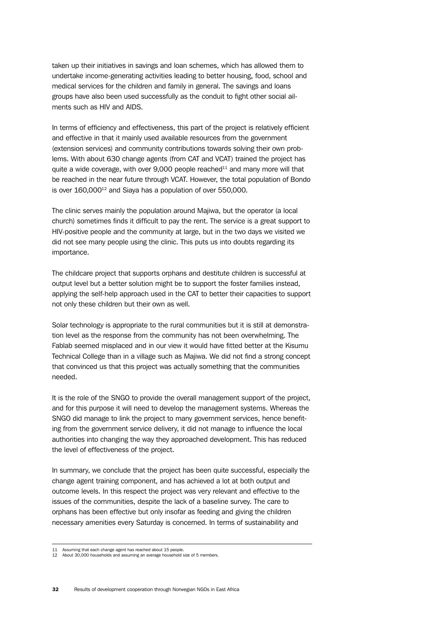taken up their initiatives in savings and loan schemes, which has allowed them to undertake income-generating activities leading to better housing, food, school and medical services for the children and family in general. The savings and loans groups have also been used successfully as the conduit to fight other social ailments such as HIV and AIDS.

In terms of efficiency and effectiveness, this part of the project is relatively efficient and effective in that it mainly used available resources from the government (extension services) and community contributions towards solving their own problems. With about 630 change agents (from CAT and VCAT) trained the project has quite a wide coverage, with over  $9,000$  people reached $11$  and many more will that be reached in the near future through VCAT. However, the total population of Bondo is over  $160,000^{12}$  and Siaya has a population of over 550,000.

The clinic serves mainly the population around Majiwa, but the operator (a local church) sometimes finds it difficult to pay the rent. The service is a great support to HIV-positive people and the community at large, but in the two days we visited we did not see many people using the clinic. This puts us into doubts regarding its importance.

The childcare project that supports orphans and destitute children is successful at output level but a better solution might be to support the foster families instead, applying the self-help approach used in the CAT to better their capacities to support not only these children but their own as well.

Solar technology is appropriate to the rural communities but it is still at demonstration level as the response from the community has not been overwhelming. The Fablab seemed misplaced and in our view it would have fitted better at the Kisumu Technical College than in a village such as Majiwa. We did not find a strong concept that convinced us that this project was actually something that the communities needed.

It is the role of the SNGO to provide the overall management support of the project, and for this purpose it will need to develop the management systems. Whereas the SNGO did manage to link the project to many government services, hence benefiting from the government service delivery, it did not manage to influence the local authorities into changing the way they approached development. This has reduced the level of effectiveness of the project.

In summary, we conclude that the project has been quite successful, especially the change agent training component, and has achieved a lot at both output and outcome levels. In this respect the project was very relevant and effective to the issues of the communities, despite the lack of a baseline survey. The care to orphans has been effective but only insofar as feeding and giving the children necessary amenities every Saturday is concerned. In terms of sustainability and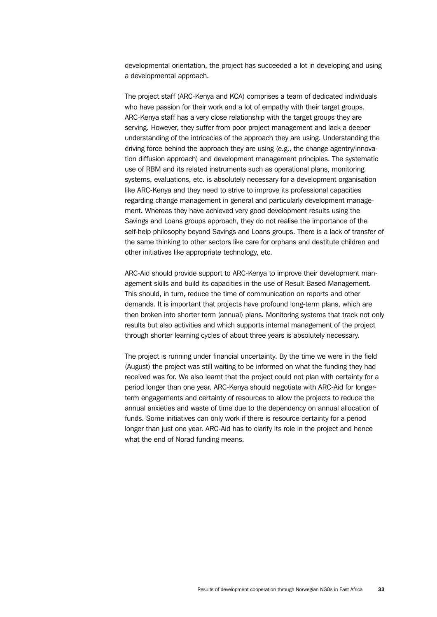developmental orientation, the project has succeeded a lot in developing and using a developmental approach.

The project staff (ARC-Kenya and KCA) comprises a team of dedicated individuals who have passion for their work and a lot of empathy with their target groups. ARC-Kenya staff has a very close relationship with the target groups they are serving. However, they suffer from poor project management and lack a deeper understanding of the intricacies of the approach they are using. Understanding the driving force behind the approach they are using (e.g., the change agentry/innovation diffusion approach) and development management principles. The systematic use of RBM and its related instruments such as operational plans, monitoring systems, evaluations, etc. is absolutely necessary for a development organisation like ARC-Kenya and they need to strive to improve its professional capacities regarding change management in general and particularly development management. Whereas they have achieved very good development results using the Savings and Loans groups approach, they do not realise the importance of the self-help philosophy beyond Savings and Loans groups. There is a lack of transfer of the same thinking to other sectors like care for orphans and destitute children and other initiatives like appropriate technology, etc.

ARC-Aid should provide support to ARC-Kenya to improve their development management skills and build its capacities in the use of Result Based Management. This should, in turn, reduce the time of communication on reports and other demands. It is important that projects have profound long-term plans, which are then broken into shorter term (annual) plans. Monitoring systems that track not only results but also activities and which supports internal management of the project through shorter learning cycles of about three years is absolutely necessary.

The project is running under financial uncertainty. By the time we were in the field (August) the project was still waiting to be informed on what the funding they had received was for. We also learnt that the project could not plan with certainty for a period longer than one year. ARC-Kenya should negotiate with ARC-Aid for longerterm engagements and certainty of resources to allow the projects to reduce the annual anxieties and waste of time due to the dependency on annual allocation of funds. Some initiatives can only work if there is resource certainty for a period longer than just one year. ARC-Aid has to clarify its role in the project and hence what the end of Norad funding means.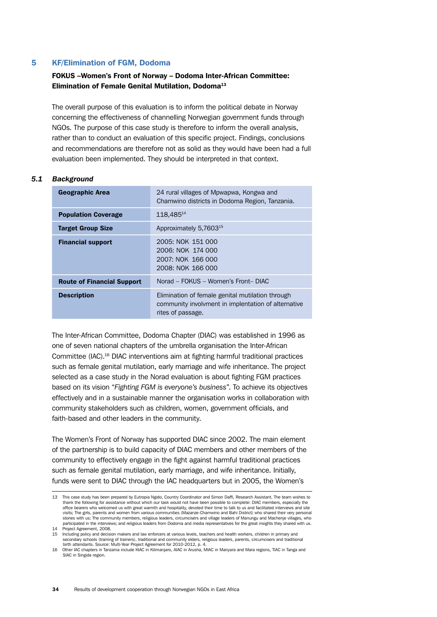# 5 KF/Elimination of FGM, Dodoma

# FOKUS –Women's Front of Norway – Dodoma Inter-African Committee: Elimination of Female Genital Mutilation, Dodoma<sup>13</sup>

The overall purpose of this evaluation is to inform the political debate in Norway concerning the effectiveness of channelling Norwegian government funds through NGOs. The purpose of this case study is therefore to inform the overall analysis, rather than to conduct an evaluation of this specific project. Findings, conclusions and recommendations are therefore not as solid as they would have been had a full evaluation been implemented. They should be interpreted in that context.

### *5.1 Background*

| <b>Geographic Area</b>            | 24 rural villages of Mpwapwa, Kongwa and<br>Chamwino districts in Dodoma Region, Tanzania.                                   |
|-----------------------------------|------------------------------------------------------------------------------------------------------------------------------|
| <b>Population Coverage</b>        | 118,48514                                                                                                                    |
| <b>Target Group Size</b>          | Approximately 5,7603 <sup>15</sup>                                                                                           |
| <b>Financial support</b>          | 2005: NOK 151 000<br>2006: NOK 174 000<br>2007: NOK 166 000<br>2008: NOK 166 000                                             |
| <b>Route of Financial Support</b> | Norad - FOKUS - Women's Front-DIAC                                                                                           |
| <b>Description</b>                | Elimination of female genital mutilation through<br>community involvment in implentation of alternative<br>rites of passage. |

The Inter-African Committee, Dodoma Chapter (DIAC) was established in 1996 as one of seven national chapters of the umbrella organisation the Inter-African Committee (IAC).16 DIAC interventions aim at fighting harmful traditional practices such as female genital mutilation, early marriage and wife inheritance. The project selected as a case study in the Norad evaluation is about fighting FGM practices based on its vision "*Fighting FGM is everyone's business"*. To achieve its objectives effectively and in a sustainable manner the organisation works in collaboration with community stakeholders such as children, women, government officials, and faith-based and other leaders in the community.

The Women's Front of Norway has supported DIAC since 2002. The main element of the partnership is to build capacity of DIAC members and other members of the community to effectively engage in the fight against harmful traditional practices such as female genital mutilation, early marriage, and wife inheritance. Initially, funds were sent to DIAC through the IAC headquarters but in 2005, the Women's

<sup>13</sup> This case study has been prepared by Eutropia Ngido, Country Coordinator and Simon Daffi, Research Assistant. The team wishes to thank the following for assistance without which our task would not have been possible to complete: DIAC members, especially the office bearers who welcomed us with great warmth and hospitality, devoted their time to talk to us and facilitated interviews and site visits; The girls, parents and women from various communities (Mazanze-Chamwino and Bahi District) who shared their very personal<br>stories with us; The community members, religious leaders, circumcisers and village leaders participated in the interviews; and religious leaders from Dodoma and media representatives for the great insights they shared with us. paradipated in the internet<br>14 Project Agreement, 2008.

<sup>15</sup> Including policy and decision makers and law enforcers at various levels, teachers and health workers, children in primary and secondary schools (training of trainers), traditional and community elders, religious leaders, parents, circumcisers and traditional birth attendants. Source: Multi-Year Project Agreement for 2010-2012, p. 4.

<sup>16</sup> Other IAC chapters in Tanzania include KIAC in Kilimanjaro, AIAC in Arusha, MIAC in Manyara and Mara regions, TIAC in Tanga and SIAC in Singida region.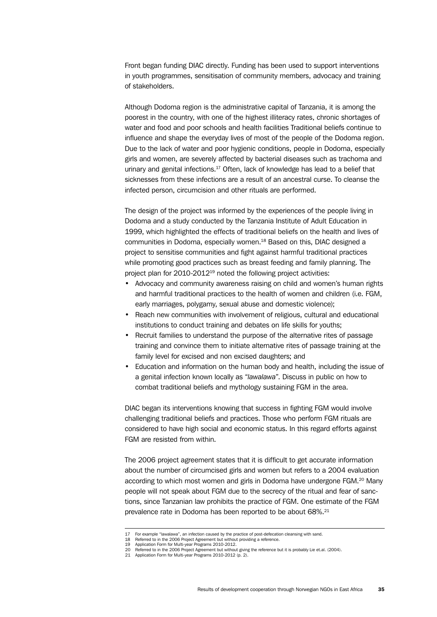Front began funding DIAC directly. Funding has been used to support interventions in youth programmes, sensitisation of community members, advocacy and training of stakeholders.

Although Dodoma region is the administrative capital of Tanzania, it is among the poorest in the country, with one of the highest illiteracy rates, chronic shortages of water and food and poor schools and health facilities Traditional beliefs continue to influence and shape the everyday lives of most of the people of the Dodoma region. Due to the lack of water and poor hygienic conditions, people in Dodoma, especially girls and women, are severely affected by bacterial diseases such as trachoma and urinary and genital infections.<sup>17</sup> Often, lack of knowledge has lead to a belief that sicknesses from these infections are a result of an ancestral curse. To cleanse the infected person, circumcision and other rituals are performed.

The design of the project was informed by the experiences of the people living in Dodoma and a study conducted by the Tanzania Institute of Adult Education in 1999, which highlighted the effects of traditional beliefs on the health and lives of communities in Dodoma, especially women.18 Based on this, DIAC designed a project to sensitise communities and fight against harmful traditional practices while promoting good practices such as breast feeding and family planning. The project plan for 2010-201219 noted the following project activities:

- Advocacy and community awareness raising on child and women's human rights and harmful traditional practices to the health of women and children (i.e. FGM, early marriages, polygamy, sexual abuse and domestic violence);
- Reach new communities with involvement of religious, cultural and educational institutions to conduct training and debates on life skills for youths;
- Recruit families to understand the purpose of the alternative rites of passage training and convince them to initiate alternative rites of passage training at the family level for excised and non excised daughters; and
- Education and information on the human body and health, including the issue of a genital infection known locally as "*lawalawa*". Discuss in public on how to combat traditional beliefs and mythology sustaining FGM in the area.

DIAC began its interventions knowing that success in fighting FGM would involve challenging traditional beliefs and practices. Those who perform FGM rituals are considered to have high social and economic status. In this regard efforts against FGM are resisted from within.

The 2006 project agreement states that it is difficult to get accurate information about the number of circumcised girls and women but refers to a 2004 evaluation according to which most women and girls in Dodoma have undergone FGM.<sup>20</sup> Many people will not speak about FGM due to the secrecy of the ritual and fear of sanctions, since Tanzanian law prohibits the practice of FGM. One estimate of the FGM prevalence rate in Dodoma has been reported to be about 68%.<sup>21</sup>

<sup>17</sup> For example "lawalawa", an infection caused by the practice of post-defecation cleansing with sand.

<sup>18</sup> Referred to in the 2006 Project Agreement but without providing a reference. 19 Application Form for Multi-year Programs 2010-2012.

<sup>20</sup> Referred to in the 2006 Project Agreement but without giving the reference but it is probably Lie et.al. (2004). 21 Application Form for Multi-year Programs 2010-2012 (p. 2).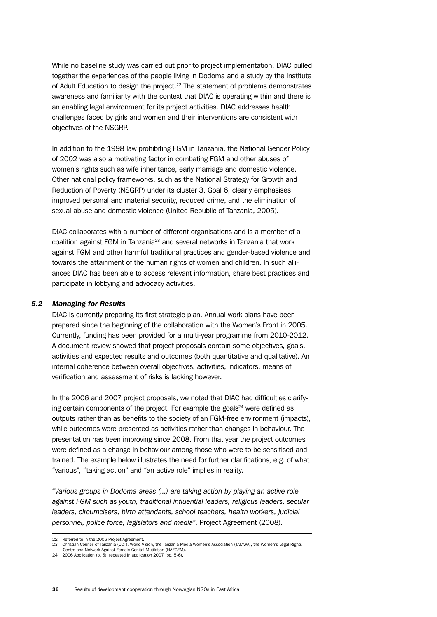While no baseline study was carried out prior to project implementation, DIAC pulled together the experiences of the people living in Dodoma and a study by the Institute of Adult Education to design the project.22 The statement of problems demonstrates awareness and familiarity with the context that DIAC is operating within and there is an enabling legal environment for its project activities. DIAC addresses health challenges faced by girls and women and their interventions are consistent with objectives of the NSGRP.

In addition to the 1998 law prohibiting FGM in Tanzania, the National Gender Policy of 2002 was also a motivating factor in combating FGM and other abuses of women's rights such as wife inheritance, early marriage and domestic violence. Other national policy frameworks, such as the National Strategy for Growth and Reduction of Poverty (NSGRP) under its cluster 3, Goal 6, clearly emphasises improved personal and material security, reduced crime, and the elimination of sexual abuse and domestic violence (United Republic of Tanzania, 2005).

DIAC collaborates with a number of different organisations and is a member of a coalition against FGM in Tanzania23 and several networks in Tanzania that work against FGM and other harmful traditional practices and gender-based violence and towards the attainment of the human rights of women and children. In such alliances DIAC has been able to access relevant information, share best practices and participate in lobbying and advocacy activities.

# *5.2 Managing for Results*

DIAC is currently preparing its first strategic plan. Annual work plans have been prepared since the beginning of the collaboration with the Women's Front in 2005. Currently, funding has been provided for a multi-year programme from 2010-2012. A document review showed that project proposals contain some objectives, goals, activities and expected results and outcomes (both quantitative and qualitative). An internal coherence between overall objectives, activities, indicators, means of verification and assessment of risks is lacking however.

In the 2006 and 2007 project proposals, we noted that DIAC had difficulties clarifying certain components of the project. For example the goals $24$  were defined as outputs rather than as benefits to the society of an FGM-free environment (impacts), while outcomes were presented as activities rather than changes in behaviour. The presentation has been improving since 2008. From that year the project outcomes were defined as a change in behaviour among those who were to be sensitised and trained. The example below illustrates the need for further clarifications, e.g. of what "various", "taking action" and "an active role" implies in reality.

"*Various groups in Dodoma areas (...) are taking action by playing an active role against FGM such as youth, traditional influential leaders, religious leaders, secular leaders, circumcisers, birth attendants, school teachers, health workers, judicial personnel, police force, legislators and media*". Project Agreement (2008).

<sup>22</sup> Referred to in the 2006 Project Agreement.

<sup>23</sup> Christian Council of Tanzania (CCT), World Vision, the Tanzania Media Women's Association (TAMWA), the Women's Legal Rights Centre and Network Against Female Genital Mutilation (NAFGEM).

<sup>24</sup> 2006 Application (p. 5), repeated in application 2007 (pp. 5-6).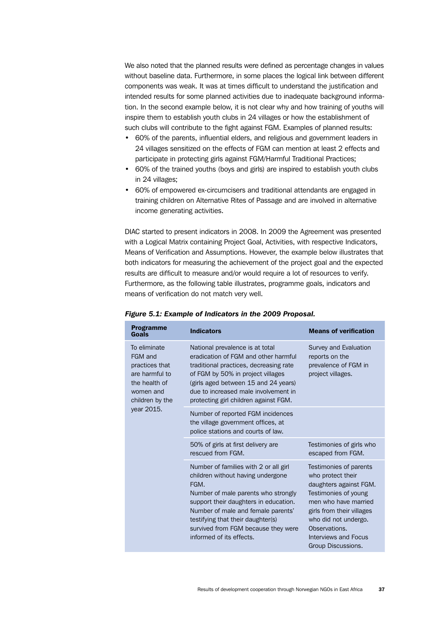We also noted that the planned results were defined as percentage changes in values without baseline data. Furthermore, in some places the logical link between different components was weak. It was at times difficult to understand the justification and intended results for some planned activities due to inadequate background information. In the second example below, it is not clear why and how training of youths will inspire them to establish youth clubs in 24 villages or how the establishment of such clubs will contribute to the fight against FGM. Examples of planned results:

- 60% of the parents, influential elders, and religious and government leaders in 24 villages sensitized on the effects of FGM can mention at least 2 effects and participate in protecting girls against FGM/Harmful Traditional Practices;
- 60% of the trained youths (boys and girls) are inspired to establish youth clubs in 24 villages;
- 60% of empowered ex-circumcisers and traditional attendants are engaged in training children on Alternative Rites of Passage and are involved in alternative income generating activities.

DIAC started to present indicators in 2008. In 2009 the Agreement was presented with a Logical Matrix containing Project Goal, Activities, with respective Indicators, Means of Verification and Assumptions. However, the example below illustrates that both indicators for measuring the achievement of the project goal and the expected results are difficult to measure and/or would require a lot of resources to verify. Furthermore, as the following table illustrates, programme goals, indicators and means of verification do not match very well.

| <b>Programme</b><br>Goals                                                                                                  | <b>Indicators</b>                                                                                                                                                                                                                                                                                                | <b>Means of verification</b>                                                                                                                                                                                                              |
|----------------------------------------------------------------------------------------------------------------------------|------------------------------------------------------------------------------------------------------------------------------------------------------------------------------------------------------------------------------------------------------------------------------------------------------------------|-------------------------------------------------------------------------------------------------------------------------------------------------------------------------------------------------------------------------------------------|
| To eliminate<br>FGM and<br>practices that<br>are harmful to<br>the health of<br>women and<br>children by the<br>year 2015. | National prevalence is at total<br>eradication of FGM and other harmful<br>traditional practices, decreasing rate<br>of FGM by 50% in project villages<br>(girls aged between 15 and 24 years)<br>due to increased male involvement in<br>protecting girl children against FGM.                                  | Survey and Evaluation<br>reports on the<br>prevalence of FGM in<br>project villages.                                                                                                                                                      |
|                                                                                                                            | Number of reported FGM incidences<br>the village government offices, at<br>police stations and courts of law.                                                                                                                                                                                                    |                                                                                                                                                                                                                                           |
|                                                                                                                            | 50% of girls at first delivery are<br>rescued from FGM.                                                                                                                                                                                                                                                          | Testimonies of girls who<br>escaped from FGM.                                                                                                                                                                                             |
|                                                                                                                            | Number of families with 2 or all girl<br>children without having undergone<br>FGM.<br>Number of male parents who strongly<br>support their daughters in education.<br>Number of male and female parents'<br>testifying that their daughter(s)<br>survived from FGM because they were<br>informed of its effects. | Testimonies of parents<br>who protect their<br>daughters against FGM.<br>Testimonies of young<br>men who have married<br>girls from their villages<br>who did not undergo.<br>Observations.<br>Interviews and Focus<br>Group Discussions. |

#### *Figure 5.1: Example of Indicators in the 2009 Proposal.*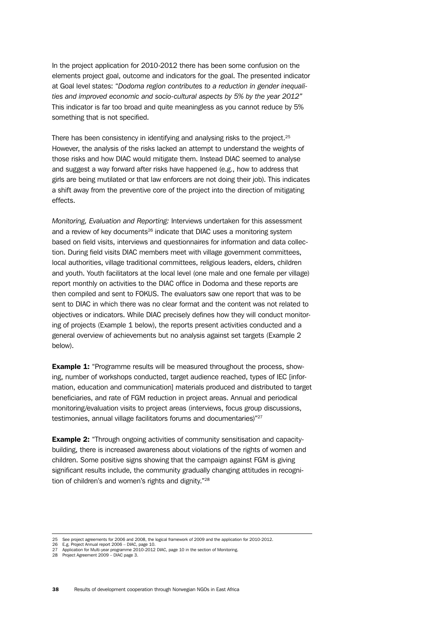In the project application for 2010-2012 there has been some confusion on the elements project goal, outcome and indicators for the goal. The presented indicator at Goal level states: "*Dodoma region contributes to a reduction in gender inequalities and improved economic and socio-cultural aspects by 5% by the year 2012"* This indicator is far too broad and quite meaningless as you cannot reduce by 5% something that is not specified.

There has been consistency in identifying and analysing risks to the project.<sup>25</sup> However, the analysis of the risks lacked an attempt to understand the weights of those risks and how DIAC would mitigate them. Instead DIAC seemed to analyse and suggest a way forward after risks have happened (e.g., how to address that girls are being mutilated or that law enforcers are not doing their job). This indicates a shift away from the preventive core of the project into the direction of mitigating effects.

*Monitoring, Evaluation and Reporting:* Interviews undertaken for this assessment and a review of key documents<sup>26</sup> indicate that DIAC uses a monitoring system based on field visits, interviews and questionnaires for information and data collection. During field visits DIAC members meet with village government committees, local authorities, village traditional committees, religious leaders, elders, children and youth. Youth facilitators at the local level (one male and one female per village) report monthly on activities to the DIAC office in Dodoma and these reports are then compiled and sent to FOKUS. The evaluators saw one report that was to be sent to DIAC in which there was no clear format and the content was not related to objectives or indicators. While DIAC precisely defines how they will conduct monitoring of projects (Example 1 below), the reports present activities conducted and a general overview of achievements but no analysis against set targets (Example 2 below).

**Example 1:** "Programme results will be measured throughout the process, showing, number of workshops conducted, target audience reached, types of IEC [information, education and communication] materials produced and distributed to target beneficiaries, and rate of FGM reduction in project areas. Annual and periodical monitoring/evaluation visits to project areas (interviews, focus group discussions, testimonies, annual village facilitators forums and documentaries)"27

**Example 2:** "Through ongoing activities of community sensitisation and capacitybuilding, there is increased awareness about violations of the rights of women and children. Some positive signs showing that the campaign against FGM is giving significant results include, the community gradually changing attitudes in recognition of children's and women's rights and dignity."<sup>28</sup>

<sup>25</sup> See project agreements for 2006 and 2008, the logical framework of 2009 and the application for 2010-2012.

<sup>26</sup> E.g. Project Annual report 2006 – DIAC, page 10. 27 Application for Multi-year programme 2010-2012 DIAC, page 10 in the section of Monitoring. 28 Project Agreement 2009 – DIAC page 3.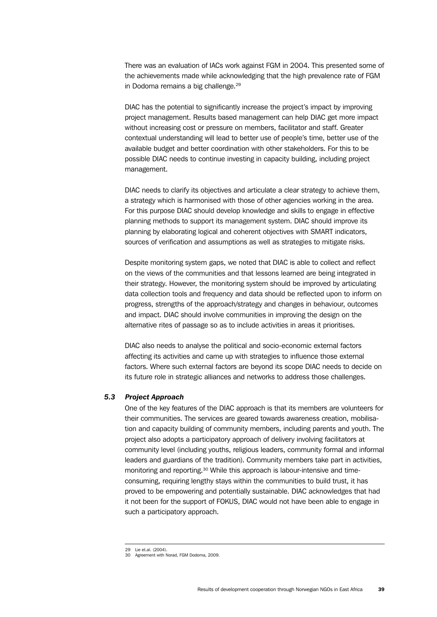There was an evaluation of IACs work against FGM in 2004. This presented some of the achievements made while acknowledging that the high prevalence rate of FGM in Dodoma remains a big challenge.<sup>29</sup>

DIAC has the potential to significantly increase the project's impact by improving project management. Results based management can help DIAC get more impact without increasing cost or pressure on members, facilitator and staff. Greater contextual understanding will lead to better use of people's time, better use of the available budget and better coordination with other stakeholders. For this to be possible DIAC needs to continue investing in capacity building, including project management.

DIAC needs to clarify its objectives and articulate a clear strategy to achieve them, a strategy which is harmonised with those of other agencies working in the area. For this purpose DIAC should develop knowledge and skills to engage in effective planning methods to support its management system. DIAC should improve its planning by elaborating logical and coherent objectives with SMART indicators, sources of verification and assumptions as well as strategies to mitigate risks.

Despite monitoring system gaps, we noted that DIAC is able to collect and reflect on the views of the communities and that lessons learned are being integrated in their strategy. However, the monitoring system should be improved by articulating data collection tools and frequency and data should be reflected upon to inform on progress, strengths of the approach/strategy and changes in behaviour, outcomes and impact. DIAC should involve communities in improving the design on the alternative rites of passage so as to include activities in areas it prioritises.

DIAC also needs to analyse the political and socio-economic external factors affecting its activities and came up with strategies to influence those external factors. Where such external factors are beyond its scope DIAC needs to decide on its future role in strategic alliances and networks to address those challenges.

### *5.3 Project Approach*

One of the key features of the DIAC approach is that its members are volunteers for their communities. The services are geared towards awareness creation, mobilisation and capacity building of community members, including parents and youth. The project also adopts a participatory approach of delivery involving facilitators at community level (including youths, religious leaders, community formal and informal leaders and guardians of the tradition). Community members take part in activities, monitoring and reporting.30 While this approach is labour-intensive and timeconsuming, requiring lengthy stays within the communities to build trust, it has proved to be empowering and potentially sustainable. DIAC acknowledges that had it not been for the support of FOKUS, DIAC would not have been able to engage in such a participatory approach.

<sup>29</sup> Lie et.al. (2004).

<sup>30</sup> Agreement with Norad, FGM Dodoma, 2009.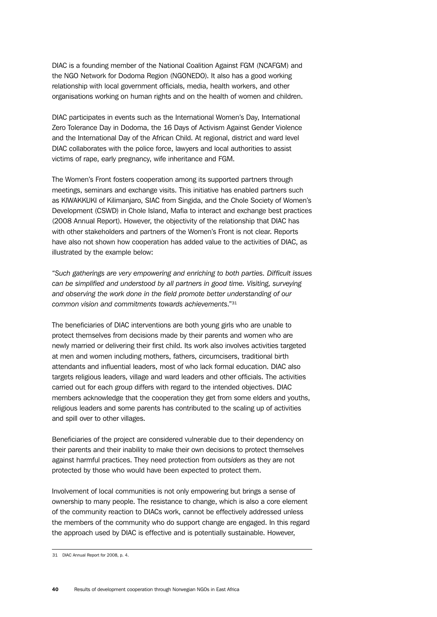DIAC is a founding member of the National Coalition Against FGM (NCAFGM) and the NGO Network for Dodoma Region (NGONEDO). It also has a good working relationship with local government officials, media, health workers, and other organisations working on human rights and on the health of women and children.

DIAC participates in events such as the International Women's Day, International Zero Tolerance Day in Dodoma, the 16 Days of Activism Against Gender Violence and the International Day of the African Child. At regional, district and ward level DIAC collaborates with the police force, lawyers and local authorities to assist victims of rape, early pregnancy, wife inheritance and FGM.

The Women's Front fosters cooperation among its supported partners through meetings, seminars and exchange visits. This initiative has enabled partners such as KIWAKKUKI of Kilimanjaro, SIAC from Singida, and the Chole Society of Women's Development (CSWD) in Chole Island, Mafia to interact and exchange best practices (2008 Annual Report). However, the objectivity of the relationship that DIAC has with other stakeholders and partners of the Women's Front is not clear. Reports have also not shown how cooperation has added value to the activities of DIAC, as illustrated by the example below:

"*Such gatherings are very empowering and enriching to both parties. Difficult issues can be simplified and understood by all partners in good time. Visiting, surveying and observing the work done in the field promote better understanding of our common vision and commitments towards achievements*."31

The beneficiaries of DIAC interventions are both young girls who are unable to protect themselves from decisions made by their parents and women who are newly married or delivering their first child. Its work also involves activities targeted at men and women including mothers, fathers, circumcisers, traditional birth attendants and influential leaders, most of who lack formal education. DIAC also targets religious leaders, village and ward leaders and other officials. The activities carried out for each group differs with regard to the intended objectives. DIAC members acknowledge that the cooperation they get from some elders and youths, religious leaders and some parents has contributed to the scaling up of activities and spill over to other villages.

Beneficiaries of the project are considered vulnerable due to their dependency on their parents and their inability to make their own decisions to protect themselves against harmful practices. They need protection from *outsiders* as they are not protected by those who would have been expected to protect them.

Involvement of local communities is not only empowering but brings a sense of ownership to many people. The resistance to change, which is also a core element of the community reaction to DIACs work, cannot be effectively addressed unless the members of the community who do support change are engaged. In this regard the approach used by DIAC is effective and is potentially sustainable. However,

<sup>31</sup> DIAC Annual Report for 2008, p. 4.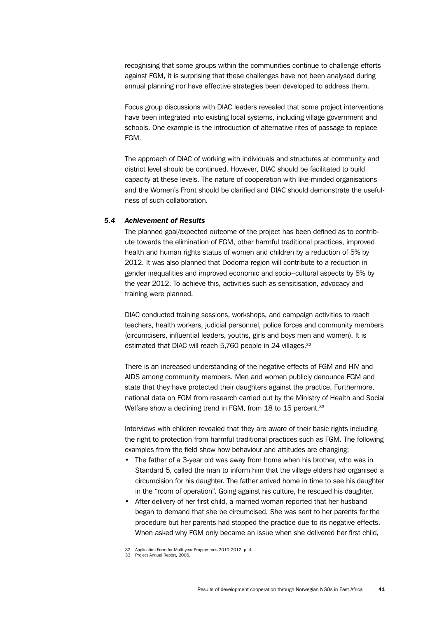recognising that some groups within the communities continue to challenge efforts against FGM, it is surprising that these challenges have not been analysed during annual planning nor have effective strategies been developed to address them.

Focus group discussions with DIAC leaders revealed that some project interventions have been integrated into existing local systems, including village government and schools. One example is the introduction of alternative rites of passage to replace FGM.

The approach of DIAC of working with individuals and structures at community and district level should be continued. However, DIAC should be facilitated to build capacity at these levels. The nature of cooperation with like-minded organisations and the Women's Front should be clarified and DIAC should demonstrate the usefulness of such collaboration.

### *5.4 Achievement of Results*

The planned goal/expected outcome of the project has been defined as to contribute towards the elimination of FGM, other harmful traditional practices, improved health and human rights status of women and children by a reduction of 5% by 2012. It was also planned that Dodoma region will contribute to a reduction in gender inequalities and improved economic and socio–cultural aspects by 5% by the year 2012. To achieve this, activities such as sensitisation, advocacy and training were planned.

DIAC conducted training sessions, workshops, and campaign activities to reach teachers, health workers, judicial personnel, police forces and community members (circumcisers, influential leaders, youths, girls and boys men and women). It is estimated that DIAC will reach 5,760 people in 24 villages.<sup>32</sup>

There is an increased understanding of the negative effects of FGM and HIV and AIDS among community members. Men and women publicly denounce FGM and state that they have protected their daughters against the practice. Furthermore, national data on FGM from research carried out by the Ministry of Health and Social Welfare show a declining trend in FGM, from 18 to 15 percent.<sup>33</sup>

Interviews with children revealed that they are aware of their basic rights including the right to protection from harmful traditional practices such as FGM. The following examples from the field show how behaviour and attitudes are changing:

- The father of a 3-year old was away from home when his brother, who was in Standard 5, called the man to inform him that the village elders had organised a circumcision for his daughter. The father arrived home in time to see his daughter in the "room of operation". Going against his culture, he rescued his daughter.
- After delivery of her first child, a married woman reported that her husband began to demand that she be circumcised. She was sent to her parents for the procedure but her parents had stopped the practice due to its negative effects. When asked why FGM only became an issue when she delivered her first child.

<sup>32</sup> Application Form for Multi-year Programmes 2010-2012, p. 4. 33 Project Annual Report, 2006.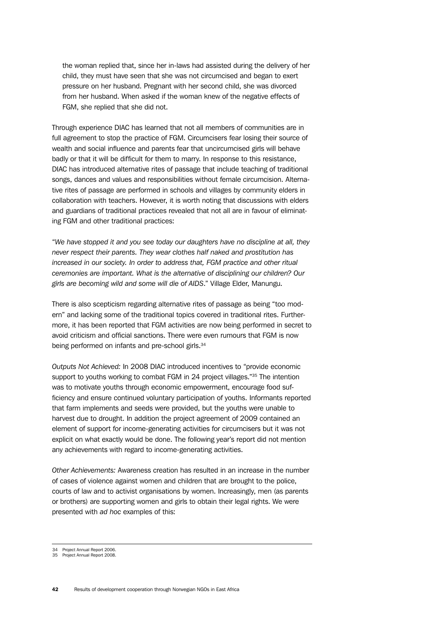the woman replied that, since her in-laws had assisted during the delivery of her child, they must have seen that she was not circumcised and began to exert pressure on her husband. Pregnant with her second child, she was divorced from her husband. When asked if the woman knew of the negative effects of FGM, she replied that she did not.

Through experience DIAC has learned that not all members of communities are in full agreement to stop the practice of FGM. Circumcisers fear losing their source of wealth and social influence and parents fear that uncircumcised girls will behave badly or that it will be difficult for them to marry. In response to this resistance, DIAC has introduced alternative rites of passage that include teaching of traditional songs, dances and values and responsibilities without female circumcision. Alternative rites of passage are performed in schools and villages by community elders in collaboration with teachers. However, it is worth noting that discussions with elders and guardians of traditional practices revealed that not all are in favour of eliminating FGM and other traditional practices:

"*We have stopped it and you see today our daughters have no discipline at all, they never respect their parents. They wear clothes half naked and prostitution has increased in our society. In order to address that, FGM practice and other ritual ceremonies are important. What is the alternative of disciplining our children? Our girls are becoming wild and some will die of AIDS*." Village Elder, Manungu.

There is also scepticism regarding alternative rites of passage as being "too modern" and lacking some of the traditional topics covered in traditional rites. Furthermore, it has been reported that FGM activities are now being performed in secret to avoid criticism and official sanctions. There were even rumours that FGM is now being performed on infants and pre-school girls.<sup>34</sup>

*Outputs Not Achieved:* In 2008 DIAC introduced incentives to "provide economic support to youths working to combat FGM in 24 project villages."<sup>35</sup> The intention was to motivate youths through economic empowerment, encourage food sufficiency and ensure continued voluntary participation of youths. Informants reported that farm implements and seeds were provided, but the youths were unable to harvest due to drought. In addition the project agreement of 2009 contained an element of support for income-generating activities for circumcisers but it was not explicit on what exactly would be done. The following year's report did not mention any achievements with regard to income-generating activities.

*Other Achievements:* Awareness creation has resulted in an increase in the number of cases of violence against women and children that are brought to the police, courts of law and to activist organisations by women. Increasingly, men (as parents or brothers) are supporting women and girls to obtain their legal rights. We were presented with *ad hoc* examples of this:

<sup>34</sup> Project Annual Report 2006. 35 Project Annual Report 2008.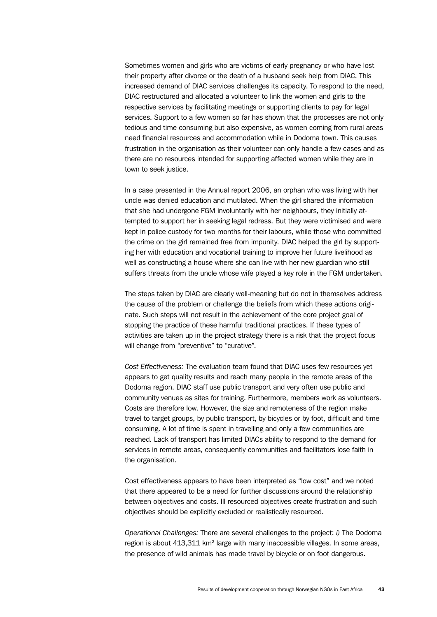Sometimes women and girls who are victims of early pregnancy or who have lost their property after divorce or the death of a husband seek help from DIAC. This increased demand of DIAC services challenges its capacity. To respond to the need, DIAC restructured and allocated a volunteer to link the women and girls to the respective services by facilitating meetings or supporting clients to pay for legal services. Support to a few women so far has shown that the processes are not only tedious and time consuming but also expensive, as women coming from rural areas need financial resources and accommodation while in Dodoma town. This causes frustration in the organisation as their volunteer can only handle a few cases and as there are no resources intended for supporting affected women while they are in town to seek justice.

In a case presented in the Annual report 2006, an orphan who was living with her uncle was denied education and mutilated. When the girl shared the information that she had undergone FGM involuntarily with her neighbours, they initially attempted to support her in seeking legal redress. But they were victimised and were kept in police custody for two months for their labours, while those who committed the crime on the girl remained free from impunity. DIAC helped the girl by supporting her with education and vocational training to improve her future livelihood as well as constructing a house where she can live with her new guardian who still suffers threats from the uncle whose wife played a key role in the FGM undertaken.

The steps taken by DIAC are clearly well-meaning but do not in themselves address the cause of the problem or challenge the beliefs from which these actions originate. Such steps will not result in the achievement of the core project goal of stopping the practice of these harmful traditional practices. If these types of activities are taken up in the project strategy there is a risk that the project focus will change from "preventive" to "curative".

*Cost Effectiveness:* The evaluation team found that DIAC uses few resources yet appears to get quality results and reach many people in the remote areas of the Dodoma region. DIAC staff use public transport and very often use public and community venues as sites for training. Furthermore, members work as volunteers. Costs are therefore low. However, the size and remoteness of the region make travel to target groups, by public transport, by bicycles or by foot, difficult and time consuming. A lot of time is spent in travelling and only a few communities are reached. Lack of transport has limited DIACs ability to respond to the demand for services in remote areas, consequently communities and facilitators lose faith in the organisation.

Cost effectiveness appears to have been interpreted as "low cost" and we noted that there appeared to be a need for further discussions around the relationship between objectives and costs. Ill resourced objectives create frustration and such objectives should be explicitly excluded or realistically resourced.

*Operational Challenges:* There are several challenges to the project: *i)* The Dodoma region is about 413,311 km<sup>2</sup> large with many inaccessible villages. In some areas, the presence of wild animals has made travel by bicycle or on foot dangerous.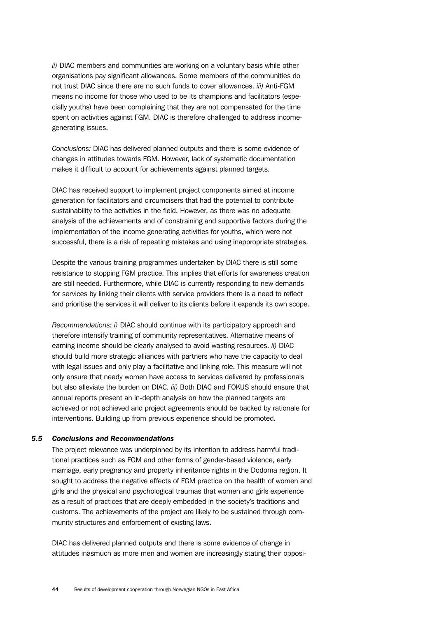*ii)* DIAC members and communities are working on a voluntary basis while other organisations pay significant allowances. Some members of the communities do not trust DIAC since there are no such funds to cover allowances. *iii)* Anti-FGM means no income for those who used to be its champions and facilitators (especially youths) have been complaining that they are not compensated for the time spent on activities against FGM. DIAC is therefore challenged to address incomegenerating issues.

*Conclusions:* DIAC has delivered planned outputs and there is some evidence of changes in attitudes towards FGM. However, lack of systematic documentation makes it difficult to account for achievements against planned targets.

DIAC has received support to implement project components aimed at income generation for facilitators and circumcisers that had the potential to contribute sustainability to the activities in the field. However, as there was no adequate analysis of the achievements and of constraining and supportive factors during the implementation of the income generating activities for youths, which were not successful, there is a risk of repeating mistakes and using inappropriate strategies.

Despite the various training programmes undertaken by DIAC there is still some resistance to stopping FGM practice. This implies that efforts for awareness creation are still needed. Furthermore, while DIAC is currently responding to new demands for services by linking their clients with service providers there is a need to reflect and prioritise the services it will deliver to its clients before it expands its own scope.

*Recommendations: i)* DIAC should continue with its participatory approach and therefore intensify training of community representatives. Alternative means of earning income should be clearly analysed to avoid wasting resources. *ii)* DIAC should build more strategic alliances with partners who have the capacity to deal with legal issues and only play a facilitative and linking role. This measure will not only ensure that needy women have access to services delivered by professionals but also alleviate the burden on DIAC. *iii)* Both DIAC and FOKUS should ensure that annual reports present an in-depth analysis on how the planned targets are achieved or not achieved and project agreements should be backed by rationale for interventions. Building up from previous experience should be promoted.

#### *5.5 Conclusions and Recommendations*

The project relevance was underpinned by its intention to address harmful traditional practices such as FGM and other forms of gender-based violence, early marriage, early pregnancy and property inheritance rights in the Dodoma region. It sought to address the negative effects of FGM practice on the health of women and girls and the physical and psychological traumas that women and girls experience as a result of practices that are deeply embedded in the society's traditions and customs. The achievements of the project are likely to be sustained through community structures and enforcement of existing laws.

DIAC has delivered planned outputs and there is some evidence of change in attitudes inasmuch as more men and women are increasingly stating their opposi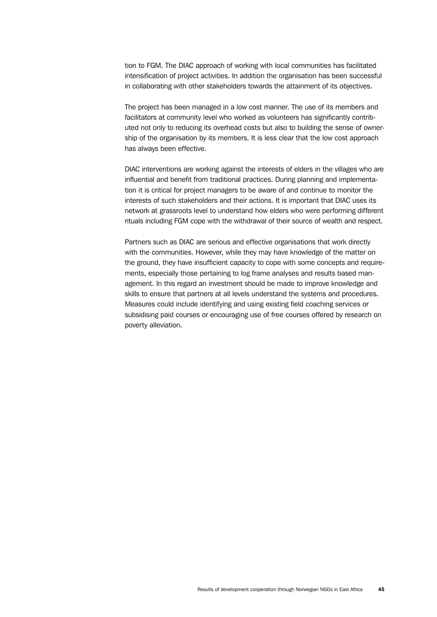tion to FGM. The DIAC approach of working with local communities has facilitated intensification of project activities. In addition the organisation has been successful in collaborating with other stakeholders towards the attainment of its objectives.

The project has been managed in a low cost manner. The use of its members and facilitators at community level who worked as volunteers has significantly contributed not only to reducing its overhead costs but also to building the sense of ownership of the organisation by its members. It is less clear that the low cost approach has always been effective.

DIAC interventions are working against the interests of elders in the villages who are influential and benefit from traditional practices. During planning and implementation it is critical for project managers to be aware of and continue to monitor the interests of such stakeholders and their actions. It is important that DIAC uses its network at grassroots level to understand how elders who were performing different rituals including FGM cope with the withdrawal of their source of wealth and respect.

Partners such as DIAC are serious and effective organisations that work directly with the communities. However, while they may have knowledge of the matter on the ground, they have insufficient capacity to cope with some concepts and requirements, especially those pertaining to log frame analyses and results based management. In this regard an investment should be made to improve knowledge and skills to ensure that partners at all levels understand the systems and procedures. Measures could include identifying and using existing field coaching services or subsidising paid courses or encouraging use of free courses offered by research on poverty alleviation.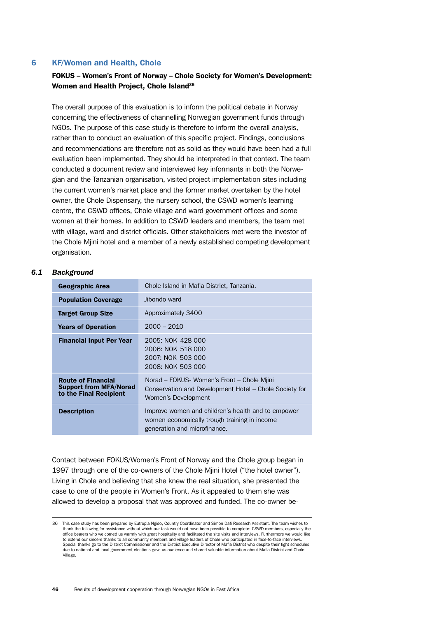# 6 KF/Women and Health, Chole

# FOKUS – Women's Front of Norway – Chole Society for Women's Development: Women and Health Project, Chole Island<sup>36</sup>

The overall purpose of this evaluation is to inform the political debate in Norway concerning the effectiveness of channelling Norwegian government funds through NGOs. The purpose of this case study is therefore to inform the overall analysis, rather than to conduct an evaluation of this specific project. Findings, conclusions and recommendations are therefore not as solid as they would have been had a full evaluation been implemented. They should be interpreted in that context. The team conducted a document review and interviewed key informants in both the Norwegian and the Tanzanian organisation, visited project implementation sites including the current women's market place and the former market overtaken by the hotel owner, the Chole Dispensary, the nursery school, the CSWD women's learning centre, the CSWD offices, Chole village and ward government offices and some women at their homes. In addition to CSWD leaders and members, the team met with village, ward and district officials. Other stakeholders met were the investor of the Chole Mjini hotel and a member of a newly established competing development organisation.

# *6.1 Background*

| <b>Geographic Area</b>                                                               | Chole Island in Mafia District, Tanzania.                                                                                          |  |
|--------------------------------------------------------------------------------------|------------------------------------------------------------------------------------------------------------------------------------|--|
| <b>Population Coverage</b>                                                           | Jibondo ward                                                                                                                       |  |
| <b>Target Group Size</b>                                                             | Approximately 3400                                                                                                                 |  |
| <b>Years of Operation</b>                                                            | $2000 - 2010$                                                                                                                      |  |
| <b>Financial Input Per Year</b>                                                      | 2005: NOK 428 000<br>2006: NOK 518 000<br>2007: NOK 503 000<br>2008: NOK 503 000                                                   |  |
| <b>Route of Financial</b><br><b>Support from MFA/Norad</b><br>to the Final Recipient | Norad – FOKUS- Women's Front – Chole Mjini<br>Conservation and Development Hotel – Chole Society for<br>Women's Development        |  |
| <b>Description</b>                                                                   | Improve women and children's health and to empower<br>women economically trough training in income<br>generation and microfinance. |  |

Contact between FOKUS/Women's Front of Norway and the Chole group began in 1997 through one of the co-owners of the Chole Mjini Hotel ("the hotel owner"). Living in Chole and believing that she knew the real situation, she presented the case to one of the people in Women's Front. As it appealed to them she was allowed to develop a proposal that was approved and funded. The co-owner be-

<sup>36</sup> This case study has been prepared by Eutropia Ngido, Country Coordinator and Simon Dafi Research Assistant. The team wishes to<br>thank the following for assistance without which our task would not have been possible to co office bearers who welcomed us warmly with great hospitality and facilitated the site visits and interviews. Furthermore we would like to extend our sincere thanks to all community members and village leaders of Chole who participated in face-to-face interviews. Special thanks go to the District Commissioner and the District Executive Director of Mafia District who despite their tight schedules due to national and local government elections gave us audience and shared valuable information about Mafia District and Chole Village.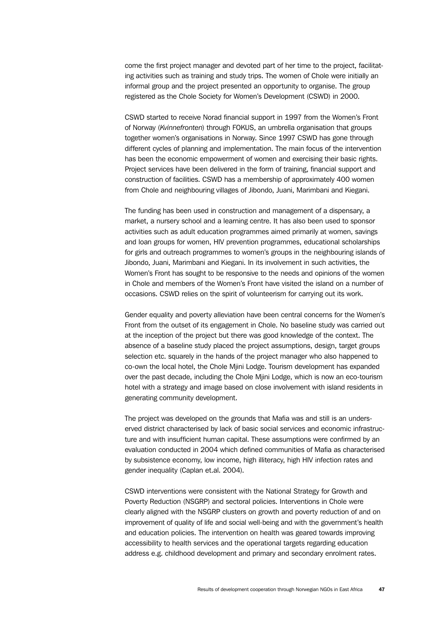come the first project manager and devoted part of her time to the project, facilitating activities such as training and study trips. The women of Chole were initially an informal group and the project presented an opportunity to organise. The group registered as the Chole Society for Women's Development (CSWD) in 2000.

CSWD started to receive Norad financial support in 1997 from the Women's Front of Norway (*Kvinnefronten*) through FOKUS, an umbrella organisation that groups together women's organisations in Norway. Since 1997 CSWD has gone through different cycles of planning and implementation. The main focus of the intervention has been the economic empowerment of women and exercising their basic rights. Project services have been delivered in the form of training, financial support and construction of facilities. CSWD has a membership of approximately 400 women from Chole and neighbouring villages of Jibondo, Juani, Marimbani and Kiegani.

The funding has been used in construction and management of a dispensary, a market, a nursery school and a learning centre. It has also been used to sponsor activities such as adult education programmes aimed primarily at women, savings and loan groups for women, HIV prevention programmes, educational scholarships for girls and outreach programmes to women's groups in the neighbouring islands of Jibondo, Juani, Marimbani and Kiegani. In its involvement in such activities, the Women's Front has sought to be responsive to the needs and opinions of the women in Chole and members of the Women's Front have visited the island on a number of occasions. CSWD relies on the spirit of volunteerism for carrying out its work.

Gender equality and poverty alleviation have been central concerns for the Women's Front from the outset of its engagement in Chole. No baseline study was carried out at the inception of the project but there was good knowledge of the context. The absence of a baseline study placed the project assumptions, design, target groups selection etc. squarely in the hands of the project manager who also happened to co-own the local hotel, the Chole Mjini Lodge. Tourism development has expanded over the past decade, including the Chole Mjini Lodge, which is now an eco-tourism hotel with a strategy and image based on close involvement with island residents in generating community development.

The project was developed on the grounds that Mafia was and still is an underserved district characterised by lack of basic social services and economic infrastructure and with insufficient human capital. These assumptions were confirmed by an evaluation conducted in 2004 which defined communities of Mafia as characterised by subsistence economy, low income, high illiteracy, high HIV infection rates and gender inequality (Caplan et.al. 2004).

CSWD interventions were consistent with the National Strategy for Growth and Poverty Reduction (NSGRP) and sectoral policies. Interventions in Chole were clearly aligned with the NSGRP clusters on growth and poverty reduction of and on improvement of quality of life and social well-being and with the government's health and education policies. The intervention on health was geared towards improving accessibility to health services and the operational targets regarding education address e.g. childhood development and primary and secondary enrolment rates.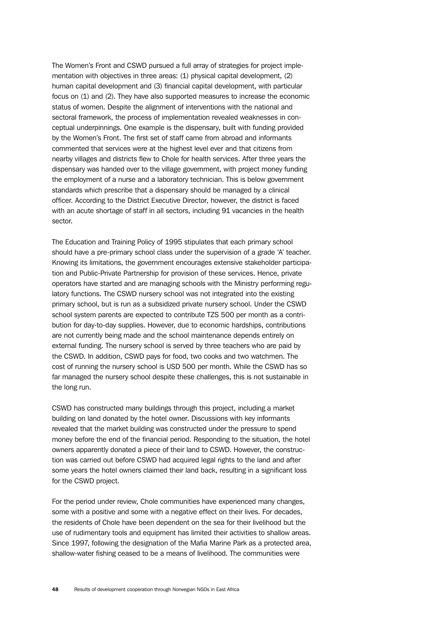The Women's Front and CSWD pursued a full array of strategies for project implementation with objectives in three areas: (1) physical capital development, (2) human capital development and (3) financial capital development, with particular focus on (1) and (2). They have also supported measures to increase the economic status of women. Despite the alignment of interventions with the national and sectoral framework, the process of implementation revealed weaknesses in conceptual underpinnings. One example is the dispensary, built with funding provided by the Women's Front. The first set of staff came from abroad and informants commented that services were at the highest level ever and that citizens from nearby villages and districts flew to Chole for health services. After three years the dispensary was handed over to the village government, with project money funding the employment of a nurse and a laboratory technician. This is below government standards which prescribe that a dispensary should be managed by a clinical officer. According to the District Executive Director, however, the district is faced with an acute shortage of staff in all sectors, including 91 vacancies in the health sector.

The Education and Training Policy of 1995 stipulates that each primary school should have a pre-primary school class under the supervision of a grade 'A' teacher. Knowing its limitations, the government encourages extensive stakeholder participation and Public-Private Partnership for provision of these services. Hence, private operators have started and are managing schools with the Ministry performing regulatory functions. The CSWD nursery school was not integrated into the existing primary school, but is run as a subsidized private nursery school. Under the CSWD school system parents are expected to contribute TZS 500 per month as a contribution for day-to-day supplies. However, due to economic hardships, contributions are not currently being made and the school maintenance depends entirely on external funding. The nursery school is served by three teachers who are paid by the CSWD. In addition, CSWD pays for food, two cooks and two watchmen. The cost of running the nursery school is USD 500 per month. While the CSWD has so far managed the nursery school despite these challenges, this is not sustainable in the long run.

CSWD has constructed many buildings through this project, including a market building on land donated by the hotel owner. Discussions with key informants revealed that the market building was constructed under the pressure to spend money before the end of the financial period. Responding to the situation, the hotel owners apparently donated a piece of their land to CSWD. However, the construction was carried out before CSWD had acquired legal rights to the land and after some years the hotel owners claimed their land back, resulting in a significant loss for the CSWD project.

For the period under review, Chole communities have experienced many changes, some with a positive and some with a negative effect on their lives. For decades, the residents of Chole have been dependent on the sea for their livelihood but the use of rudimentary tools and equipment has limited their activities to shallow areas. Since 1997, following the designation of the Mafia Marine Park as a protected area, shallow-water fishing ceased to be a means of livelihood. The communities were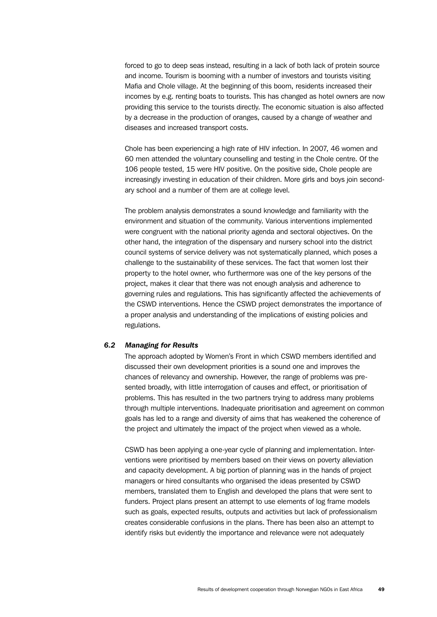forced to go to deep seas instead, resulting in a lack of both lack of protein source and income. Tourism is booming with a number of investors and tourists visiting Mafia and Chole village. At the beginning of this boom, residents increased their incomes by e.g. renting boats to tourists. This has changed as hotel owners are now providing this service to the tourists directly. The economic situation is also affected by a decrease in the production of oranges, caused by a change of weather and diseases and increased transport costs.

Chole has been experiencing a high rate of HIV infection. In 2007, 46 women and 60 men attended the voluntary counselling and testing in the Chole centre. Of the 106 people tested, 15 were HIV positive. On the positive side, Chole people are increasingly investing in education of their children. More girls and boys join secondary school and a number of them are at college level.

The problem analysis demonstrates a sound knowledge and familiarity with the environment and situation of the community. Various interventions implemented were congruent with the national priority agenda and sectoral objectives. On the other hand, the integration of the dispensary and nursery school into the district council systems of service delivery was not systematically planned, which poses a challenge to the sustainability of these services. The fact that women lost their property to the hotel owner, who furthermore was one of the key persons of the project, makes it clear that there was not enough analysis and adherence to governing rules and regulations. This has significantly affected the achievements of the CSWD interventions. Hence the CSWD project demonstrates the importance of a proper analysis and understanding of the implications of existing policies and regulations.

### *6.2 Managing for Results*

The approach adopted by Women's Front in which CSWD members identified and discussed their own development priorities is a sound one and improves the chances of relevancy and ownership. However, the range of problems was presented broadly, with little interrogation of causes and effect, or prioritisation of problems. This has resulted in the two partners trying to address many problems through multiple interventions. Inadequate prioritisation and agreement on common goals has led to a range and diversity of aims that has weakened the coherence of the project and ultimately the impact of the project when viewed as a whole.

CSWD has been applying a one-year cycle of planning and implementation. Interventions were prioritised by members based on their views on poverty alleviation and capacity development. A big portion of planning was in the hands of project managers or hired consultants who organised the ideas presented by CSWD members, translated them to English and developed the plans that were sent to funders. Project plans present an attempt to use elements of log frame models such as goals, expected results, outputs and activities but lack of professionalism creates considerable confusions in the plans. There has been also an attempt to identify risks but evidently the importance and relevance were not adequately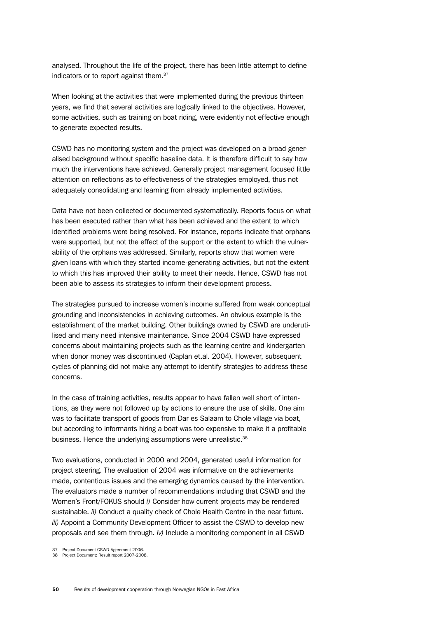analysed. Throughout the life of the project, there has been little attempt to define indicators or to report against them.<sup>37</sup>

When looking at the activities that were implemented during the previous thirteen years, we find that several activities are logically linked to the objectives. However, some activities, such as training on boat riding, were evidently not effective enough to generate expected results.

CSWD has no monitoring system and the project was developed on a broad generalised background without specific baseline data. It is therefore difficult to say how much the interventions have achieved. Generally project management focused little attention on reflections as to effectiveness of the strategies employed, thus not adequately consolidating and learning from already implemented activities.

Data have not been collected or documented systematically. Reports focus on what has been executed rather than what has been achieved and the extent to which identified problems were being resolved. For instance, reports indicate that orphans were supported, but not the effect of the support or the extent to which the vulnerability of the orphans was addressed. Similarly, reports show that women were given loans with which they started income-generating activities, but not the extent to which this has improved their ability to meet their needs. Hence, CSWD has not been able to assess its strategies to inform their development process.

The strategies pursued to increase women's income suffered from weak conceptual grounding and inconsistencies in achieving outcomes. An obvious example is the establishment of the market building. Other buildings owned by CSWD are underutilised and many need intensive maintenance. Since 2004 CSWD have expressed concerns about maintaining projects such as the learning centre and kindergarten when donor money was discontinued (Caplan et.al. 2004). However, subsequent cycles of planning did not make any attempt to identify strategies to address these concerns.

In the case of training activities, results appear to have fallen well short of intentions, as they were not followed up by actions to ensure the use of skills. One aim was to facilitate transport of goods from Dar es Salaam to Chole village via boat, but according to informants hiring a boat was too expensive to make it a profitable business. Hence the underlying assumptions were unrealistic.<sup>38</sup>

Two evaluations, conducted in 2000 and 2004, generated useful information for project steering. The evaluation of 2004 was informative on the achievements made, contentious issues and the emerging dynamics caused by the intervention. The evaluators made a number of recommendations including that CSWD and the Women's Front/FOKUS should *i)* Consider how current projects may be rendered sustainable. *ii)* Conduct a quality check of Chole Health Centre in the near future. *iii)* Appoint a Community Development Officer to assist the CSWD to develop new proposals and see them through. *iv)* Include a monitoring component in all CSWD

<sup>37</sup> Project Document CSWD-Agreement 2006. 38 Project Document: Result report 2007-2008.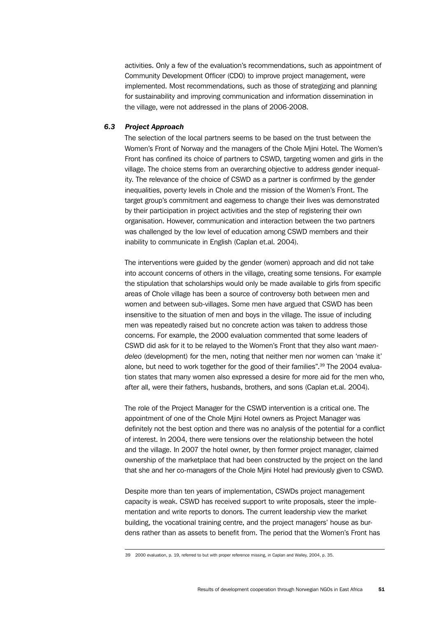activities. Only a few of the evaluation's recommendations, such as appointment of Community Development Officer (CDO) to improve project management, were implemented. Most recommendations, such as those of strategizing and planning for sustainability and improving communication and information dissemination in the village, were not addressed in the plans of 2006-2008.

### *6.3 Project Approach*

The selection of the local partners seems to be based on the trust between the Women's Front of Norway and the managers of the Chole Mjini Hotel. The Women's Front has confined its choice of partners to CSWD, targeting women and girls in the village. The choice stems from an overarching objective to address gender inequality. The relevance of the choice of CSWD as a partner is confirmed by the gender inequalities, poverty levels in Chole and the mission of the Women's Front. The target group's commitment and eagerness to change their lives was demonstrated by their participation in project activities and the step of registering their own organisation. However, communication and interaction between the two partners was challenged by the low level of education among CSWD members and their inability to communicate in English (Caplan et.al. 2004).

The interventions were guided by the gender (women) approach and did not take into account concerns of others in the village, creating some tensions. For example the stipulation that scholarships would only be made available to girls from specific areas of Chole village has been a source of controversy both between men and women and between sub-villages. Some men have argued that CSWD has been insensitive to the situation of men and boys in the village. The issue of including men was repeatedly raised but no concrete action was taken to address those concerns. For example, the 2000 evaluation commented that some leaders of CSWD did ask for it to be relayed to the Women's Front that they also want *maendeleo* (development) for the men, noting that neither men nor women can 'make it' alone, but need to work together for the good of their families".39 The 2004 evaluation states that many women also expressed a desire for more aid for the men who, after all, were their fathers, husbands, brothers, and sons (Caplan et.al. 2004).

The role of the Project Manager for the CSWD intervention is a critical one. The appointment of one of the Chole Mjini Hotel owners as Project Manager was definitely not the best option and there was no analysis of the potential for a conflict of interest. In 2004, there were tensions over the relationship between the hotel and the village. In 2007 the hotel owner, by then former project manager, claimed ownership of the marketplace that had been constructed by the project on the land that she and her co-managers of the Chole Mjini Hotel had previously given to CSWD.

Despite more than ten years of implementation, CSWDs project management capacity is weak. CSWD has received support to write proposals, steer the implementation and write reports to donors. The current leadership view the market building, the vocational training centre, and the project managers' house as burdens rather than as assets to benefit from. The period that the Women's Front has

<sup>39</sup> 2000 evaluation, p. 19, referred to but with proper reference missing, in Caplan and Walley, 2004, p. 35.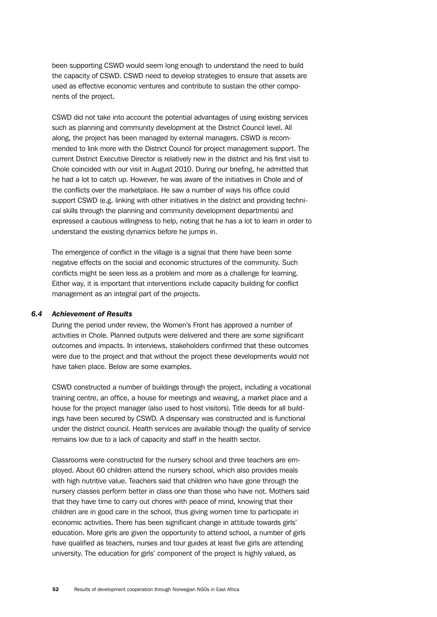been supporting CSWD would seem long enough to understand the need to build the capacity of CSWD. CSWD need to develop strategies to ensure that assets are used as effective economic ventures and contribute to sustain the other components of the project.

CSWD did not take into account the potential advantages of using existing services such as planning and community development at the District Council level. All along, the project has been managed by external managers. CSWD is recommended to link more with the District Council for project management support. The current District Executive Director is relatively new in the district and his first visit to Chole coincided with our visit in August 2010. During our briefing, he admitted that he had a lot to catch up. However, he was aware of the initiatives in Chole and of the conflicts over the marketplace. He saw a number of ways his office could support CSWD (e.g. linking with other initiatives in the district and providing technical skills through the planning and community development departments) and expressed a cautious willingness to help, noting that he has a lot to learn in order to understand the existing dynamics before he jumps in.

The emergence of conflict in the village is a signal that there have been some negative effects on the social and economic structures of the community. Such conflicts might be seen less as a problem and more as a challenge for learning. Either way, it is important that interventions include capacity building for conflict management as an integral part of the projects.

# *6.4 Achievement of Results*

During the period under review, the Women's Front has approved a number of activities in Chole. Planned outputs were delivered and there are some significant outcomes and impacts. In interviews, stakeholders confirmed that these outcomes were due to the project and that without the project these developments would not have taken place. Below are some examples.

CSWD constructed a number of buildings through the project, including a vocational training centre, an office, a house for meetings and weaving, a market place and a house for the project manager (also used to host visitors). Title deeds for all buildings have been secured by CSWD. A dispensary was constructed and is functional under the district council. Health services are available though the quality of service remains low due to a lack of capacity and staff in the health sector.

Classrooms were constructed for the nursery school and three teachers are employed. About 60 children attend the nursery school, which also provides meals with high nutritive value. Teachers said that children who have gone through the nursery classes perform better in class one than those who have not. Mothers said that they have time to carry out chores with peace of mind, knowing that their children are in good care in the school, thus giving women time to participate in economic activities. There has been significant change in attitude towards girls' education. More girls are given the opportunity to attend school, a number of girls have qualified as teachers, nurses and tour guides at least five girls are attending university. The education for girls' component of the project is highly valued, as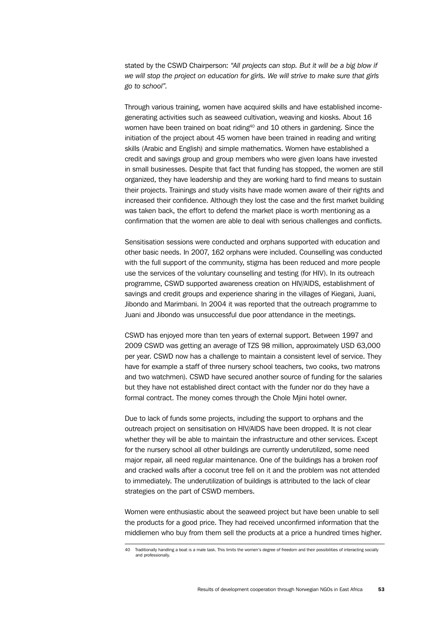stated by the CSWD Chairperson: *"All projects can stop. But it will be a big blow if we will stop the project on education for girls. We will strive to make sure that girls go to school".*

Through various training, women have acquired skills and have established incomegenerating activities such as seaweed cultivation, weaving and kiosks. About 16 women have been trained on boat riding<sup>40</sup> and 10 others in gardening. Since the initiation of the project about 45 women have been trained in reading and writing skills (Arabic and English) and simple mathematics. Women have established a credit and savings group and group members who were given loans have invested in small businesses. Despite that fact that funding has stopped, the women are still organized, they have leadership and they are working hard to find means to sustain their projects. Trainings and study visits have made women aware of their rights and increased their confidence. Although they lost the case and the first market building was taken back, the effort to defend the market place is worth mentioning as a confirmation that the women are able to deal with serious challenges and conflicts.

Sensitisation sessions were conducted and orphans supported with education and other basic needs. In 2007, 162 orphans were included. Counselling was conducted with the full support of the community, stigma has been reduced and more people use the services of the voluntary counselling and testing (for HIV). In its outreach programme, CSWD supported awareness creation on HIV/AIDS, establishment of savings and credit groups and experience sharing in the villages of Kiegani, Juani, Jibondo and Marimbani. In 2004 it was reported that the outreach programme to Juani and Jibondo was unsuccessful due poor attendance in the meetings.

CSWD has enjoyed more than ten years of external support. Between 1997 and 2009 CSWD was getting an average of TZS 98 million, approximately USD 63,000 per year. CSWD now has a challenge to maintain a consistent level of service. They have for example a staff of three nursery school teachers, two cooks, two matrons and two watchmen). CSWD have secured another source of funding for the salaries but they have not established direct contact with the funder nor do they have a formal contract. The money comes through the Chole Mjini hotel owner.

Due to lack of funds some projects, including the support to orphans and the outreach project on sensitisation on HIV/AIDS have been dropped. It is not clear whether they will be able to maintain the infrastructure and other services. Except for the nursery school all other buildings are currently underutilized, some need major repair, all need regular maintenance. One of the buildings has a broken roof and cracked walls after a coconut tree fell on it and the problem was not attended to immediately. The underutilization of buildings is attributed to the lack of clear strategies on the part of CSWD members.

Women were enthusiastic about the seaweed project but have been unable to sell the products for a good price. They had received unconfirmed information that the middlemen who buy from them sell the products at a price a hundred times higher.

<sup>40</sup> Traditionally handling a boat is a male task. This limits the women's degree of freedom and their possibilities of interacting socially and professionally.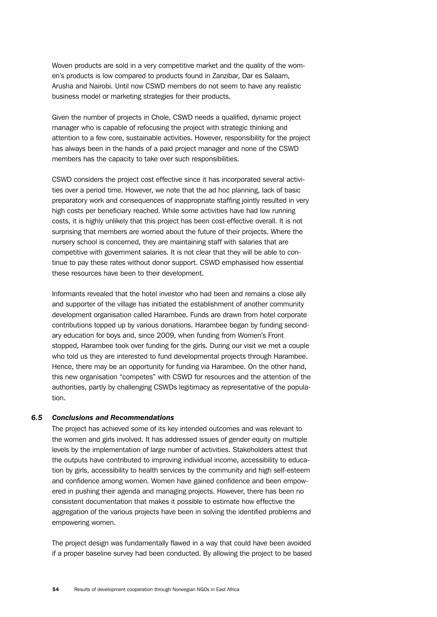Woven products are sold in a very competitive market and the quality of the women's products is low compared to products found in Zanzibar, Dar es Salaam, Arusha and Nairobi. Until now CSWD members do not seem to have any realistic business model or marketing strategies for their products.

Given the number of projects in Chole, CSWD needs a qualified, dynamic project manager who is capable of refocusing the project with strategic thinking and attention to a few core, sustainable activities. However, responsibility for the project has always been in the hands of a paid project manager and none of the CSWD members has the capacity to take over such responsibilities.

CSWD considers the project cost effective since it has incorporated several activities over a period time. However, we note that the ad hoc planning, lack of basic preparatory work and consequences of inappropriate staffing jointly resulted in very high costs per beneficiary reached. While some activities have had low running costs, it is highly unlikely that this project has been cost-effective overall. It is not surprising that members are worried about the future of their projects. Where the nursery school is concerned, they are maintaining staff with salaries that are competitive with government salaries. It is not clear that they will be able to continue to pay these rates without donor support. CSWD emphasised how essential these resources have been to their development.

Informants revealed that the hotel investor who had been and remains a close ally and supporter of the village has initiated the establishment of another community development organisation called Harambee. Funds are drawn from hotel corporate contributions topped up by various donations. Harambee began by funding secondary education for boys and, since 2009, when funding from Women's Front stopped, Harambee took over funding for the girls. During our visit we met a couple who told us they are interested to fund developmental projects through Harambee. Hence, there may be an opportunity for funding via Harambee. On the other hand, this new organisation "competes" with CSWD for resources and the attention of the authorities, partly by challenging CSWDs legitimacy as representative of the population.

# *6.5 Conclusions and Recommendations*

The project has achieved some of its key intended outcomes and was relevant to the women and girls involved. It has addressed issues of gender equity on multiple levels by the implementation of large number of activities. Stakeholders attest that the outputs have contributed to improving individual income, accessibility to education by girls, accessibility to health services by the community and high self-esteem and confidence among women. Women have gained confidence and been empowered in pushing their agenda and managing projects. However, there has been no consistent documentation that makes it possible to estimate how effective the aggregation of the various projects have been in solving the identified problems and empowering women.

The project design was fundamentally flawed in a way that could have been avoided if a proper baseline survey had been conducted. By allowing the project to be based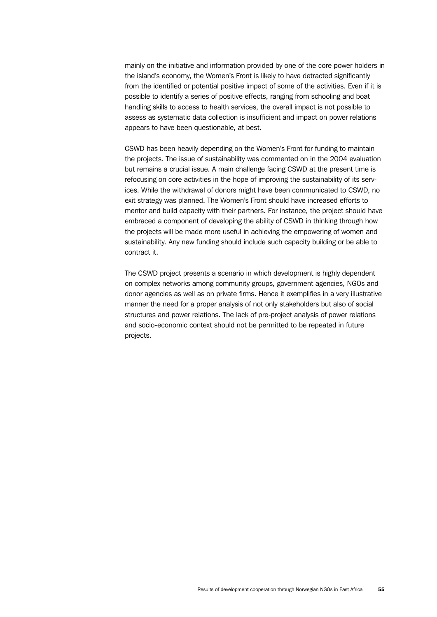mainly on the initiative and information provided by one of the core power holders in the island's economy, the Women's Front is likely to have detracted significantly from the identified or potential positive impact of some of the activities. Even if it is possible to identify a series of positive effects, ranging from schooling and boat handling skills to access to health services, the overall impact is not possible to assess as systematic data collection is insufficient and impact on power relations appears to have been questionable, at best.

CSWD has been heavily depending on the Women's Front for funding to maintain the projects. The issue of sustainability was commented on in the 2004 evaluation but remains a crucial issue. A main challenge facing CSWD at the present time is refocusing on core activities in the hope of improving the sustainability of its services. While the withdrawal of donors might have been communicated to CSWD, no exit strategy was planned. The Women's Front should have increased efforts to mentor and build capacity with their partners. For instance, the project should have embraced a component of developing the ability of CSWD in thinking through how the projects will be made more useful in achieving the empowering of women and sustainability. Any new funding should include such capacity building or be able to contract it.

The CSWD project presents a scenario in which development is highly dependent on complex networks among community groups, government agencies, NGOs and donor agencies as well as on private firms. Hence it exemplifies in a very illustrative manner the need for a proper analysis of not only stakeholders but also of social structures and power relations. The lack of pre-project analysis of power relations and socio-economic context should not be permitted to be repeated in future projects.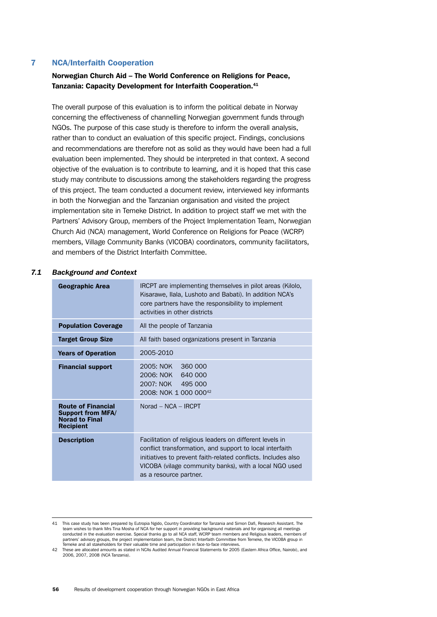# 7 NCA/Interfaith Cooperation

# Norwegian Church Aid – The World Conference on Religions for Peace, Tanzania: Capacity Development for Interfaith Cooperation.41

The overall purpose of this evaluation is to inform the political debate in Norway concerning the effectiveness of channelling Norwegian government funds through NGOs. The purpose of this case study is therefore to inform the overall analysis, rather than to conduct an evaluation of this specific project. Findings, conclusions and recommendations are therefore not as solid as they would have been had a full evaluation been implemented. They should be interpreted in that context. A second objective of the evaluation is to contribute to learning, and it is hoped that this case study may contribute to discussions among the stakeholders regarding the progress of this project. The team conducted a document review, interviewed key informants in both the Norwegian and the Tanzanian organisation and visited the project implementation site in Temeke District. In addition to project staff we met with the Partners' Advisory Group, members of the Project Implementation Team, Norwegian Church Aid (NCA) management, World Conference on Religions for Peace (WCRP) members, Village Community Banks (VICOBA) coordinators, community facilitators, and members of the District Interfaith Committee.

### *7.1 Background and Context*

| <b>Geographic Area</b>                                                                             | IRCPT are implementing themselves in pilot areas (Kilolo,<br>Kisarawe, Ilala, Lushoto and Babati). In addition NCA's<br>core partners have the responsibility to implement<br>activities in other districts                                                               |
|----------------------------------------------------------------------------------------------------|---------------------------------------------------------------------------------------------------------------------------------------------------------------------------------------------------------------------------------------------------------------------------|
| <b>Population Coverage</b>                                                                         | All the people of Tanzania                                                                                                                                                                                                                                                |
| <b>Target Group Size</b>                                                                           | All faith based organizations present in Tanzania                                                                                                                                                                                                                         |
| <b>Years of Operation</b>                                                                          | 2005-2010                                                                                                                                                                                                                                                                 |
| <b>Financial support</b>                                                                           | 2005: NOK 360 000<br>2006: NOK 640 000<br>2007: NOK 495 000<br>2008: NOK 1 000 000 <sup>42</sup>                                                                                                                                                                          |
| <b>Route of Financial</b><br><b>Support from MFA/</b><br><b>Norad to Final</b><br><b>Recipient</b> | $Norad - NCA - IRCPT$                                                                                                                                                                                                                                                     |
| <b>Description</b>                                                                                 | Facilitation of religious leaders on different levels in<br>conflict transformation, and support to local interfaith<br>initiatives to prevent faith-related conflicts. Includes also<br>VICOBA (vilage community banks), with a local NGO used<br>as a resource partner. |

This case study has been prepared by Eutropia Ngido, Country Coordinator for Tanzania and Simon Dafi, Research Assistant. The<br>team wishes to thank Mrs Tina Mosha of NCA for her support in providing background materials and conducted in the evaluation exercise. Special thanks go to all NCA staff, WCRP team members and Religious leaders, members of partners' advisory groups, the project implementation team, the District Interfaith Committee from Temeke, the VICOBA group in Temeke and all stakeholders for their valuable time and participation in face-to-face interview

<sup>42</sup> These are allocated amounts as stated in NCAs Audited Annual Financial Statements for 2005 (Eastern Africa Office, Nairobi), and 2006, 2007, 2008 (NCA Tanzania).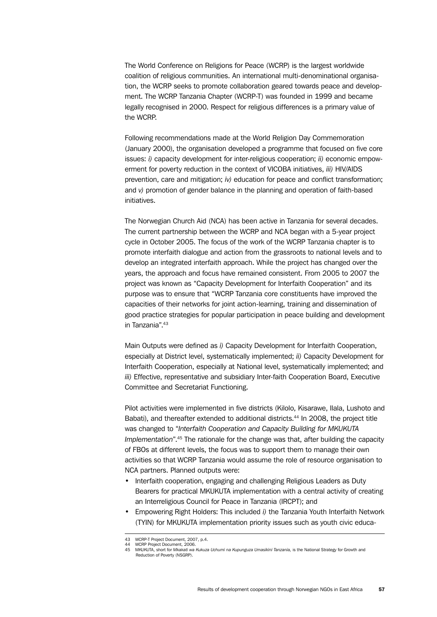The World Conference on Religions for Peace (WCRP) is the largest worldwide coalition of religious communities. An international multi-denominational organisation, the WCRP seeks to promote collaboration geared towards peace and development. The WCRP Tanzania Chapter (WCRP-T) was founded in 1999 and became legally recognised in 2000. Respect for religious differences is a primary value of the WCRP.

Following recommendations made at the World Religion Day Commemoration (January 2000), the organisation developed a programme that focused on five core issues: *i)* capacity development for inter-religious cooperation; *ii)* economic empowerment for poverty reduction in the context of VICOBA initiatives, *iii)* HIV/AIDS prevention, care and mitigation; *iv)* education for peace and conflict transformation; and *v*) promotion of gender balance in the planning and operation of faith-based initiatives.

The Norwegian Church Aid (NCA) has been active in Tanzania for several decades. The current partnership between the WCRP and NCA began with a 5-year project cycle in October 2005. The focus of the work of the WCRP Tanzania chapter is to promote interfaith dialogue and action from the grassroots to national levels and to develop an integrated interfaith approach. While the project has changed over the years, the approach and focus have remained consistent. From 2005 to 2007 the project was known as "Capacity Development for Interfaith Cooperation" and its purpose was to ensure that "WCRP Tanzania core constituents have improved the capacities of their networks for joint action-learning, training and dissemination of good practice strategies for popular participation in peace building and development in Tanzania".43

Main Outputs were defined as *i)* Capacity Development for Interfaith Cooperation, especially at District level, systematically implemented; *ii)* Capacity Development for Interfaith Cooperation, especially at National level, systematically implemented; and *iii)* Effective, representative and subsidiary Inter-faith Cooperation Board, Executive Committee and Secretariat Functioning.

Pilot activities were implemented in five districts (Kilolo, Kisarawe, Ilala, Lushoto and Babati), and thereafter extended to additional districts.<sup>44</sup> In 2008, the project title was changed to "*Interfaith Cooperation and Capacity Building for MKUKUTA Implementation*".45 The rationale for the change was that, after building the capacity of FBOs at different levels, the focus was to support them to manage their own activities so that WCRP Tanzania would assume the role of resource organisation to NCA partners. Planned outputs were:

- Interfaith cooperation, engaging and challenging Religious Leaders as Duty Bearers for practical MKUKUTA implementation with a central activity of creating an Interreligious Council for Peace in Tanzania (IRCPT); and
- Empowering Right Holders: This included *i)* the Tanzania Youth Interfaith Network (TYIN) for MKUKUTA implementation priority issues such as youth civic educa-

<sup>43</sup> WCRP-T Project Document, 2007, p.4. 44 WCRP Project Document, 2006.

<sup>45</sup> MKUKUTA, short for *Mkakati wa Kukuza Uchumi na Kupunguza Umasikini Tanzania,* is the National Strategy for Growth and Reduction of Poverty (NSGRP).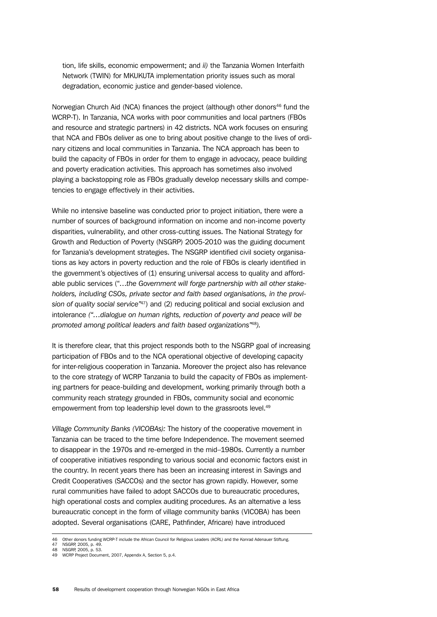tion, life skills, economic empowerment; and *ii)* the Tanzania Women Interfaith Network (TWIN) for MKUKUTA implementation priority issues such as moral degradation, economic justice and gender-based violence.

Norwegian Church Aid (NCA) finances the project (although other donors<sup>46</sup> fund the WCRP-T). In Tanzania, NCA works with poor communities and local partners (FBOs and resource and strategic partners) in 42 districts. NCA work focuses on ensuring that NCA and FBOs deliver as one to bring about positive change to the lives of ordinary citizens and local communities in Tanzania. The NCA approach has been to build the capacity of FBOs in order for them to engage in advocacy, peace building and poverty eradication activities. This approach has sometimes also involved playing a backstopping role as FBOs gradually develop necessary skills and competencies to engage effectively in their activities.

While no intensive baseline was conducted prior to project initiation, there were a number of sources of background information on income and non-income poverty disparities, vulnerability, and other cross-cutting issues. The National Strategy for Growth and Reduction of Poverty (NSGRP) 2005-2010 was the guiding document for Tanzania's development strategies. The NSGRP identified civil society organisations as key actors in poverty reduction and the role of FBOs is clearly identified in the government's objectives of (1) ensuring universal access to quality and affordable public services ("…*the Government will forge partnership with all other stakeholders, including CSOs, private sector and faith based organisations, in the provision of quality social service"*47) and (2) reducing political and social exclusion and intolerance *("…dialogue on human rights, reduction of poverty and peace will be promoted among political leaders and faith based organizations"*48*).*

It is therefore clear, that this project responds both to the NSGRP goal of increasing participation of FBOs and to the NCA operational objective of developing capacity for inter-religious cooperation in Tanzania. Moreover the project also has relevance to the core strategy of WCRP Tanzania to build the capacity of FBOs as implementing partners for peace-building and development, working primarily through both a community reach strategy grounded in FBOs, community social and economic empowerment from top leadership level down to the grassroots level.<sup>49</sup>

*Village Community Banks (VICOBAs):* The history of the cooperative movement in Tanzania can be traced to the time before Independence. The movement seemed to disappear in the 1970s and re-emerged in the mid–1980s. Currently a number of cooperative initiatives responding to various social and economic factors exist in the country. In recent years there has been an increasing interest in Savings and Credit Cooperatives (SACCOs) and the sector has grown rapidly. However, some rural communities have failed to adopt SACCOs due to bureaucratic procedures, high operational costs and complex auditing procedures. As an alternative a less bureaucratic concept in the form of village community banks (VICOBA) has been adopted. Several organisations (CARE, Pathfinder, Africare) have introduced

NSGRP, 2005, p. 49

<sup>46</sup> Other donors funding WCRP-T include the African Council for Religious Leaders (ACRL) and the Konrad Adenauer Stiftung.<br>47 NSCRP 2005 h 49

<sup>48</sup> NSGRP, 2005, p. 53.<br>49 WCRP Project Docum WCRP Project Document, 2007, Appendix A, Section 5, p.4.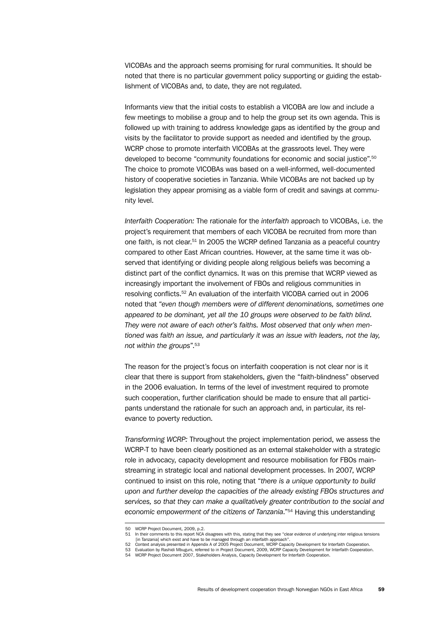VICOBAs and the approach seems promising for rural communities. It should be noted that there is no particular government policy supporting or guiding the establishment of VICOBAs and, to date, they are not regulated.

Informants view that the initial costs to establish a VICOBA are low and include a few meetings to mobilise a group and to help the group set its own agenda. This is followed up with training to address knowledge gaps as identified by the group and visits by the facilitator to provide support as needed and identified by the group. WCRP chose to promote interfaith VICOBAs at the grassroots level. They were developed to become "community foundations for economic and social justice".50 The choice to promote VICOBAs was based on a well-informed, well-documented history of cooperative societies in Tanzania. While VICOBAs are not backed up by legislation they appear promising as a viable form of credit and savings at community level.

*Interfaith Cooperation:* The rationale for the *interfaith* approach to VICOBAs, i.e. the project's requirement that members of each VICOBA be recruited from more than one faith, is not clear.51 In 2005 the WCRP defined Tanzania as a peaceful country compared to other East African countries. However, at the same time it was observed that identifying or dividing people along religious beliefs was becoming a distinct part of the conflict dynamics. It was on this premise that WCRP viewed as increasingly important the involvement of FBOs and religious communities in resolving conflicts.52 An evaluation of the interfaith VICOBA carried out in 2006 noted that "*even though members were of different denominations, sometimes one appeared to be dominant, yet all the 10 groups were observed to be faith blind. They were not aware of each other's faiths. Most observed that only when mentioned was faith an issue, and particularly it was an issue with leaders, not the lay, not within the groups*".53

The reason for the project's focus on interfaith cooperation is not clear nor is it clear that there is support from stakeholders, given the "faith-blindness" observed in the 2006 evaluation. In terms of the level of investment required to promote such cooperation, further clarification should be made to ensure that all participants understand the rationale for such an approach and, in particular, its relevance to poverty reduction.

*Transforming WCRP:* Throughout the project implementation period, we assess the WCRP-T to have been clearly positioned as an external stakeholder with a strategic role in advocacy, capacity development and resource mobilisation for FBOs mainstreaming in strategic local and national development processes. In 2007, WCRP continued to insist on this role, noting that "*there is a unique opportunity to build upon and further develop the capacities of the already existing FBOs structures and services, so that they can make a qualitatively greater contribution to the social and economic empowerment of the citizens of Tanzania*."54 Having this understanding

<sup>50</sup> WCRP Project Document, 2009, p.2.

<sup>51</sup> In their comments to this report NCA disagrees with this, stating that they see "clear evidence of underlying inter religious tensions [in Tanzania] which exist and have to be managed through an interfaith approach". 52 Context analysis presented in Appendix A of 2005 Project Document, WCRP Capacity Development for Interfaith Cooperation.

<sup>53</sup> Evaluation by Rashidi Mbuguni, referred to in Project Document, 2009, WCRP Capacity Development for Interfaith Cooperation.

<sup>54</sup> WCRP Project Document 2007, Stakeholders Analysis, Capacity Development for Interfaith Cooperation.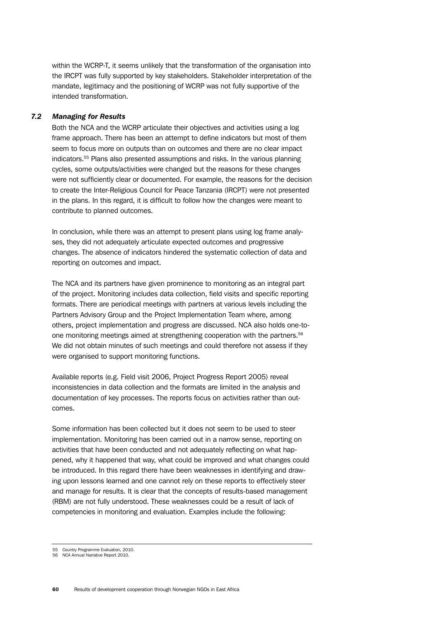within the WCRP-T, it seems unlikely that the transformation of the organisation into the IRCPT was fully supported by key stakeholders. Stakeholder interpretation of the mandate, legitimacy and the positioning of WCRP was not fully supportive of the intended transformation.

# *7.2 Managing for Results*

Both the NCA and the WCRP articulate their objectives and activities using a log frame approach. There has been an attempt to define indicators but most of them seem to focus more on outputs than on outcomes and there are no clear impact indicators.55 Plans also presented assumptions and risks. In the various planning cycles, some outputs/activities were changed but the reasons for these changes were not sufficiently clear or documented. For example, the reasons for the decision to create the Inter-Religious Council for Peace Tanzania (IRCPT) were not presented in the plans. In this regard, it is difficult to follow how the changes were meant to contribute to planned outcomes.

In conclusion, while there was an attempt to present plans using log frame analyses, they did not adequately articulate expected outcomes and progressive changes. The absence of indicators hindered the systematic collection of data and reporting on outcomes and impact.

The NCA and its partners have given prominence to monitoring as an integral part of the project. Monitoring includes data collection, field visits and specific reporting formats. There are periodical meetings with partners at various levels including the Partners Advisory Group and the Project Implementation Team where, among others, project implementation and progress are discussed. NCA also holds one-toone monitoring meetings aimed at strengthening cooperation with the partners.56 We did not obtain minutes of such meetings and could therefore not assess if they were organised to support monitoring functions.

Available reports (e.g. Field visit 2006, Project Progress Report 2005) reveal inconsistencies in data collection and the formats are limited in the analysis and documentation of key processes. The reports focus on activities rather than outcomes.

Some information has been collected but it does not seem to be used to steer implementation. Monitoring has been carried out in a narrow sense, reporting on activities that have been conducted and not adequately reflecting on what happened, why it happened that way, what could be improved and what changes could be introduced. In this regard there have been weaknesses in identifying and drawing upon lessons learned and one cannot rely on these reports to effectively steer and manage for results. It is clear that the concepts of results-based management (RBM) are not fully understood. These weaknesses could be a result of lack of competencies in monitoring and evaluation. Examples include the following:

<sup>55</sup> Country Programme Evaluation, 2010. 56 NCA Annual Narrative Report 2010.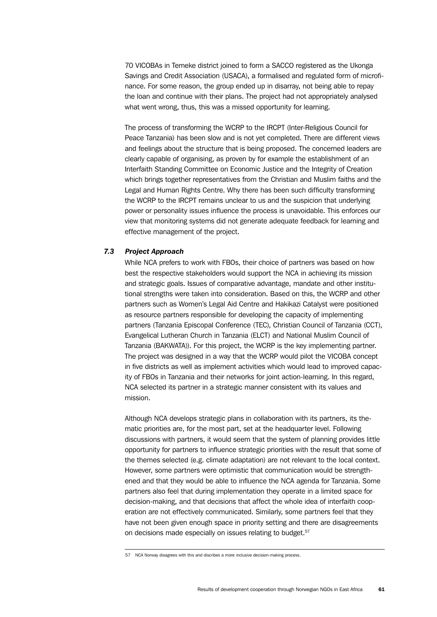70 VICOBAs in Temeke district joined to form a SACCO registered as the Ukonga Savings and Credit Association (USACA), a formalised and regulated form of microfinance. For some reason, the group ended up in disarray, not being able to repay the loan and continue with their plans. The project had not appropriately analysed what went wrong, thus, this was a missed opportunity for learning.

The process of transforming the WCRP to the IRCPT (Inter-Religious Council for Peace Tanzania) has been slow and is not yet completed. There are different views and feelings about the structure that is being proposed. The concerned leaders are clearly capable of organising, as proven by for example the establishment of an Interfaith Standing Committee on Economic Justice and the Integrity of Creation which brings together representatives from the Christian and Muslim faiths and the Legal and Human Rights Centre. Why there has been such difficulty transforming the WCRP to the IRCPT remains unclear to us and the suspicion that underlying power or personality issues influence the process is unavoidable. This enforces our view that monitoring systems did not generate adequate feedback for learning and effective management of the project.

# *7.3 Project Approach*

While NCA prefers to work with FBOs, their choice of partners was based on how best the respective stakeholders would support the NCA in achieving its mission and strategic goals. Issues of comparative advantage, mandate and other institutional strengths were taken into consideration. Based on this, the WCRP and other partners such as Women's Legal Aid Centre and Hakikazi Catalyst were positioned as resource partners responsible for developing the capacity of implementing partners (Tanzania Episcopal Conference (TEC), Christian Council of Tanzania (CCT), Evangelical Lutheran Church in Tanzania (ELCT) and National Muslim Council of Tanzania (BAKWATA)). For this project, the WCRP is the key implementing partner. The project was designed in a way that the WCRP would pilot the VICOBA concept in five districts as well as implement activities which would lead to improved capacity of FBOs in Tanzania and their networks for joint action-learning. In this regard, NCA selected its partner in a strategic manner consistent with its values and mission.

Although NCA develops strategic plans in collaboration with its partners, its thematic priorities are, for the most part, set at the headquarter level. Following discussions with partners, it would seem that the system of planning provides little opportunity for partners to influence strategic priorities with the result that some of the themes selected (e.g. climate adaptation) are not relevant to the local context. However, some partners were optimistic that communication would be strengthened and that they would be able to influence the NCA agenda for Tanzania. Some partners also feel that during implementation they operate in a limited space for decision-making, and that decisions that affect the whole idea of interfaith cooperation are not effectively communicated. Similarly, some partners feel that they have not been given enough space in priority setting and there are disagreements on decisions made especially on issues relating to budget.<sup>57</sup>

<sup>57</sup> NCA Norway disagrees with this and discribes a more inclusive decision-making process.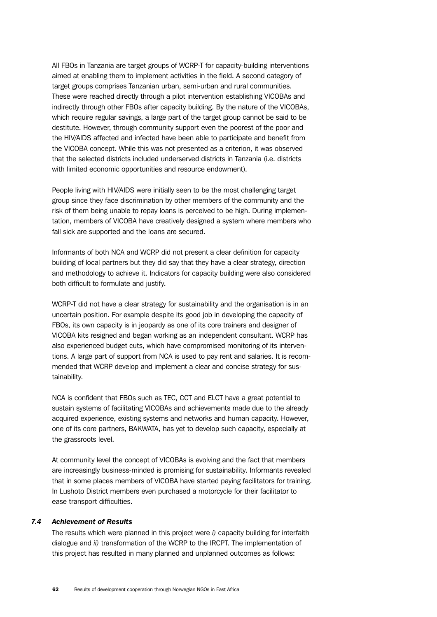All FBOs in Tanzania are target groups of WCRP-T for capacity-building interventions aimed at enabling them to implement activities in the field. A second category of target groups comprises Tanzanian urban, semi-urban and rural communities. These were reached directly through a pilot intervention establishing VICOBAs and indirectly through other FBOs after capacity building. By the nature of the VICOBAs, which require regular savings, a large part of the target group cannot be said to be destitute. However, through community support even the poorest of the poor and the HIV/AIDS affected and infected have been able to participate and benefit from the VICOBA concept. While this was not presented as a criterion, it was observed that the selected districts included underserved districts in Tanzania (i.e. districts with limited economic opportunities and resource endowment).

People living with HIV/AIDS were initially seen to be the most challenging target group since they face discrimination by other members of the community and the risk of them being unable to repay loans is perceived to be high. During implementation, members of VICOBA have creatively designed a system where members who fall sick are supported and the loans are secured.

Informants of both NCA and WCRP did not present a clear definition for capacity building of local partners but they did say that they have a clear strategy, direction and methodology to achieve it. Indicators for capacity building were also considered both difficult to formulate and justify.

WCRP-T did not have a clear strategy for sustainability and the organisation is in an uncertain position. For example despite its good job in developing the capacity of FBOs, its own capacity is in jeopardy as one of its core trainers and designer of VICOBA kits resigned and began working as an independent consultant. WCRP has also experienced budget cuts, which have compromised monitoring of its interventions. A large part of support from NCA is used to pay rent and salaries. It is recommended that WCRP develop and implement a clear and concise strategy for sustainability.

NCA is confident that FBOs such as TEC, CCT and ELCT have a great potential to sustain systems of facilitating VICOBAs and achievements made due to the already acquired experience, existing systems and networks and human capacity. However, one of its core partners, BAKWATA, has yet to develop such capacity, especially at the grassroots level.

At community level the concept of VICOBAs is evolving and the fact that members are increasingly business-minded is promising for sustainability. Informants revealed that in some places members of VICOBA have started paying facilitators for training. In Lushoto District members even purchased a motorcycle for their facilitator to ease transport difficulties.

# *7.4 Achievement of Results*

The results which were planned in this project were *i)* capacity building for interfaith dialogue and *ii)* transformation of the WCRP to the IRCPT. The implementation of this project has resulted in many planned and unplanned outcomes as follows: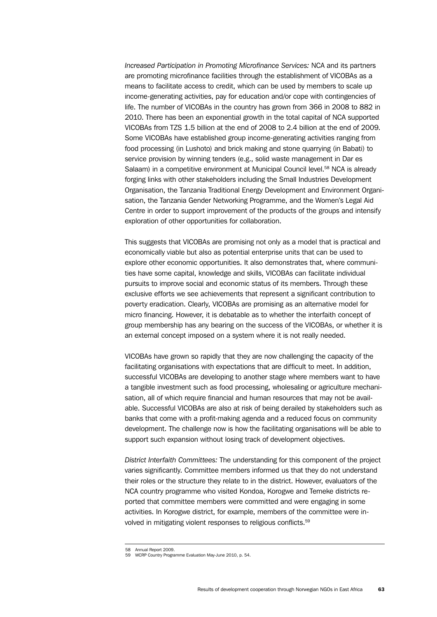*Increased Participation in Promoting Microfinance Services:* NCA and its partners are promoting microfinance facilities through the establishment of VICOBAs as a means to facilitate access to credit, which can be used by members to scale up income-generating activities, pay for education and/or cope with contingencies of life. The number of VICOBAs in the country has grown from 366 in 2008 to 882 in 2010. There has been an exponential growth in the total capital of NCA supported VICOBAs from TZS 1.5 billion at the end of 2008 to 2.4 billion at the end of 2009. Some VICOBAs have established group income-generating activities ranging from food processing (in Lushoto) and brick making and stone quarrying (in Babati) to service provision by winning tenders (e.g., solid waste management in Dar es Salaam) in a competitive environment at Municipal Council level.<sup>58</sup> NCA is already forging links with other stakeholders including the Small Industries Development Organisation, the Tanzania Traditional Energy Development and Environment Organisation, the Tanzania Gender Networking Programme, and the Women's Legal Aid Centre in order to support improvement of the products of the groups and intensify exploration of other opportunities for collaboration.

This suggests that VICOBAs are promising not only as a model that is practical and economically viable but also as potential enterprise units that can be used to explore other economic opportunities. It also demonstrates that, where communities have some capital, knowledge and skills, VICOBAs can facilitate individual pursuits to improve social and economic status of its members. Through these exclusive efforts we see achievements that represent a significant contribution to poverty eradication. Clearly, VICOBAs are promising as an alternative model for micro financing. However, it is debatable as to whether the interfaith concept of group membership has any bearing on the success of the VICOBAs, or whether it is an external concept imposed on a system where it is not really needed.

VICOBAs have grown so rapidly that they are now challenging the capacity of the facilitating organisations with expectations that are difficult to meet. In addition, successful VICOBAs are developing to another stage where members want to have a tangible investment such as food processing, wholesaling or agriculture mechanisation, all of which require financial and human resources that may not be available. Successful VICOBAs are also at risk of being derailed by stakeholders such as banks that come with a profit-making agenda and a reduced focus on community development. The challenge now is how the facilitating organisations will be able to support such expansion without losing track of development objectives.

*District Interfaith Committees:* The understanding for this component of the project varies significantly. Committee members informed us that they do not understand their roles or the structure they relate to in the district. However, evaluators of the NCA country programme who visited Kondoa, Korogwe and Temeke districts reported that committee members were committed and were engaging in some activities. In Korogwe district, for example, members of the committee were involved in mitigating violent responses to religious conflicts.59

<sup>58</sup> Annual Report 2009. 59 WCRP Country Programme Evaluation May-June 2010, p. 54.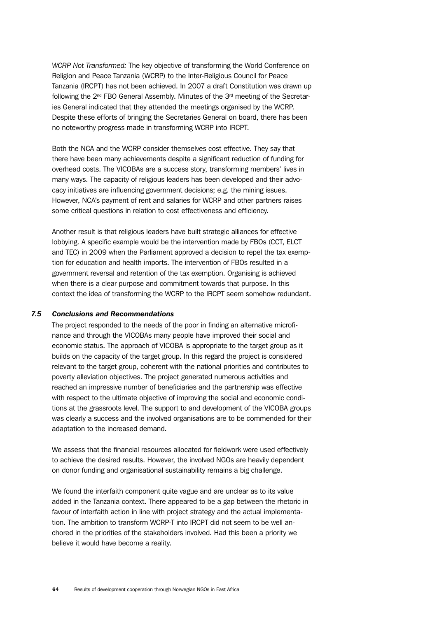*WCRP Not Transformed:* The key objective of transforming the World Conference on Religion and Peace Tanzania (WCRP) to the Inter-Religious Council for Peace Tanzania (IRCPT) has not been achieved. In 2007 a draft Constitution was drawn up following the  $2<sup>nd</sup>$  FBO General Assembly. Minutes of the  $3<sup>rd</sup>$  meeting of the Secretaries General indicated that they attended the meetings organised by the WCRP. Despite these efforts of bringing the Secretaries General on board, there has been no noteworthy progress made in transforming WCRP into IRCPT.

Both the NCA and the WCRP consider themselves cost effective. They say that there have been many achievements despite a significant reduction of funding for overhead costs. The VICOBAs are a success story, transforming members' lives in many ways. The capacity of religious leaders has been developed and their advocacy initiatives are influencing government decisions; e.g. the mining issues. However, NCA's payment of rent and salaries for WCRP and other partners raises some critical questions in relation to cost effectiveness and efficiency.

Another result is that religious leaders have built strategic alliances for effective lobbying. A specific example would be the intervention made by FBOs (CCT, ELCT and TEC) in 2009 when the Parliament approved a decision to repel the tax exemption for education and health imports. The intervention of FBOs resulted in a government reversal and retention of the tax exemption. Organising is achieved when there is a clear purpose and commitment towards that purpose. In this context the idea of transforming the WCRP to the IRCPT seem somehow redundant.

## *7.5 Conclusions and Recommendations*

The project responded to the needs of the poor in finding an alternative microfinance and through the VICOBAs many people have improved their social and economic status. The approach of VICOBA is appropriate to the target group as it builds on the capacity of the target group. In this regard the project is considered relevant to the target group, coherent with the national priorities and contributes to poverty alleviation objectives. The project generated numerous activities and reached an impressive number of beneficiaries and the partnership was effective with respect to the ultimate objective of improving the social and economic conditions at the grassroots level. The support to and development of the VICOBA groups was clearly a success and the involved organisations are to be commended for their adaptation to the increased demand.

We assess that the financial resources allocated for fieldwork were used effectively to achieve the desired results. However, the involved NGOs are heavily dependent on donor funding and organisational sustainability remains a big challenge.

We found the interfaith component quite vague and are unclear as to its value added in the Tanzania context. There appeared to be a gap between the rhetoric in favour of interfaith action in line with project strategy and the actual implementation. The ambition to transform WCRP-T into IRCPT did not seem to be well anchored in the priorities of the stakeholders involved. Had this been a priority we believe it would have become a reality.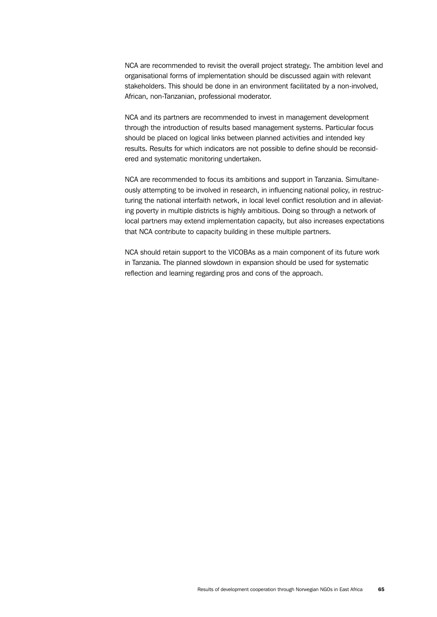NCA are recommended to revisit the overall project strategy. The ambition level and organisational forms of implementation should be discussed again with relevant stakeholders. This should be done in an environment facilitated by a non-involved, African, non-Tanzanian, professional moderator.

NCA and its partners are recommended to invest in management development through the introduction of results based management systems. Particular focus should be placed on logical links between planned activities and intended key results. Results for which indicators are not possible to define should be reconsidered and systematic monitoring undertaken.

NCA are recommended to focus its ambitions and support in Tanzania. Simultaneously attempting to be involved in research, in influencing national policy, in restructuring the national interfaith network, in local level conflict resolution and in alleviating poverty in multiple districts is highly ambitious. Doing so through a network of local partners may extend implementation capacity, but also increases expectations that NCA contribute to capacity building in these multiple partners.

NCA should retain support to the VICOBAs as a main component of its future work in Tanzania. The planned slowdown in expansion should be used for systematic reflection and learning regarding pros and cons of the approach.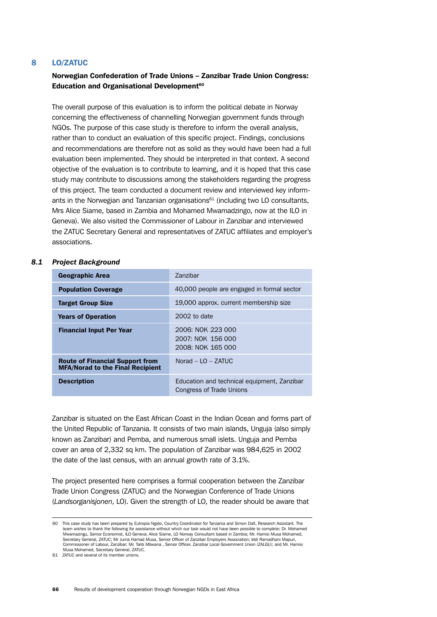## 8 LO/ZATUC

# Norwegian Confederation of Trade Unions – Zanzibar Trade Union Congress: Education and Organisational Development<sup>60</sup>

The overall purpose of this evaluation is to inform the political debate in Norway concerning the effectiveness of channelling Norwegian government funds through NGOs. The purpose of this case study is therefore to inform the overall analysis, rather than to conduct an evaluation of this specific project. Findings, conclusions and recommendations are therefore not as solid as they would have been had a full evaluation been implemented. They should be interpreted in that context. A second objective of the evaluation is to contribute to learning, and it is hoped that this case study may contribute to discussions among the stakeholders regarding the progress of this project. The team conducted a document review and interviewed key informants in the Norwegian and Tanzanian organisations<sup>61</sup> (including two LO consultants, Mrs Alice Siame, based in Zambia and Mohamed Mwamadzingo, now at the ILO in Geneva). We also visited the Commissioner of Labour in Zanzibar and interviewed the ZATUC Secretary General and representatives of ZATUC affiliates and employer's associations.

#### *8.1 Project Background*

| <b>Geographic Area</b>                                                            | <b>Zanzibar</b>                                                         |
|-----------------------------------------------------------------------------------|-------------------------------------------------------------------------|
| <b>Population Coverage</b>                                                        | 40,000 people are engaged in formal sector                              |
| <b>Target Group Size</b>                                                          | 19,000 approx. current membership size                                  |
| <b>Years of Operation</b>                                                         | 2002 to date                                                            |
| <b>Financial Input Per Year</b>                                                   | 2006: NOK 223 000<br>2007: NOK 156 000<br>2008: NOK 165 000             |
| <b>Route of Financial Support from</b><br><b>MFA/Norad to the Final Recipient</b> | Norad $-$ LO $-$ ZATUC                                                  |
| <b>Description</b>                                                                | Education and technical equipment, Zanzibar<br>Congress of Trade Unions |

Zanzibar is situated on the East African Coast in the Indian Ocean and forms part of the United Republic of Tanzania. It consists of two main islands, Unguja (also simply known as Zanzibar) and Pemba, and numerous small islets. Unguja and Pemba cover an area of 2,332 sq km. The population of Zanzibar was 984,625 in 2002 the date of the last census, with an annual growth rate of 3.1%.

The project presented here comprises a formal cooperation between the Zanzibar Trade Union Congress (ZATUC) and the Norwegian Conference of Trade Unions (*Landsorganisjonen*, LO). Given the strength of LO, the reader should be aware that

<sup>60</sup> This case study has been prepared by Eutropia Ngido, Country Coordinator for Tanzania and Simon Dafi, Research Assistant. The<br>team wishes to thank the following for assistance without which our task would not have been Mwamazingu, Senior Economist, ILO Geneva; Alice Siame, LO Norway Consultant based in Zambia; Mr. Hamisi Musa Mohamed, Secretary General, ZATUC; Mr Juma Hamad Musa, Senior Officer of Zanzibar Employers Association; Iddi Ramadhani Mapuri, Commissioner of Labour, Zanzibar; Mr. Talib Mbwana , Senior Officer, Zanzibar Local Government Union (ZALGU); and Mr. Hamisi Musa Mohamed, Secretary General, ZATUC.

<sup>61</sup> ZATUC and several of its member unions.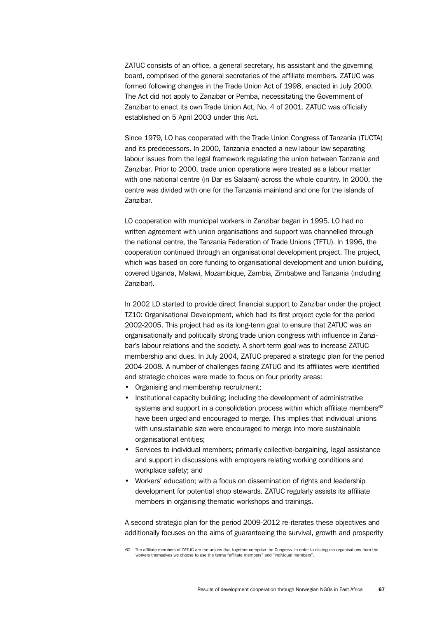ZATUC consists of an office, a general secretary, his assistant and the governing board, comprised of the general secretaries of the affiliate members. ZATUC was formed following changes in the Trade Union Act of 1998, enacted in July 2000. The Act did not apply to Zanzibar or Pemba, necessitating the Government of Zanzibar to enact its own Trade Union Act, No. 4 of 2001. ZATUC was officially established on 5 April 2003 under this Act.

Since 1979, LO has cooperated with the Trade Union Congress of Tanzania (TUCTA) and its predecessors. In 2000, Tanzania enacted a new labour law separating labour issues from the legal framework regulating the union between Tanzania and Zanzibar. Prior to 2000, trade union operations were treated as a labour matter with one national centre (in Dar es Salaam) across the whole country. In 2000, the centre was divided with one for the Tanzania mainland and one for the islands of Zanzibar.

LO cooperation with municipal workers in Zanzibar began in 1995. LO had no written agreement with union organisations and support was channelled through the national centre, the Tanzania Federation of Trade Unions (TFTU). In 1996, the cooperation continued through an organisational development project. The project, which was based on core funding to organisational development and union building, covered Uganda, Malawi, Mozambique, Zambia, Zimbabwe and Tanzania (including Zanzibar).

In 2002 LO started to provide direct financial support to Zanzibar under the project TZ10: Organisational Development, which had its first project cycle for the period 2002-2005. This project had as its long-term goal to ensure that ZATUC was an organisationally and politically strong trade union congress with influence in Zanzibar's labour relations and the society. A short-term goal was to increase ZATUC membership and dues. In July 2004, ZATUC prepared a strategic plan for the period 2004-2008. A number of challenges facing ZATUC and its affiliates were identified and strategic choices were made to focus on four priority areas:

- Organising and membership recruitment;
- Institutional capacity building; including the development of administrative systems and support in a consolidation process within which affiliate members<sup>62</sup> have been urged and encouraged to merge. This implies that individual unions with unsustainable size were encouraged to merge into more sustainable organisational entities;
- Services to individual members; primarily collective-bargaining, legal assistance and support in discussions with employers relating working conditions and workplace safety; and
- Workers' education; with a focus on dissemination of rights and leadership development for potential shop stewards. ZATUC regularly assists its affiliate members in organising thematic workshops and trainings.

A second strategic plan for the period 2009-2012 re-iterates these objectives and additionally focuses on the aims of guaranteeing the survival, growth and prosperity

<sup>62</sup> The affiliate members of ZATUC are the unions that together comprise the Congress. In order to distinguish organisations from the workers themselves we choose to use the terms "affiliate members" and "individual members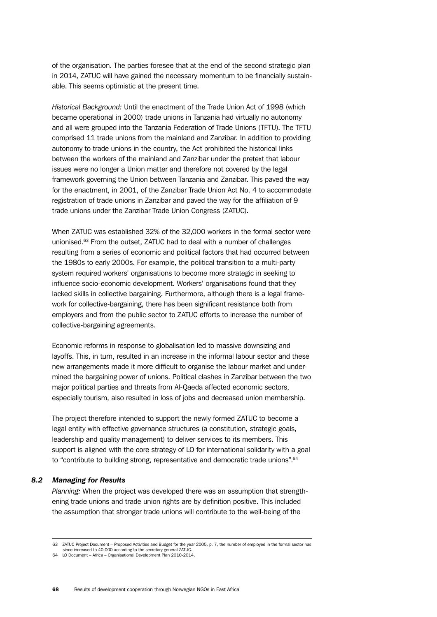of the organisation. The parties foresee that at the end of the second strategic plan in 2014, ZATUC will have gained the necessary momentum to be financially sustainable. This seems optimistic at the present time.

*Historical Background:* Until the enactment of the Trade Union Act of 1998 (which became operational in 2000) trade unions in Tanzania had virtually no autonomy and all were grouped into the Tanzania Federation of Trade Unions (TFTU). The TFTU comprised 11 trade unions from the mainland and Zanzibar. In addition to providing autonomy to trade unions in the country, the Act prohibited the historical links between the workers of the mainland and Zanzibar under the pretext that labour issues were no longer a Union matter and therefore not covered by the legal framework governing the Union between Tanzania and Zanzibar. This paved the way for the enactment, in 2001, of the Zanzibar Trade Union Act No. 4 to accommodate registration of trade unions in Zanzibar and paved the way for the affiliation of 9 trade unions under the Zanzibar Trade Union Congress (ZATUC).

When ZATUC was established 32% of the 32,000 workers in the formal sector were unionised.63 From the outset, ZATUC had to deal with a number of challenges resulting from a series of economic and political factors that had occurred between the 1980s to early 2000s. For example, the political transition to a multi-party system required workers' organisations to become more strategic in seeking to influence socio-economic development. Workers' organisations found that they lacked skills in collective bargaining. Furthermore, although there is a legal framework for collective-bargaining, there has been significant resistance both from employers and from the public sector to ZATUC efforts to increase the number of collective-bargaining agreements.

Economic reforms in response to globalisation led to massive downsizing and layoffs. This, in turn, resulted in an increase in the informal labour sector and these new arrangements made it more difficult to organise the labour market and undermined the bargaining power of unions. Political clashes in Zanzibar between the two major political parties and threats from Al-Qaeda affected economic sectors, especially tourism, also resulted in loss of jobs and decreased union membership.

The project therefore intended to support the newly formed ZATUC to become a legal entity with effective governance structures (a constitution, strategic goals, leadership and quality management) to deliver services to its members. This support is aligned with the core strategy of LO for international solidarity with a goal to "contribute to building strong, representative and democratic trade unions".<sup>64</sup>

## *8.2 Managing for Results*

*Planning:* When the project was developed there was an assumption that strengthening trade unions and trade union rights are by definition positive. This included the assumption that stronger trade unions will contribute to the well-being of the

<sup>63</sup> ZATUC Project Document – Proposed Activities and Budget for the year 2005, p. 7, the number of employed in the formal sector has

since increased to 40,000 according to the secretary general ZATUC. 64 LO Document – Africa – Organisational Development Plan 2010-2014.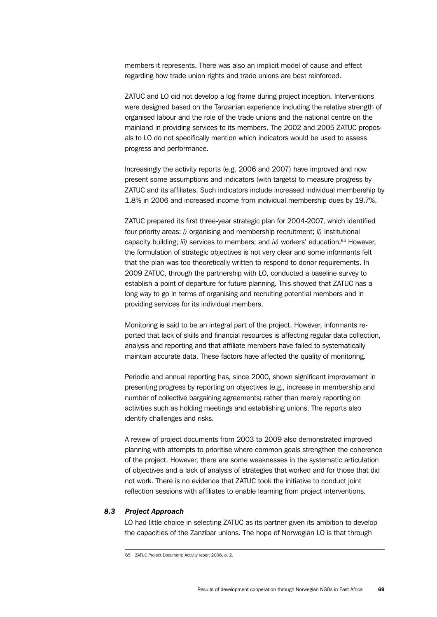members it represents. There was also an implicit model of cause and effect regarding how trade union rights and trade unions are best reinforced.

ZATUC and LO did not develop a log frame during project inception. Interventions were designed based on the Tanzanian experience including the relative strength of organised labour and the role of the trade unions and the national centre on the mainland in providing services to its members. The 2002 and 2005 ZATUC proposals to LO do not specifically mention which indicators would be used to assess progress and performance.

Increasingly the activity reports (e.g. 2006 and 2007) have improved and now present some assumptions and indicators (with targets) to measure progress by ZATUC and its affiliates. Such indicators include increased individual membership by 1.8% in 2006 and increased income from individual membership dues by 19.7%.

ZATUC prepared its first three-year strategic plan for 2004-2007, which identified four priority areas: *i)* organising and membership recruitment; *ii)* institutional capacity building; *iii)* services to members; and *iv)* workers' education.65 However, the formulation of strategic objectives is not very clear and some informants felt that the plan was too theoretically written to respond to donor requirements. In 2009 ZATUC, through the partnership with LO, conducted a baseline survey to establish a point of departure for future planning. This showed that ZATUC has a long way to go in terms of organising and recruiting potential members and in providing services for its individual members.

Monitoring is said to be an integral part of the project. However, informants reported that lack of skills and financial resources is affecting regular data collection, analysis and reporting and that affiliate members have failed to systematically maintain accurate data. These factors have affected the quality of monitoring.

Periodic and annual reporting has, since 2000, shown significant improvement in presenting progress by reporting on objectives (e.g., increase in membership and number of collective bargaining agreements) rather than merely reporting on activities such as holding meetings and establishing unions. The reports also identify challenges and risks.

A review of project documents from 2003 to 2009 also demonstrated improved planning with attempts to prioritise where common goals strengthen the coherence of the project. However, there are some weaknesses in the systematic articulation of objectives and a lack of analysis of strategies that worked and for those that did not work. There is no evidence that ZATUC took the initiative to conduct joint reflection sessions with affiliates to enable learning from project interventions.

## *8.3 Project Approach*

LO had little choice in selecting ZATUC as its partner given its ambition to develop the capacities of the Zanzibar unions. The hope of Norwegian LO is that through

<sup>65</sup> ZATUC Project Document: Activity report 2006, p. 2.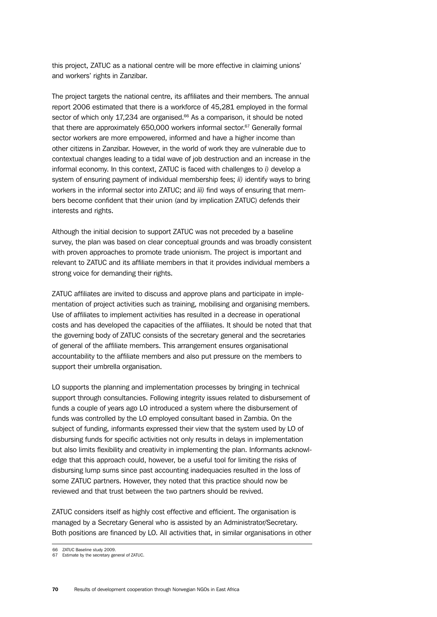this project, ZATUC as a national centre will be more effective in claiming unions' and workers' rights in Zanzibar.

The project targets the national centre, its affiliates and their members. The annual report 2006 estimated that there is a workforce of 45,281 employed in the formal sector of which only 17,234 are organised.<sup>66</sup> As a comparison, it should be noted that there are approximately 650,000 workers informal sector. $67$  Generally formal sector workers are more empowered, informed and have a higher income than other citizens in Zanzibar. However, in the world of work they are vulnerable due to contextual changes leading to a tidal wave of job destruction and an increase in the informal economy. In this context, ZATUC is faced with challenges to *i)* develop a system of ensuring payment of individual membership fees; *ii)* identify ways to bring workers in the informal sector into ZATUC; and *iii)* find ways of ensuring that members become confident that their union (and by implication ZATUC) defends their interests and rights.

Although the initial decision to support ZATUC was not preceded by a baseline survey, the plan was based on clear conceptual grounds and was broadly consistent with proven approaches to promote trade unionism. The project is important and relevant to ZATUC and its affiliate members in that it provides individual members a strong voice for demanding their rights.

ZATUC affiliates are invited to discuss and approve plans and participate in implementation of project activities such as training, mobilising and organising members. Use of affiliates to implement activities has resulted in a decrease in operational costs and has developed the capacities of the affiliates. It should be noted that that the governing body of ZATUC consists of the secretary general and the secretaries of general of the affiliate members. This arrangement ensures organisational accountability to the affiliate members and also put pressure on the members to support their umbrella organisation.

LO supports the planning and implementation processes by bringing in technical support through consultancies. Following integrity issues related to disbursement of funds a couple of years ago LO introduced a system where the disbursement of funds was controlled by the LO employed consultant based in Zambia. On the subject of funding, informants expressed their view that the system used by LO of disbursing funds for specific activities not only results in delays in implementation but also limits flexibility and creativity in implementing the plan. Informants acknowledge that this approach could, however, be a useful tool for limiting the risks of disbursing lump sums since past accounting inadequacies resulted in the loss of some ZATUC partners. However, they noted that this practice should now be reviewed and that trust between the two partners should be revived.

ZATUC considers itself as highly cost effective and efficient. The organisation is managed by a Secretary General who is assisted by an Administrator/Secretary. Both positions are financed by LO. All activities that, in similar organisations in other

<sup>66</sup> ZATUC Baseline study 2009.

<sup>67</sup> Estimate by the secretary general of ZATUC.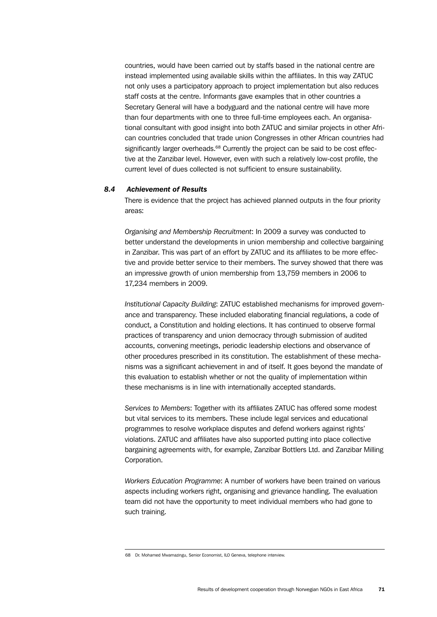countries, would have been carried out by staffs based in the national centre are instead implemented using available skills within the affiliates. In this way ZATUC not only uses a participatory approach to project implementation but also reduces staff costs at the centre. Informants gave examples that in other countries a Secretary General will have a bodyguard and the national centre will have more than four departments with one to three full-time employees each. An organisational consultant with good insight into both ZATUC and similar projects in other African countries concluded that trade union Congresses in other African countries had significantly larger overheads.<sup>68</sup> Currently the project can be said to be cost effective at the Zanzibar level. However, even with such a relatively low-cost profile, the current level of dues collected is not sufficient to ensure sustainability.

## *8.4 Achievement of Results*

There is evidence that the project has achieved planned outputs in the four priority areas:

*Organising and Membership Recruitment*: In 2009 a survey was conducted to better understand the developments in union membership and collective bargaining in Zanzibar. This was part of an effort by ZATUC and its affiliates to be more effective and provide better service to their members. The survey showed that there was an impressive growth of union membership from 13,759 members in 2006 to 17,234 members in 2009.

*Institutional Capacity Building*: ZATUC established mechanisms for improved governance and transparency. These included elaborating financial regulations, a code of conduct, a Constitution and holding elections. It has continued to observe formal practices of transparency and union democracy through submission of audited accounts, convening meetings, periodic leadership elections and observance of other procedures prescribed in its constitution. The establishment of these mechanisms was a significant achievement in and of itself. It goes beyond the mandate of this evaluation to establish whether or not the quality of implementation within these mechanisms is in line with internationally accepted standards.

*Services to Members*: Together with its affiliates ZATUC has offered some modest but vital services to its members. These include legal services and educational programmes to resolve workplace disputes and defend workers against rights' violations. ZATUC and affiliates have also supported putting into place collective bargaining agreements with, for example, Zanzibar Bottlers Ltd. and Zanzibar Milling Corporation.

*Workers Education Programme*: A number of workers have been trained on various aspects including workers right, organising and grievance handling. The evaluation team did not have the opportunity to meet individual members who had gone to such training.

<sup>68</sup> Dr. Mohamed Mwamazingu, Senior Economist, ILO Geneva, telephone interview.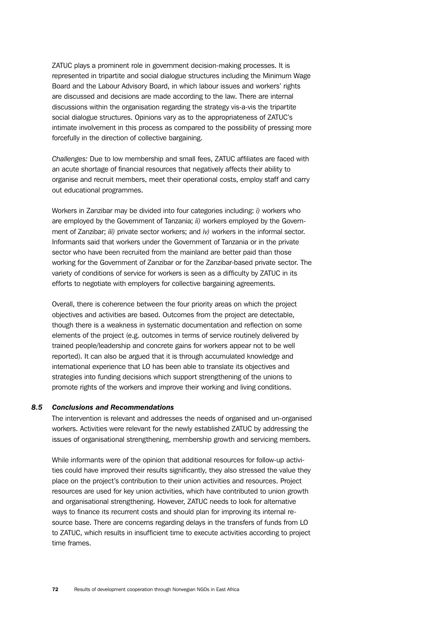ZATUC plays a prominent role in government decision-making processes. It is represented in tripartite and social dialogue structures including the Minimum Wage Board and the Labour Advisory Board, in which labour issues and workers' rights are discussed and decisions are made according to the law. There are internal discussions within the organisation regarding the strategy vis-a-vis the tripartite social dialogue structures. Opinions vary as to the appropriateness of ZATUC's intimate involvement in this process as compared to the possibility of pressing more forcefully in the direction of collective bargaining.

*Challenges:* Due to low membership and small fees, ZATUC affiliates are faced with an acute shortage of financial resources that negatively affects their ability to organise and recruit members, meet their operational costs, employ staff and carry out educational programmes.

Workers in Zanzibar may be divided into four categories including: *i)* workers who are employed by the Government of Tanzania; *ii)* workers employed by the Government of Zanzibar; *iii)* private sector workers; and *iv)* workers in the informal sector. Informants said that workers under the Government of Tanzania or in the private sector who have been recruited from the mainland are better paid than those working for the Government of Zanzibar or for the Zanzibar-based private sector. The variety of conditions of service for workers is seen as a difficulty by ZATUC in its efforts to negotiate with employers for collective bargaining agreements.

Overall, there is coherence between the four priority areas on which the project objectives and activities are based. Outcomes from the project are detectable, though there is a weakness in systematic documentation and reflection on some elements of the project (e.g. outcomes in terms of service routinely delivered by trained people/leadership and concrete gains for workers appear not to be well reported). It can also be argued that it is through accumulated knowledge and international experience that LO has been able to translate its objectives and strategies into funding decisions which support strengthening of the unions to promote rights of the workers and improve their working and living conditions.

#### *8.5 Conclusions and Recommendations*

The intervention is relevant and addresses the needs of organised and un-organised workers. Activities were relevant for the newly established ZATUC by addressing the issues of organisational strengthening, membership growth and servicing members.

While informants were of the opinion that additional resources for follow-up activities could have improved their results significantly, they also stressed the value they place on the project's contribution to their union activities and resources. Project resources are used for key union activities, which have contributed to union growth and organisational strengthening. However, ZATUC needs to look for alternative ways to finance its recurrent costs and should plan for improving its internal resource base. There are concerns regarding delays in the transfers of funds from LO to ZATUC, which results in insufficient time to execute activities according to project time frames.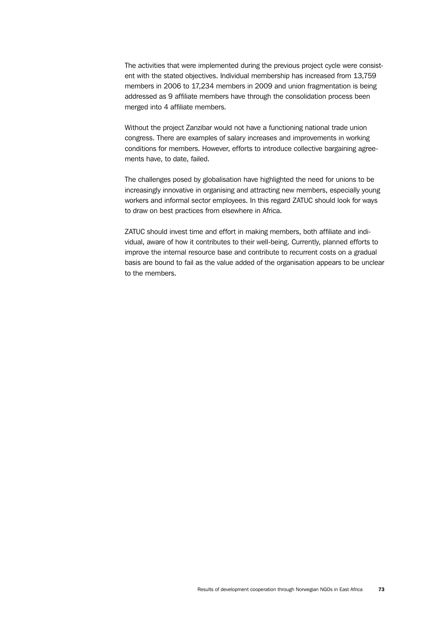The activities that were implemented during the previous project cycle were consistent with the stated objectives. Individual membership has increased from 13,759 members in 2006 to 17,234 members in 2009 and union fragmentation is being addressed as 9 affiliate members have through the consolidation process been merged into 4 affiliate members.

Without the project Zanzibar would not have a functioning national trade union congress. There are examples of salary increases and improvements in working conditions for members. However, efforts to introduce collective bargaining agreements have, to date, failed.

The challenges posed by globalisation have highlighted the need for unions to be increasingly innovative in organising and attracting new members, especially young workers and informal sector employees. In this regard ZATUC should look for ways to draw on best practices from elsewhere in Africa.

ZATUC should invest time and effort in making members, both affiliate and individual, aware of how it contributes to their well-being. Currently, planned efforts to improve the internal resource base and contribute to recurrent costs on a gradual basis are bound to fail as the value added of the organisation appears to be unclear to the members.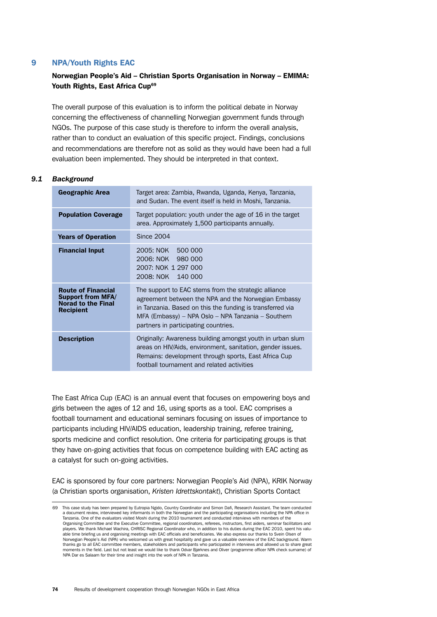## 9 NPA/Youth Rights EAC

# Norwegian People's Aid – Christian Sports Organisation in Norway – EMIMA: Youth Rights, East Africa Cup<sup>69</sup>

The overall purpose of this evaluation is to inform the political debate in Norway concerning the effectiveness of channelling Norwegian government funds through NGOs. The purpose of this case study is therefore to inform the overall analysis, rather than to conduct an evaluation of this specific project. Findings, conclusions and recommendations are therefore not as solid as they would have been had a full evaluation been implemented. They should be interpreted in that context.

#### *9.1 Background*

| Geographic Area                                                                                        | Target area: Zambia, Rwanda, Uganda, Kenya, Tanzania,<br>and Sudan. The event itself is held in Moshi, Tanzania.                                                                                                                                                       |
|--------------------------------------------------------------------------------------------------------|------------------------------------------------------------------------------------------------------------------------------------------------------------------------------------------------------------------------------------------------------------------------|
| <b>Population Coverage</b>                                                                             | Target population: youth under the age of 16 in the target<br>area. Approximately 1,500 participants annually.                                                                                                                                                         |
| <b>Years of Operation</b>                                                                              | <b>Since 2004</b>                                                                                                                                                                                                                                                      |
| <b>Financial Input</b>                                                                                 | 2005: NOK 500 000<br>2006: NOK 980 000<br>2007: NOK 1 297 000<br>2008: NOK<br>140 000                                                                                                                                                                                  |
| <b>Route of Financial</b><br><b>Support from MFA/</b><br><b>Norad to the Final</b><br><b>Recipient</b> | The support to EAC stems from the strategic alliance<br>agreement between the NPA and the Norwegian Embassy<br>in Tanzania. Based on this the funding is transferred via<br>MFA (Embassy) – NPA Oslo – NPA Tanzania – Southern<br>partners in participating countries. |
| <b>Description</b>                                                                                     | Originally: Awareness building amongst youth in urban slum<br>areas on HIV/Aids, environment, sanitation, gender issues.<br>Remains: development through sports, East Africa Cup<br>football tournament and related activities                                         |

The East Africa Cup (EAC) is an annual event that focuses on empowering boys and girls between the ages of 12 and 16, using sports as a tool. EAC comprises a football tournament and educational seminars focusing on issues of importance to participants including HIV/AIDS education, leadership training, referee training, sports medicine and conflict resolution. One criteria for participating groups is that they have on-going activities that focus on competence building with EAC acting as a catalyst for such on-going activities.

EAC is sponsored by four core partners: Norwegian People's Aid (NPA), KRIK Norway (a Christian sports organisation, *Kristen Idrettskontakt*), Christian Sports Contact

<sup>69</sup> This case study has been prepared by Eutropia Ngido, Country Coordinator and Simon Dafi, Research Assistant. The team conducted a document review, interviewed key informants in both the Norwegian and the participating organisations including the NPA office in<br>Tanzania. One of the evaluators visited Moshi during the 2010 tournament and conducted int Organising Committee and the Executive Committee, regional coordinators, referees, instructors, first aiders, seminar facilitators and<br>players. We thank Michael Wachira, CHRISC Regional Coordinator who, in addition to his able time briefing us and organising meetings with EAC officials and beneficiaries. We also express our thanks to Svein Olsen of Norwegian People's Aid (NPA) who welcomed us with great hospitality and gave us a valuable overview of the EAC background. Warm<br>thanks go to all EAC committee members, stakeholders and participants who participated in inte moments in the field. Last but not least we would like to thank Odvar Bjørknes and Oliver (programme officer NPA check surname) of NPA Dar es Salaam for their time and insight into the work of NPA in Tanzania.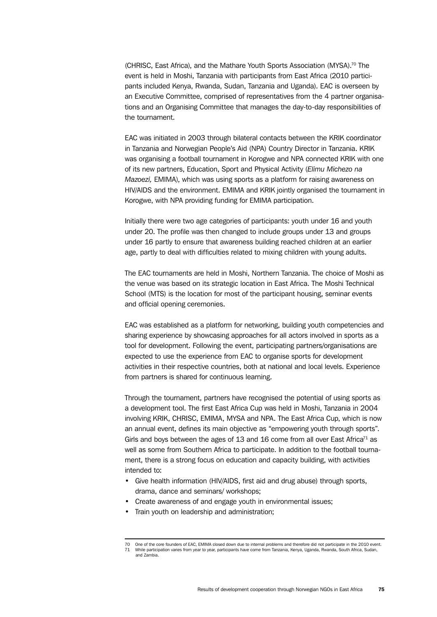(CHRISC, East Africa), and the Mathare Youth Sports Association (MYSA).<sup>70</sup> The event is held in Moshi, Tanzania with participants from East Africa (2010 participants included Kenya, Rwanda, Sudan, Tanzania and Uganda). EAC is overseen by an Executive Committee, comprised of representatives from the 4 partner organisations and an Organising Committee that manages the day-to-day responsibilities of the tournament.

EAC was initiated in 2003 through bilateral contacts between the KRIK coordinator in Tanzania and Norwegian People's Aid (NPA) Country Director in Tanzania. KRIK was organising a football tournament in Korogwe and NPA connected KRIK with one of its new partners, Education, Sport and Physical Activity (*Elimu Michezo na Mazoezi,* EMIMA), which was using sports as a platform for raising awareness on HIV/AIDS and the environment. EMIMA and KRIK jointly organised the tournament in Korogwe, with NPA providing funding for EMIMA participation.

Initially there were two age categories of participants: youth under 16 and youth under 20. The profile was then changed to include groups under 13 and groups under 16 partly to ensure that awareness building reached children at an earlier age, partly to deal with difficulties related to mixing children with young adults.

The EAC tournaments are held in Moshi, Northern Tanzania. The choice of Moshi as the venue was based on its strategic location in East Africa. The Moshi Technical School (MTS) is the location for most of the participant housing, seminar events and official opening ceremonies.

EAC was established as a platform for networking, building youth competencies and sharing experience by showcasing approaches for all actors involved in sports as a tool for development. Following the event, participating partners/organisations are expected to use the experience from EAC to organise sports for development activities in their respective countries, both at national and local levels. Experience from partners is shared for continuous learning.

Through the tournament, partners have recognised the potential of using sports as a development tool. The first East Africa Cup was held in Moshi, Tanzania in 2004 involving KRIK, CHRISC, EMIMA, MYSA and NPA. The East Africa Cup, which is now an annual event, defines its main objective as "empowering youth through sports". Girls and boys between the ages of 13 and 16 come from all over East Africa<sup>71</sup> as well as some from Southern Africa to participate. In addition to the football tournament, there is a strong focus on education and capacity building, with activities intended to:

- Give health information (HIV/AIDS, first aid and drug abuse) through sports, drama, dance and seminars/ workshops;
- Create awareness of and engage youth in environmental issues;
- Train youth on leadership and administration;

<sup>70</sup> One of the core founders of EAC, EMIMA closed down due to internal problems and therefore did not participate in the 2010 event. 71 While participation varies from year to year, participants have come from Tanzania, Kenya, Uganda, Rwanda, South Africa, Sudan, and Zambia.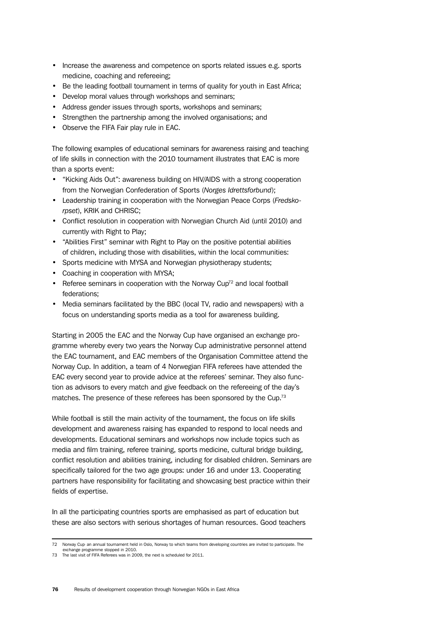- Increase the awareness and competence on sports related issues e.g. sports medicine, coaching and refereeing;
- Be the leading football tournament in terms of quality for youth in East Africa;
- Develop moral values through workshops and seminars;
- Address gender issues through sports, workshops and seminars;
- Strengthen the partnership among the involved organisations; and
- Observe the FIFA Fair play rule in EAC.

The following examples of educational seminars for awareness raising and teaching of life skills in connection with the 2010 tournament illustrates that EAC is more than a sports event:

- "Kicking Aids Out": awareness building on HIV/AIDS with a strong cooperation from the Norwegian Confederation of Sports (*Norges Idrettsforbund*);
- Leadership training in cooperation with the Norwegian Peace Corps (*Fredskorpset*), KRIK and CHRISC;
- Conflict resolution in cooperation with Norwegian Church Aid (until 2010) and currently with Right to Play;
- "Abilities First" seminar with Right to Play on the positive potential abilities of children, including those with disabilities, within the local communities:
- Sports medicine with MYSA and Norwegian physiotherapy students;
- Coaching in cooperation with MYSA;
- Referee seminars in cooperation with the Norway Cup<sup>72</sup> and local football federations;
- Media seminars facilitated by the BBC (local TV, radio and newspapers) with a focus on understanding sports media as a tool for awareness building.

Starting in 2005 the EAC and the Norway Cup have organised an exchange programme whereby every two years the Norway Cup administrative personnel attend the EAC tournament, and EAC members of the Organisation Committee attend the Norway Cup. In addition, a team of 4 Norwegian FIFA referees have attended the EAC every second year to provide advice at the referees' seminar. They also function as advisors to every match and give feedback on the refereeing of the day's matches. The presence of these referees has been sponsored by the Cup.<sup>73</sup>

While football is still the main activity of the tournament, the focus on life skills development and awareness raising has expanded to respond to local needs and developments. Educational seminars and workshops now include topics such as media and film training, referee training, sports medicine, cultural bridge building, conflict resolution and abilities training, including for disabled children. Seminars are specifically tailored for the two age groups: under 16 and under 13. Cooperating partners have responsibility for facilitating and showcasing best practice within their fields of expertise.

In all the participating countries sports are emphasised as part of education but these are also sectors with serious shortages of human resources. Good teachers

<sup>72</sup> Norway Cup an annual tournament held in Oslo, Norway to which teams from developing countries are invited to participate. The

exchange programme stopped in 2010. 73 The last visit of FIFA Referees was in 2009, the next is scheduled for 2011.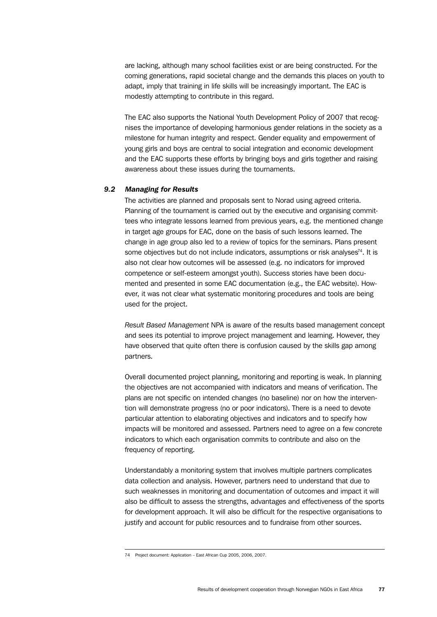are lacking, although many school facilities exist or are being constructed. For the coming generations, rapid societal change and the demands this places on youth to adapt, imply that training in life skills will be increasingly important. The EAC is modestly attempting to contribute in this regard.

The EAC also supports the National Youth Development Policy of 2007 that recognises the importance of developing harmonious gender relations in the society as a milestone for human integrity and respect. Gender equality and empowerment of young girls and boys are central to social integration and economic development and the EAC supports these efforts by bringing boys and girls together and raising awareness about these issues during the tournaments.

## *9.2 Managing for Results*

The activities are planned and proposals sent to Norad using agreed criteria. Planning of the tournament is carried out by the executive and organising committees who integrate lessons learned from previous years, e.g. the mentioned change in target age groups for EAC, done on the basis of such lessons learned. The change in age group also led to a review of topics for the seminars. Plans present some objectives but do not include indicators, assumptions or risk analyses<sup>74</sup>. It is also not clear how outcomes will be assessed (e.g. no indicators for improved competence or self-esteem amongst youth). Success stories have been documented and presented in some EAC documentation (e.g., the EAC website). However, it was not clear what systematic monitoring procedures and tools are being used for the project.

*Result Based Management* NPA is aware of the results based management concept and sees its potential to improve project management and learning. However, they have observed that quite often there is confusion caused by the skills gap among partners.

Overall documented project planning, monitoring and reporting is weak. In planning the objectives are not accompanied with indicators and means of verification. The plans are not specific on intended changes (no baseline) nor on how the intervention will demonstrate progress (no or poor indicators). There is a need to devote particular attention to elaborating objectives and indicators and to specify how impacts will be monitored and assessed. Partners need to agree on a few concrete indicators to which each organisation commits to contribute and also on the frequency of reporting.

Understandably a monitoring system that involves multiple partners complicates data collection and analysis. However, partners need to understand that due to such weaknesses in monitoring and documentation of outcomes and impact it will also be difficult to assess the strengths, advantages and effectiveness of the sports for development approach. It will also be difficult for the respective organisations to justify and account for public resources and to fundraise from other sources.

<sup>74</sup> Project document: Application – East African Cup 2005, 2006, 2007.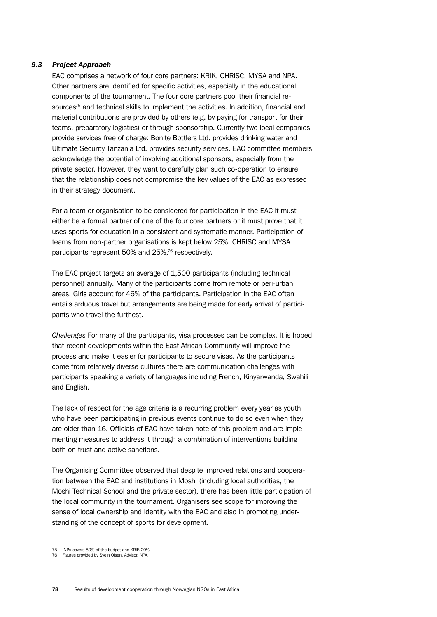## *9.3 Project Approach*

EAC comprises a network of four core partners: KRIK, CHRISC, MYSA and NPA. Other partners are identified for specific activities, especially in the educational components of the tournament. The four core partners pool their financial resources<sup>75</sup> and technical skills to implement the activities. In addition, financial and material contributions are provided by others (e.g. by paying for transport for their teams, preparatory logistics) or through sponsorship. Currently two local companies provide services free of charge: Bonite Bottlers Ltd. provides drinking water and Ultimate Security Tanzania Ltd. provides security services. EAC committee members acknowledge the potential of involving additional sponsors, especially from the private sector. However, they want to carefully plan such co-operation to ensure that the relationship does not compromise the key values of the EAC as expressed in their strategy document.

For a team or organisation to be considered for participation in the EAC it must either be a formal partner of one of the four core partners or it must prove that it uses sports for education in a consistent and systematic manner. Participation of teams from non-partner organisations is kept below 25%. CHRISC and MYSA participants represent 50% and 25%,<sup>76</sup> respectively.

The EAC project targets an average of 1,500 participants (including technical personnel) annually. Many of the participants come from remote or peri-urban areas. Girls account for 46% of the participants. Participation in the EAC often entails arduous travel but arrangements are being made for early arrival of participants who travel the furthest.

*Challenges* For many of the participants, visa processes can be complex. It is hoped that recent developments within the East African Community will improve the process and make it easier for participants to secure visas. As the participants come from relatively diverse cultures there are communication challenges with participants speaking a variety of languages including French, Kinyarwanda, Swahili and English.

The lack of respect for the age criteria is a recurring problem every year as youth who have been participating in previous events continue to do so even when they are older than 16. Officials of EAC have taken note of this problem and are implementing measures to address it through a combination of interventions building both on trust and active sanctions.

The Organising Committee observed that despite improved relations and cooperation between the EAC and institutions in Moshi (including local authorities, the Moshi Technical School and the private sector), there has been little participation of the local community in the tournament. Organisers see scope for improving the sense of local ownership and identity with the EAC and also in promoting understanding of the concept of sports for development.

<sup>75</sup> NPA covers 80% of the budget and KRIK 20%. 76 Figures provided by Svein Olsen, Advisor, NPA.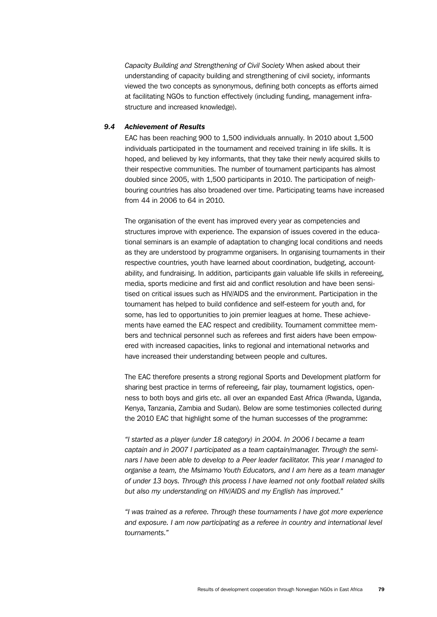*Capacity Building and Strengthening of Civil Society* When asked about their understanding of capacity building and strengthening of civil society, informants viewed the two concepts as synonymous, defining both concepts as efforts aimed at facilitating NGOs to function effectively (including funding, management infrastructure and increased knowledge).

## *9.4 Achievement of Results*

EAC has been reaching 900 to 1,500 individuals annually. In 2010 about 1,500 individuals participated in the tournament and received training in life skills. It is hoped, and believed by key informants, that they take their newly acquired skills to their respective communities. The number of tournament participants has almost doubled since 2005, with 1,500 participants in 2010. The participation of neighbouring countries has also broadened over time. Participating teams have increased from 44 in 2006 to 64 in 2010.

The organisation of the event has improved every year as competencies and structures improve with experience. The expansion of issues covered in the educational seminars is an example of adaptation to changing local conditions and needs as they are understood by programme organisers. In organising tournaments in their respective countries, youth have learned about coordination, budgeting, accountability, and fundraising. In addition, participants gain valuable life skills in refereeing, media, sports medicine and first aid and conflict resolution and have been sensitised on critical issues such as HIV/AIDS and the environment. Participation in the tournament has helped to build confidence and self-esteem for youth and, for some, has led to opportunities to join premier leagues at home. These achievements have earned the EAC respect and credibility. Tournament committee members and technical personnel such as referees and first aiders have been empowered with increased capacities, links to regional and international networks and have increased their understanding between people and cultures.

The EAC therefore presents a strong regional Sports and Development platform for sharing best practice in terms of refereeing, fair play, tournament logistics, openness to both boys and girls etc. all over an expanded East Africa (Rwanda, Uganda, Kenya, Tanzania, Zambia and Sudan). Below are some testimonies collected during the 2010 EAC that highlight some of the human successes of the programme:

*"I started as a player (under 18 category) in 2004. In 2006 I became a team captain and in 2007 I participated as a team captain/manager. Through the seminars I have been able to develop to a Peer leader facilitator. This year I managed to organise a team, the Msimamo Youth Educators, and I am here as a team manager of under 13 boys. Through this process I have learned not only football related skills but also my understanding on HIV/AIDS and my English has improved."*

*"I was trained as a referee. Through these tournaments I have got more experience and exposure. I am now participating as a referee in country and international level tournaments."*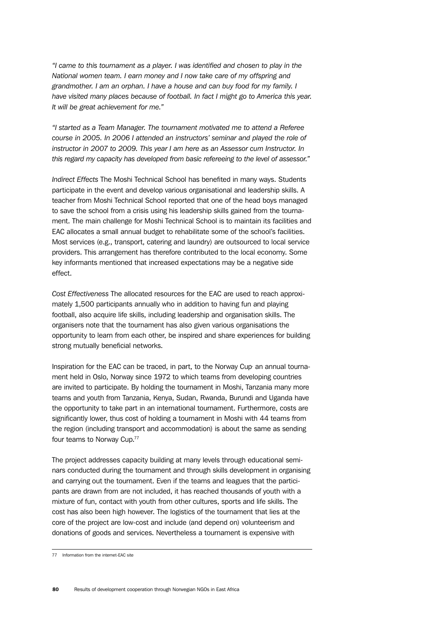*"I came to this tournament as a player. I was identified and chosen to play in the National women team. I earn money and I now take care of my offspring and grandmother. I am an orphan. I have a house and can buy food for my family. I have visited many places because of football. In fact I might go to America this year. It will be great achievement for me."*

*"I started as a Team Manager. The tournament motivated me to attend a Referee course in 2005. In 2006 I attended an instructors' seminar and played the role of instructor in 2007 to 2009. This year I am here as an Assessor cum Instructor. In this regard my capacity has developed from basic refereeing to the level of assessor."*

*Indirect Effects* The Moshi Technical School has benefited in many ways. Students participate in the event and develop various organisational and leadership skills. A teacher from Moshi Technical School reported that one of the head boys managed to save the school from a crisis using his leadership skills gained from the tournament. The main challenge for Moshi Technical School is to maintain its facilities and EAC allocates a small annual budget to rehabilitate some of the school's facilities. Most services (e.g., transport, catering and laundry) are outsourced to local service providers. This arrangement has therefore contributed to the local economy. Some key informants mentioned that increased expectations may be a negative side effect.

*Cost Effectiveness* The allocated resources for the EAC are used to reach approximately 1,500 participants annually who in addition to having fun and playing football, also acquire life skills, including leadership and organisation skills. The organisers note that the tournament has also given various organisations the opportunity to learn from each other, be inspired and share experiences for building strong mutually beneficial networks.

Inspiration for the EAC can be traced, in part, to the Norway Cup, an annual tournament held in Oslo, Norway since 1972 to which teams from developing countries are invited to participate. By holding the tournament in Moshi, Tanzania many more teams and youth from Tanzania, Kenya, Sudan, Rwanda, Burundi and Uganda have the opportunity to take part in an international tournament. Furthermore, costs are significantly lower, thus cost of holding a tournament in Moshi with 44 teams from the region (including transport and accommodation) is about the same as sending four teams to Norway Cup.77

The project addresses capacity building at many levels through educational seminars conducted during the tournament and through skills development in organising and carrying out the tournament. Even if the teams and leagues that the participants are drawn from are not included, it has reached thousands of youth with a mixture of fun, contact with youth from other cultures, sports and life skills. The cost has also been high however. The logistics of the tournament that lies at the core of the project are low-cost and include (and depend on) volunteerism and donations of goods and services. Nevertheless a tournament is expensive with

<sup>77</sup> Information from the internet-EAC site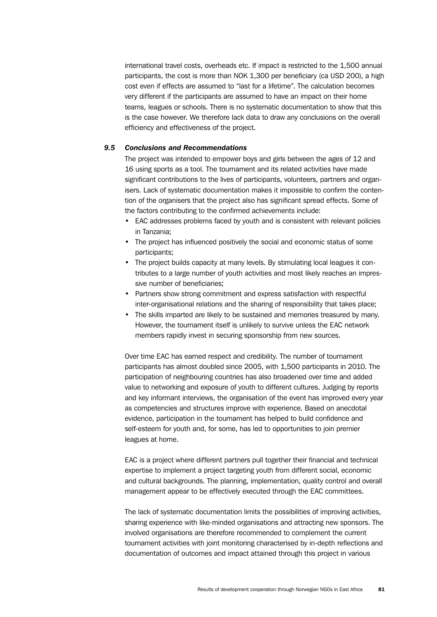international travel costs, overheads etc. If impact is restricted to the 1,500 annual participants, the cost is more than NOK 1,300 per beneficiary (ca USD 200), a high cost even if effects are assumed to "last for a lifetime". The calculation becomes very different if the participants are assumed to have an impact on their home teams, leagues or schools. There is no systematic documentation to show that this is the case however. We therefore lack data to draw any conclusions on the overall efficiency and effectiveness of the project.

## *9.5 Conclusions and Recommendations*

The project was intended to empower boys and girls between the ages of 12 and 16 using sports as a tool. The tournament and its related activities have made significant contributions to the lives of participants, volunteers, partners and organisers. Lack of systematic documentation makes it impossible to confirm the contention of the organisers that the project also has significant spread effects. Some of the factors contributing to the confirmed achievements include:

- EAC addresses problems faced by youth and is consistent with relevant policies in Tanzania;
- The project has influenced positively the social and economic status of some participants;
- The project builds capacity at many levels. By stimulating local leagues it contributes to a large number of youth activities and most likely reaches an impressive number of beneficiaries;
- Partners show strong commitment and express satisfaction with respectful inter-organisational relations and the sharing of responsibility that takes place;
- The skills imparted are likely to be sustained and memories treasured by many. However, the tournament itself is unlikely to survive unless the EAC network members rapidly invest in securing sponsorship from new sources.

Over time EAC has earned respect and credibility. The number of tournament participants has almost doubled since 2005, with 1,500 participants in 2010. The participation of neighbouring countries has also broadened over time and added value to networking and exposure of youth to different cultures. Judging by reports and key informant interviews, the organisation of the event has improved every year as competencies and structures improve with experience. Based on anecdotal evidence, participation in the tournament has helped to build confidence and self-esteem for youth and, for some, has led to opportunities to join premier leagues at home.

EAC is a project where different partners pull together their financial and technical expertise to implement a project targeting youth from different social, economic and cultural backgrounds. The planning, implementation, quality control and overall management appear to be effectively executed through the EAC committees.

The lack of systematic documentation limits the possibilities of improving activities, sharing experience with like-minded organisations and attracting new sponsors. The involved organisations are therefore recommended to complement the current tournament activities with joint monitoring characterised by in-depth reflections and documentation of outcomes and impact attained through this project in various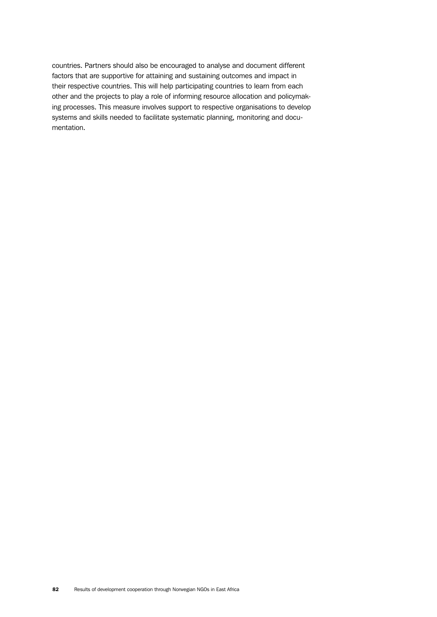countries. Partners should also be encouraged to analyse and document different factors that are supportive for attaining and sustaining outcomes and impact in their respective countries. This will help participating countries to learn from each other and the projects to play a role of informing resource allocation and policymaking processes. This measure involves support to respective organisations to develop systems and skills needed to facilitate systematic planning, monitoring and documentation.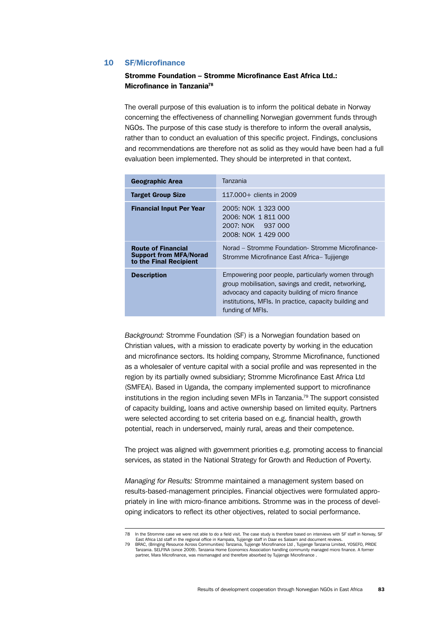## 10 SF/Microfinance

## Stromme Foundation – Stromme Microfinance East Africa Ltd.: Microfinance in Tanzania78

The overall purpose of this evaluation is to inform the political debate in Norway concerning the effectiveness of channelling Norwegian government funds through NGOs. The purpose of this case study is therefore to inform the overall analysis, rather than to conduct an evaluation of this specific project. Findings, conclusions and recommendations are therefore not as solid as they would have been had a full evaluation been implemented. They should be interpreted in that context.

| <b>Geographic Area</b>                                                               | Tanzania                                                                                                                                                                                                                                   |
|--------------------------------------------------------------------------------------|--------------------------------------------------------------------------------------------------------------------------------------------------------------------------------------------------------------------------------------------|
| <b>Target Group Size</b>                                                             | 117,000+ clients in 2009                                                                                                                                                                                                                   |
| <b>Financial Input Per Year</b>                                                      | 2005: NOK 1 323 000<br>2006: NOK 1811000<br>2007: NOK 937 000<br>2008: NOK 1 429 000                                                                                                                                                       |
| <b>Route of Financial</b><br><b>Support from MFA/Norad</b><br>to the Final Recipient | Norad – Stromme Foundation- Stromme Microfinance-<br>Stromme Microfinance East Africa-Tujijenge                                                                                                                                            |
| <b>Description</b>                                                                   | Empowering poor people, particularly women through<br>group mobilisation, savings and credit, networking,<br>advocacy and capacity building of micro finance<br>institutions, MFIs. In practice, capacity building and<br>funding of MFIs. |

*Background:* Stromme Foundation (SF) is a Norwegian foundation based on Christian values, with a mission to eradicate poverty by working in the education and microfinance sectors. Its holding company, Stromme Microfinance, functioned as a wholesaler of venture capital with a social profile and was represented in the region by its partially owned subsidiary; Stromme Microfinance East Africa Ltd (SMFEA). Based in Uganda, the company implemented support to microfinance institutions in the region including seven MFIs in Tanzania.79 The support consisted of capacity building, loans and active ownership based on limited equity. Partners were selected according to set criteria based on e.g. financial health, growth potential, reach in underserved, mainly rural, areas and their competence.

The project was aligned with government priorities e.g. promoting access to financial services, as stated in the National Strategy for Growth and Reduction of Poverty.

*Managing for Results:* Stromme maintained a management system based on results-based-management principles. Financial objectives were formulated appropriately in line with micro-finance ambitions. Stromme was in the process of developing indicators to reflect its other objectives, related to social performance.

<sup>78</sup> In the Stromme case we were not able to do a field visit. The case study is therefore based on interviews with SF staff in Norway, SF East Africa Ltd staff in the regional office in Kampala, Tujijenge staff in Daar es Salaam and document reviews.<br>79 BRAC, (Bringing Resource Across Communities) Tanzania, Tujijenge Microfinance Ltd , Tujijenge Tanzania Lim

Tanzania. SELFINA (since 2009). Tanzania Home Economics Association handling community managed micro finance. A former partner, Mara Microfinance, was mismanaged and therefore absorbed by Tujijenge Microfinance .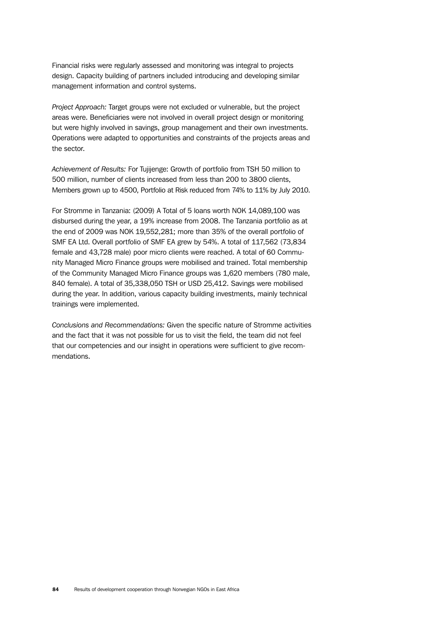Financial risks were regularly assessed and monitoring was integral to projects design. Capacity building of partners included introducing and developing similar management information and control systems.

*Project Approach:* Target groups were not excluded or vulnerable, but the project areas were. Beneficiaries were not involved in overall project design or monitoring but were highly involved in savings, group management and their own investments. Operations were adapted to opportunities and constraints of the projects areas and the sector.

*Achievement of Results:* For Tujijenge: Growth of portfolio from TSH 50 million to 500 million, number of clients increased from less than 200 to 3800 clients, Members grown up to 4500, Portfolio at Risk reduced from 74% to 11% by July 2010.

For Stromme in Tanzania: (2009) A Total of 5 loans worth NOK 14,089,100 was disbursed during the year, a 19% increase from 2008. The Tanzania portfolio as at the end of 2009 was NOK 19,552,281; more than 35% of the overall portfolio of SMF EA Ltd. Overall portfolio of SMF EA grew by 54%. A total of 117,562 (73,834 female and 43,728 male) poor micro clients were reached. A total of 60 Community Managed Micro Finance groups were mobilised and trained. Total membership of the Community Managed Micro Finance groups was 1,620 members (780 male, 840 female). A total of 35,338,050 TSH or USD 25,412. Savings were mobilised during the year. In addition, various capacity building investments, mainly technical trainings were implemented.

*Conclusions and Recommendations:* Given the specific nature of Stromme activities and the fact that it was not possible for us to visit the field, the team did not feel that our competencies and our insight in operations were sufficient to give recommendations.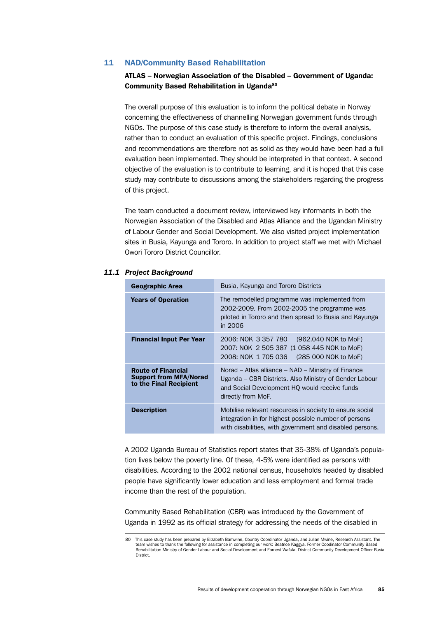## 11 NAD/Community Based Rehabilitation

## ATLAS – Norwegian Association of the Disabled – Government of Uganda: Community Based Rehabilitation in Uganda<sup>80</sup>

The overall purpose of this evaluation is to inform the political debate in Norway concerning the effectiveness of channelling Norwegian government funds through NGOs. The purpose of this case study is therefore to inform the overall analysis, rather than to conduct an evaluation of this specific project. Findings, conclusions and recommendations are therefore not as solid as they would have been had a full evaluation been implemented. They should be interpreted in that context. A second objective of the evaluation is to contribute to learning, and it is hoped that this case study may contribute to discussions among the stakeholders regarding the progress of this project.

The team conducted a document review, interviewed key informants in both the Norwegian Association of the Disabled and Atlas Alliance and the Ugandan Ministry of Labour Gender and Social Development. We also visited project implementation sites in Busia, Kayunga and Tororo. In addition to project staff we met with Michael Owori Tororo District Councillor.

| Geographic Area                                                                      | Busia, Kayunga and Tororo Districts                                                                                                                                                 |
|--------------------------------------------------------------------------------------|-------------------------------------------------------------------------------------------------------------------------------------------------------------------------------------|
| <b>Years of Operation</b>                                                            | The remodelled programme was implemented from<br>2002-2009. From 2002-2005 the programme was<br>piloted in Tororo and then spread to Busia and Kayunga<br>in 2006                   |
| <b>Financial Input Per Year</b>                                                      | 2006: NOK 3 357 780<br>(962.040 NOK to MoF)<br>2007: NOK 2 505 387 (1 058 445 NOK to MoF)<br>2008: NOK 1 705 036<br>(285 000 NOK to MoF)                                            |
| <b>Route of Financial</b><br><b>Support from MFA/Norad</b><br>to the Final Recipient | Norad – Atlas alliance – NAD – Ministry of Finance<br>Uganda – CBR Districts. Also Ministry of Gender Labour<br>and Social Development HQ would receive funds<br>directly from MoF. |
| <b>Description</b>                                                                   | Mobilise relevant resources in society to ensure social<br>integration in for highest possible number of persons<br>with disabilities, with government and disabled persons.        |

#### *11.1 Project Background*

A 2002 Uganda Bureau of Statistics report states that 35-38% of Uganda's population lives below the poverty line. Of these, 4-5% were identified as persons with disabilities. According to the 2002 national census, households headed by disabled people have significantly lower education and less employment and formal trade income than the rest of the population.

Community Based Rehabilitation (CBR) was introduced by the Government of Uganda in 1992 as its official strategy for addressing the needs of the disabled in

<sup>80</sup> This case study has been prepared by Elizabeth Bamwine, Country Coordinator Uganda, and Julian Mwine, Research Assistant. The team wishes to thank the following for assistance in completing our work: Beatrice Kaggya, Former Coodinator Community Based Rehabilitation Ministry of Gender Labour and Social Development and Earnest Wafula, District Community Development Officer Busia **District**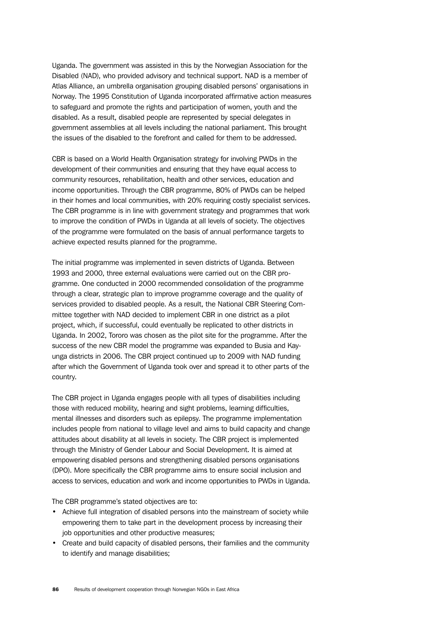Uganda. The government was assisted in this by the Norwegian Association for the Disabled (NAD), who provided advisory and technical support. NAD is a member of Atlas Alliance, an umbrella organisation grouping disabled persons' organisations in Norway. The 1995 Constitution of Uganda incorporated affirmative action measures to safeguard and promote the rights and participation of women, youth and the disabled. As a result, disabled people are represented by special delegates in government assemblies at all levels including the national parliament. This brought the issues of the disabled to the forefront and called for them to be addressed.

CBR is based on a World Health Organisation strategy for involving PWDs in the development of their communities and ensuring that they have equal access to community resources, rehabilitation, health and other services, education and income opportunities. Through the CBR programme, 80% of PWDs can be helped in their homes and local communities, with 20% requiring costly specialist services. The CBR programme is in line with government strategy and programmes that work to improve the condition of PWDs in Uganda at all levels of society. The objectives of the programme were formulated on the basis of annual performance targets to achieve expected results planned for the programme.

The initial programme was implemented in seven districts of Uganda. Between 1993 and 2000, three external evaluations were carried out on the CBR programme. One conducted in 2000 recommended consolidation of the programme through a clear, strategic plan to improve programme coverage and the quality of services provided to disabled people. As a result, the National CBR Steering Committee together with NAD decided to implement CBR in one district as a pilot project, which, if successful, could eventually be replicated to other districts in Uganda. In 2002, Tororo was chosen as the pilot site for the programme. After the success of the new CBR model the programme was expanded to Busia and Kayunga districts in 2006. The CBR project continued up to 2009 with NAD funding after which the Government of Uganda took over and spread it to other parts of the country.

The CBR project in Uganda engages people with all types of disabilities including those with reduced mobility, hearing and sight problems, learning difficulties, mental illnesses and disorders such as epilepsy. The programme implementation includes people from national to village level and aims to build capacity and change attitudes about disability at all levels in society. The CBR project is implemented through the Ministry of Gender Labour and Social Development. It is aimed at empowering disabled persons and strengthening disabled persons organisations (DPO). More specifically the CBR programme aims to ensure social inclusion and access to services, education and work and income opportunities to PWDs in Uganda.

The CBR programme's stated objectives are to:

- Achieve full integration of disabled persons into the mainstream of society while empowering them to take part in the development process by increasing their job opportunities and other productive measures;
- Create and build capacity of disabled persons, their families and the community to identify and manage disabilities;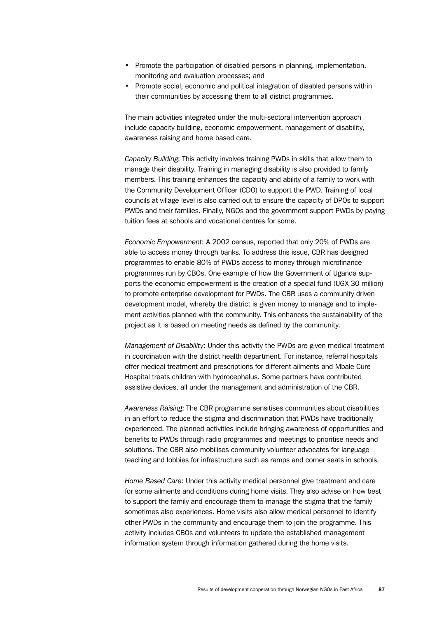- Promote the participation of disabled persons in planning, implementation, monitoring and evaluation processes; and
- Promote social, economic and political integration of disabled persons within their communities by accessing them to all district programmes.

The main activities integrated under the multi-sectoral intervention approach include capacity building, economic empowerment, management of disability, awareness raising and home based care.

*Capacity Building*: This activity involves training PWDs in skills that allow them to manage their disability. Training in managing disability is also provided to family members. This training enhances the capacity and ability of a family to work with the Community Development Officer (CDO) to support the PWD. Training of local councils at village level is also carried out to ensure the capacity of DPOs to support PWDs and their families. Finally, NGOs and the government support PWDs by paying tuition fees at schools and vocational centres for some.

*Economic Empowerment*: A 2002 census, reported that only 20% of PWDs are able to access money through banks. To address this issue, CBR has designed programmes to enable 80% of PWDs access to money through microfinance programmes run by CBOs. One example of how the Government of Uganda supports the economic empowerment is the creation of a special fund (UGX 30 million) to promote enterprise development for PWDs. The CBR uses a community driven development model, whereby the district is given money to manage and to implement activities planned with the community. This enhances the sustainability of the project as it is based on meeting needs as defined by the community.

*Management of Disability*: Under this activity the PWDs are given medical treatment in coordination with the district health department. For instance, referral hospitals offer medical treatment and prescriptions for different ailments and Mbale Cure Hospital treats children with hydrocephalus. Some partners have contributed assistive devices, all under the management and administration of the CBR.

*Awareness Raising*: The CBR programme sensitises communities about disabilities in an effort to reduce the stigma and discrimination that PWDs have traditionally experienced. The planned activities include bringing awareness of opportunities and benefits to PWDs through radio programmes and meetings to prioritise needs and solutions. The CBR also mobilises community volunteer advocates for language teaching and lobbies for infrastructure such as ramps and corner seats in schools.

*Home Based Care*: Under this activity medical personnel give treatment and care for some ailments and conditions during home visits. They also advise on how best to support the family and encourage them to manage the stigma that the family sometimes also experiences. Home visits also allow medical personnel to identify other PWDs in the community and encourage them to join the programme. This activity includes CBOs and volunteers to update the established management information system through information gathered during the home visits.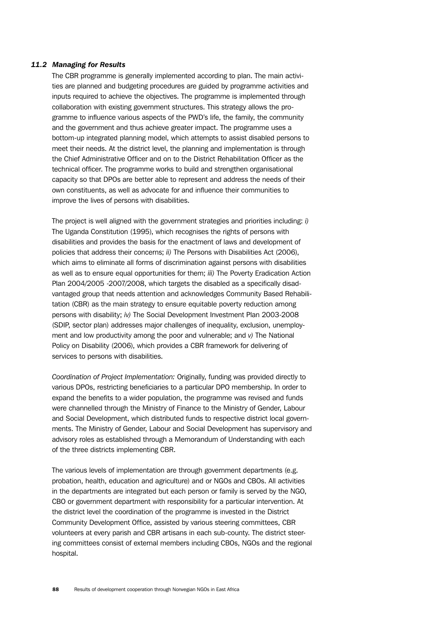## *11.2 Managing for Results*

The CBR programme is generally implemented according to plan. The main activities are planned and budgeting procedures are guided by programme activities and inputs required to achieve the objectives. The programme is implemented through collaboration with existing government structures. This strategy allows the programme to influence various aspects of the PWD's life, the family, the community and the government and thus achieve greater impact. The programme uses a bottom-up integrated planning model, which attempts to assist disabled persons to meet their needs. At the district level, the planning and implementation is through the Chief Administrative Officer and on to the District Rehabilitation Officer as the technical officer. The programme works to build and strengthen organisational capacity so that DPOs are better able to represent and address the needs of their own constituents, as well as advocate for and influence their communities to improve the lives of persons with disabilities.

The project is well aligned with the government strategies and priorities including: *i)*  The Uganda Constitution (1995), which recognises the rights of persons with disabilities and provides the basis for the enactment of laws and development of policies that address their concerns; *ii)* The Persons with Disabilities Act (2006), which aims to eliminate all forms of discrimination against persons with disabilities as well as to ensure equal opportunities for them; *iii)* The Poverty Eradication Action Plan 2004/2005 -2007/2008, which targets the disabled as a specifically disadvantaged group that needs attention and acknowledges Community Based Rehabilitation (CBR) as the main strategy to ensure equitable poverty reduction among persons with disability; *iv)* The Social Development Investment Plan 2003-2008 (SDIP, sector plan) addresses major challenges of inequality, exclusion, unemployment and low productivity among the poor and vulnerable; and *v)* The National Policy on Disability (2006), which provides a CBR framework for delivering of services to persons with disabilities.

*Coordination of Project Implementation:* Originally, funding was provided directly to various DPOs, restricting beneficiaries to a particular DPO membership. In order to expand the benefits to a wider population, the programme was revised and funds were channelled through the Ministry of Finance to the Ministry of Gender, Labour and Social Development, which distributed funds to respective district local governments. The Ministry of Gender, Labour and Social Development has supervisory and advisory roles as established through a Memorandum of Understanding with each of the three districts implementing CBR.

The various levels of implementation are through government departments (e.g. probation, health, education and agriculture) and or NGOs and CBOs. All activities in the departments are integrated but each person or family is served by the NGO, CBO or government department with responsibility for a particular intervention. At the district level the coordination of the programme is invested in the District Community Development Office, assisted by various steering committees, CBR volunteers at every parish and CBR artisans in each sub-county. The district steering committees consist of external members including CBOs, NGOs and the regional hospital.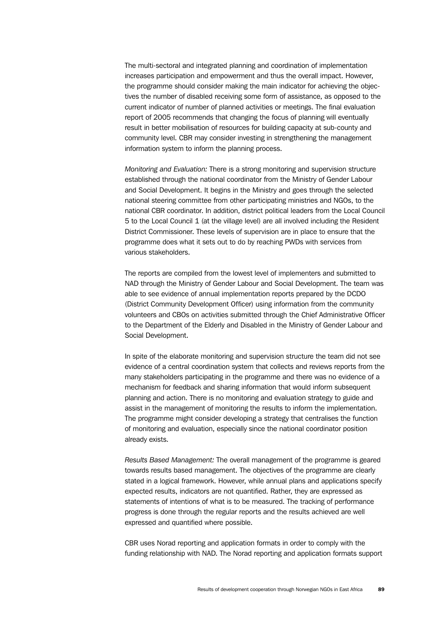The multi-sectoral and integrated planning and coordination of implementation increases participation and empowerment and thus the overall impact. However, the programme should consider making the main indicator for achieving the objectives the number of disabled receiving some form of assistance, as opposed to the current indicator of number of planned activities or meetings. The final evaluation report of 2005 recommends that changing the focus of planning will eventually result in better mobilisation of resources for building capacity at sub-county and community level. CBR may consider investing in strengthening the management information system to inform the planning process.

*Monitoring and Evaluation:* There is a strong monitoring and supervision structure established through the national coordinator from the Ministry of Gender Labour and Social Development. It begins in the Ministry and goes through the selected national steering committee from other participating ministries and NGOs, to the national CBR coordinator. In addition, district political leaders from the Local Council 5 to the Local Council 1 (at the village level) are all involved including the Resident District Commissioner. These levels of supervision are in place to ensure that the programme does what it sets out to do by reaching PWDs with services from various stakeholders.

The reports are compiled from the lowest level of implementers and submitted to NAD through the Ministry of Gender Labour and Social Development. The team was able to see evidence of annual implementation reports prepared by the DCDO (District Community Development Officer) using information from the community volunteers and CBOs on activities submitted through the Chief Administrative Officer to the Department of the Elderly and Disabled in the Ministry of Gender Labour and Social Development.

In spite of the elaborate monitoring and supervision structure the team did not see evidence of a central coordination system that collects and reviews reports from the many stakeholders participating in the programme and there was no evidence of a mechanism for feedback and sharing information that would inform subsequent planning and action. There is no monitoring and evaluation strategy to guide and assist in the management of monitoring the results to inform the implementation. The programme might consider developing a strategy that centralises the function of monitoring and evaluation, especially since the national coordinator position already exists.

*Results Based Management:* The overall management of the programme is geared towards results based management. The objectives of the programme are clearly stated in a logical framework. However, while annual plans and applications specify expected results, indicators are not quantified. Rather, they are expressed as statements of intentions of what is to be measured. The tracking of performance progress is done through the regular reports and the results achieved are well expressed and quantified where possible.

CBR uses Norad reporting and application formats in order to comply with the funding relationship with NAD. The Norad reporting and application formats support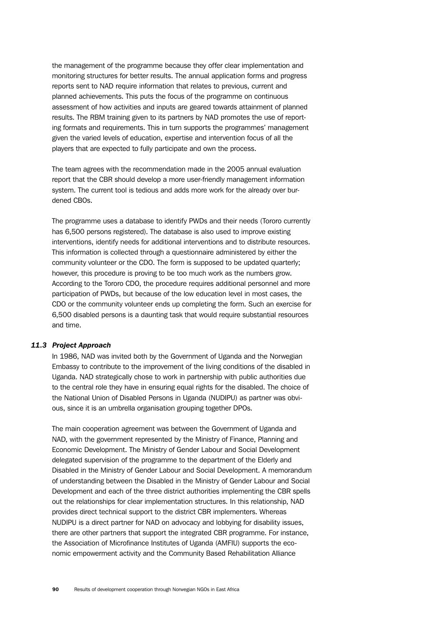the management of the programme because they offer clear implementation and monitoring structures for better results. The annual application forms and progress reports sent to NAD require information that relates to previous, current and planned achievements. This puts the focus of the programme on continuous assessment of how activities and inputs are geared towards attainment of planned results. The RBM training given to its partners by NAD promotes the use of reporting formats and requirements. This in turn supports the programmes' management given the varied levels of education, expertise and intervention focus of all the players that are expected to fully participate and own the process.

The team agrees with the recommendation made in the 2005 annual evaluation report that the CBR should develop a more user-friendly management information system. The current tool is tedious and adds more work for the already over burdened CBOs.

The programme uses a database to identify PWDs and their needs (Tororo currently has 6,500 persons registered). The database is also used to improve existing interventions, identify needs for additional interventions and to distribute resources. This information is collected through a questionnaire administered by either the community volunteer or the CDO. The form is supposed to be updated quarterly; however, this procedure is proving to be too much work as the numbers grow. According to the Tororo CDO, the procedure requires additional personnel and more participation of PWDs, but because of the low education level in most cases, the CDO or the community volunteer ends up completing the form. Such an exercise for 6,500 disabled persons is a daunting task that would require substantial resources and time.

## *11.3 Project Approach*

In 1986, NAD was invited both by the Government of Uganda and the Norwegian Embassy to contribute to the improvement of the living conditions of the disabled in Uganda. NAD strategically chose to work in partnership with public authorities due to the central role they have in ensuring equal rights for the disabled. The choice of the National Union of Disabled Persons in Uganda (NUDIPU) as partner was obvious, since it is an umbrella organisation grouping together DPOs.

The main cooperation agreement was between the Government of Uganda and NAD, with the government represented by the Ministry of Finance, Planning and Economic Development. The Ministry of Gender Labour and Social Development delegated supervision of the programme to the department of the Elderly and Disabled in the Ministry of Gender Labour and Social Development. A memorandum of understanding between the Disabled in the Ministry of Gender Labour and Social Development and each of the three district authorities implementing the CBR spells out the relationships for clear implementation structures. In this relationship, NAD provides direct technical support to the district CBR implementers. Whereas NUDIPU is a direct partner for NAD on advocacy and lobbying for disability issues, there are other partners that support the integrated CBR programme. For instance, the Association of Microfinance Institutes of Uganda (AMFIU) supports the economic empowerment activity and the Community Based Rehabilitation Alliance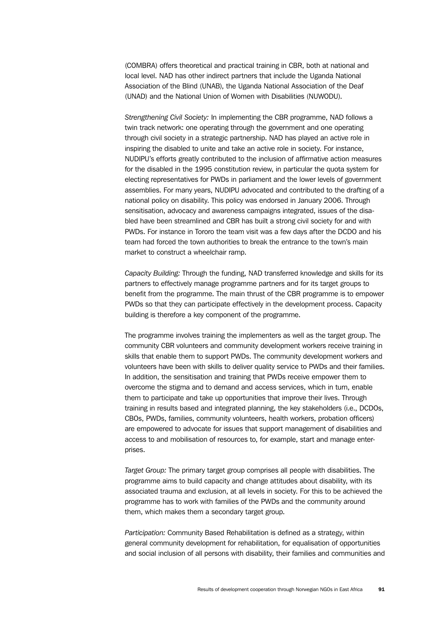(COMBRA) offers theoretical and practical training in CBR, both at national and local level. NAD has other indirect partners that include the Uganda National Association of the Blind (UNAB), the Uganda National Association of the Deaf (UNAD) and the National Union of Women with Disabilities (NUWODU).

*Strengthening Civil Society:* In implementing the CBR programme, NAD follows a twin track network: one operating through the government and one operating through civil society in a strategic partnership. NAD has played an active role in inspiring the disabled to unite and take an active role in society. For instance, NUDIPU's efforts greatly contributed to the inclusion of affirmative action measures for the disabled in the 1995 constitution review, in particular the quota system for electing representatives for PWDs in parliament and the lower levels of government assemblies. For many years, NUDIPU advocated and contributed to the drafting of a national policy on disability. This policy was endorsed in January 2006. Through sensitisation, advocacy and awareness campaigns integrated, issues of the disabled have been streamlined and CBR has built a strong civil society for and with PWDs. For instance in Tororo the team visit was a few days after the DCDO and his team had forced the town authorities to break the entrance to the town's main market to construct a wheelchair ramp.

*Capacity Building:* Through the funding, NAD transferred knowledge and skills for its partners to effectively manage programme partners and for its target groups to benefit from the programme. The main thrust of the CBR programme is to empower PWDs so that they can participate effectively in the development process. Capacity building is therefore a key component of the programme.

The programme involves training the implementers as well as the target group. The community CBR volunteers and community development workers receive training in skills that enable them to support PWDs. The community development workers and volunteers have been with skills to deliver quality service to PWDs and their families. In addition, the sensitisation and training that PWDs receive empower them to overcome the stigma and to demand and access services, which in turn, enable them to participate and take up opportunities that improve their lives. Through training in results based and integrated planning, the key stakeholders (i.e., DCDOs, CBOs, PWDs, families, community volunteers, health workers, probation officers) are empowered to advocate for issues that support management of disabilities and access to and mobilisation of resources to, for example, start and manage enterprises.

*Target Group:* The primary target group comprises all people with disabilities. The programme aims to build capacity and change attitudes about disability, with its associated trauma and exclusion, at all levels in society. For this to be achieved the programme has to work with families of the PWDs and the community around them, which makes them a secondary target group.

*Participation:* Community Based Rehabilitation is defined as a strategy, within general community development for rehabilitation, for equalisation of opportunities and social inclusion of all persons with disability, their families and communities and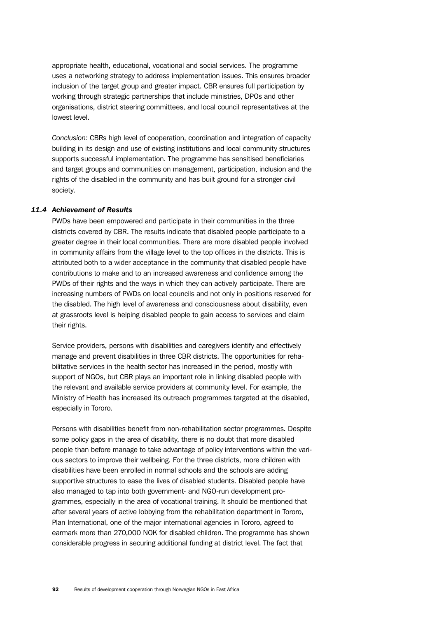appropriate health, educational, vocational and social services. The programme uses a networking strategy to address implementation issues. This ensures broader inclusion of the target group and greater impact. CBR ensures full participation by working through strategic partnerships that include ministries, DPOs and other organisations, district steering committees, and local council representatives at the lowest level.

*Conclusion:* CBRs high level of cooperation, coordination and integration of capacity building in its design and use of existing institutions and local community structures supports successful implementation. The programme has sensitised beneficiaries and target groups and communities on management, participation, inclusion and the rights of the disabled in the community and has built ground for a stronger civil society.

#### *11.4 Achievement of Results*

PWDs have been empowered and participate in their communities in the three districts covered by CBR. The results indicate that disabled people participate to a greater degree in their local communities. There are more disabled people involved in community affairs from the village level to the top offices in the districts. This is attributed both to a wider acceptance in the community that disabled people have contributions to make and to an increased awareness and confidence among the PWDs of their rights and the ways in which they can actively participate. There are increasing numbers of PWDs on local councils and not only in positions reserved for the disabled. The high level of awareness and consciousness about disability, even at grassroots level is helping disabled people to gain access to services and claim their rights.

Service providers, persons with disabilities and caregivers identify and effectively manage and prevent disabilities in three CBR districts. The opportunities for rehabilitative services in the health sector has increased in the period, mostly with support of NGOs, but CBR plays an important role in linking disabled people with the relevant and available service providers at community level. For example, the Ministry of Health has increased its outreach programmes targeted at the disabled, especially in Tororo.

Persons with disabilities benefit from non-rehabilitation sector programmes. Despite some policy gaps in the area of disability, there is no doubt that more disabled people than before manage to take advantage of policy interventions within the various sectors to improve their wellbeing. For the three districts, more children with disabilities have been enrolled in normal schools and the schools are adding supportive structures to ease the lives of disabled students. Disabled people have also managed to tap into both government- and NGO-run development programmes, especially in the area of vocational training. It should be mentioned that after several years of active lobbying from the rehabilitation department in Tororo, Plan International, one of the major international agencies in Tororo, agreed to earmark more than 270,000 NOK for disabled children. The programme has shown considerable progress in securing additional funding at district level. The fact that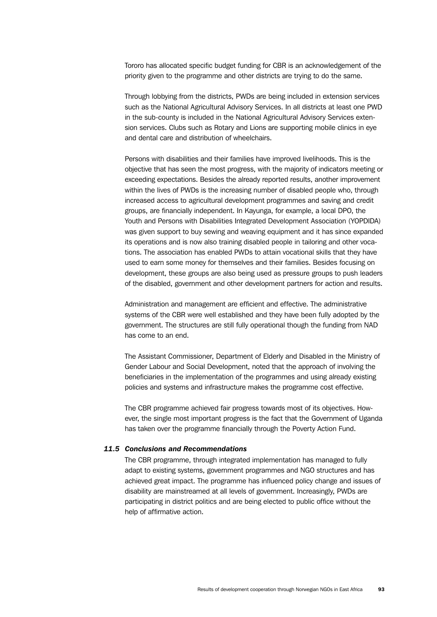Tororo has allocated specific budget funding for CBR is an acknowledgement of the priority given to the programme and other districts are trying to do the same.

Through lobbying from the districts, PWDs are being included in extension services such as the National Agricultural Advisory Services. In all districts at least one PWD in the sub-county is included in the National Agricultural Advisory Services extension services. Clubs such as Rotary and Lions are supporting mobile clinics in eye and dental care and distribution of wheelchairs.

Persons with disabilities and their families have improved livelihoods. This is the objective that has seen the most progress, with the majority of indicators meeting or exceeding expectations. Besides the already reported results, another improvement within the lives of PWDs is the increasing number of disabled people who, through increased access to agricultural development programmes and saving and credit groups, are financially independent. In Kayunga, for example, a local DPO, the Youth and Persons with Disabilities Integrated Development Association (YOPDIDA) was given support to buy sewing and weaving equipment and it has since expanded its operations and is now also training disabled people in tailoring and other vocations. The association has enabled PWDs to attain vocational skills that they have used to earn some money for themselves and their families. Besides focusing on development, these groups are also being used as pressure groups to push leaders of the disabled, government and other development partners for action and results.

Administration and management are efficient and effective. The administrative systems of the CBR were well established and they have been fully adopted by the government. The structures are still fully operational though the funding from NAD has come to an end.

The Assistant Commissioner, Department of Elderly and Disabled in the Ministry of Gender Labour and Social Development, noted that the approach of involving the beneficiaries in the implementation of the programmes and using already existing policies and systems and infrastructure makes the programme cost effective.

The CBR programme achieved fair progress towards most of its objectives. However, the single most important progress is the fact that the Government of Uganda has taken over the programme financially through the Poverty Action Fund.

#### *11.5 Conclusions and Recommendations*

The CBR programme, through integrated implementation has managed to fully adapt to existing systems, government programmes and NGO structures and has achieved great impact. The programme has influenced policy change and issues of disability are mainstreamed at all levels of government. Increasingly, PWDs are participating in district politics and are being elected to public office without the help of affirmative action.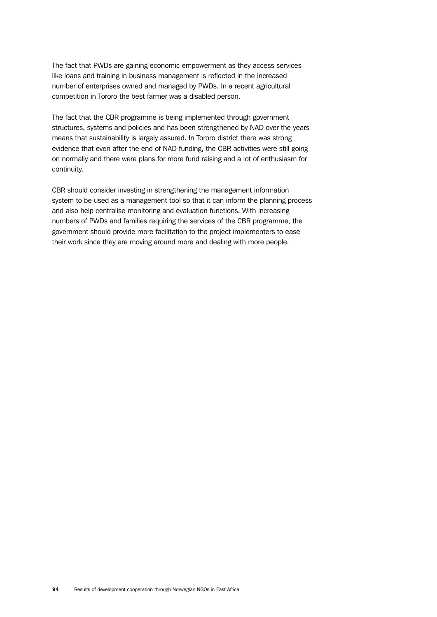The fact that PWDs are gaining economic empowerment as they access services like loans and training in business management is reflected in the increased number of enterprises owned and managed by PWDs. In a recent agricultural competition in Tororo the best farmer was a disabled person.

The fact that the CBR programme is being implemented through government structures, systems and policies and has been strengthened by NAD over the years means that sustainability is largely assured. In Tororo district there was strong evidence that even after the end of NAD funding, the CBR activities were still going on normally and there were plans for more fund raising and a lot of enthusiasm for continuity.

CBR should consider investing in strengthening the management information system to be used as a management tool so that it can inform the planning process and also help centralise monitoring and evaluation functions. With increasing numbers of PWDs and families requiring the services of the CBR programme, the government should provide more facilitation to the project implementers to ease their work since they are moving around more and dealing with more people.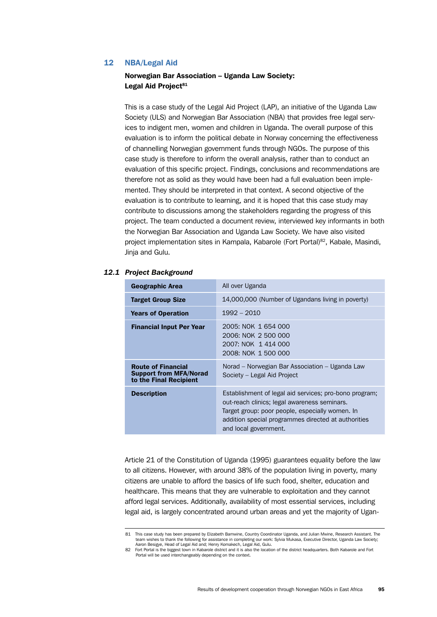# 12 NBA/Legal Aid

## Norwegian Bar Association – Uganda Law Society: Legal Aid Project<sup>81</sup>

This is a case study of the Legal Aid Project (LAP), an initiative of the Uganda Law Society (ULS) and Norwegian Bar Association (NBA) that provides free legal services to indigent men, women and children in Uganda. The overall purpose of this evaluation is to inform the political debate in Norway concerning the effectiveness of channelling Norwegian government funds through NGOs. The purpose of this case study is therefore to inform the overall analysis, rather than to conduct an evaluation of this specific project. Findings, conclusions and recommendations are therefore not as solid as they would have been had a full evaluation been implemented. They should be interpreted in that context. A second objective of the evaluation is to contribute to learning, and it is hoped that this case study may contribute to discussions among the stakeholders regarding the progress of this project. The team conducted a document review, interviewed key informants in both the Norwegian Bar Association and Uganda Law Society. We have also visited project implementation sites in Kampala, Kabarole (Fort Portal)<sup>82</sup>, Kabale, Masindi, Jinja and Gulu.

| <b>Geographic Area</b>                                                               | All over Uganda                                                                                                                                                                                                                           |
|--------------------------------------------------------------------------------------|-------------------------------------------------------------------------------------------------------------------------------------------------------------------------------------------------------------------------------------------|
| <b>Target Group Size</b>                                                             | 14,000,000 (Number of Ugandans living in poverty)                                                                                                                                                                                         |
| <b>Years of Operation</b>                                                            | $1992 - 2010$                                                                                                                                                                                                                             |
| <b>Financial Input Per Year</b>                                                      | 2005: NOK 1 654 000<br>2006: NOK 2 500 000<br>2007: NOK 1 414 000<br>2008: NOK 1 500 000                                                                                                                                                  |
| <b>Route of Financial</b><br><b>Support from MFA/Norad</b><br>to the Final Recipient | Norad – Norwegian Bar Association – Uganda Law<br>Society – Legal Aid Project                                                                                                                                                             |
| <b>Description</b>                                                                   | Establishment of legal aid services; pro-bono program;<br>out-reach clinics; legal awareness seminars.<br>Target group: poor people, especially women. In<br>addition special programmes directed at authorities<br>and local government. |

#### *12.1 Project Background*

Article 21 of the Constitution of Uganda (1995) guarantees equality before the law to all citizens. However, with around 38% of the population living in poverty, many citizens are unable to afford the basics of life such food, shelter, education and healthcare. This means that they are vulnerable to exploitation and they cannot afford legal services. Additionally, availability of most essential services, including legal aid, is largely concentrated around urban areas and yet the majority of Ugan-

<sup>81</sup> This case study has been prepared by Elizabeth Bamwine, Country Coordinator Uganda, and Julian Mwine, Research Assistant. The team wishes to thank the following for assistance in completing our work: Sylvia Mukasa, Executive Director, Uganda Law Society; Aaron Besigye, Head of Legal Aid and; Henry Komakech, Legal Aid, Gulu.

<sup>82</sup> Fort Portal is the biggest town in Kabarole district and it is also the location of the district headquarters. Both Kabarole and Fort Portal will be used interchangeably depending on the context.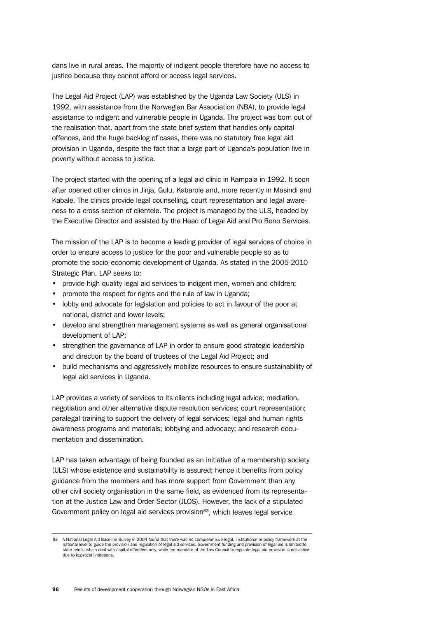dans live in rural areas. The majority of indigent people therefore have no access to justice because they cannot afford or access legal services.

The Legal Aid Project (LAP) was established by the Uganda Law Society (ULS) in 1992, with assistance from the Norwegian Bar Association (NBA), to provide legal assistance to indigent and vulnerable people in Uganda. The project was born out of the realisation that, apart from the state brief system that handles only capital offences, and the huge backlog of cases, there was no statutory free legal aid provision in Uganda, despite the fact that a large part of Uganda's population live in poverty without access to justice.

The project started with the opening of a legal aid clinic in Kampala in 1992. It soon after opened other clinics in Jinja, Gulu, Kabarole and, more recently in Masindi and Kabale. The clinics provide legal counselling, court representation and legal awareness to a cross section of clientele. The project is managed by the ULS, headed by the Executive Director and assisted by the Head of Legal Aid and Pro Bono Services.

The mission of the LAP is to become a leading provider of legal services of choice in order to ensure access to justice for the poor and vulnerable people so as to promote the socio-economic development of Uganda. As stated in the 2005-2010 Strategic Plan, LAP seeks to:

- provide high quality legal aid services to indigent men, women and children;
- promote the respect for rights and the rule of law in Uganda:
- lobby and advocate for legislation and policies to act in favour of the poor at national, district and lower levels;
- develop and strengthen management systems as well as general organisational development of LAP;
- strengthen the governance of LAP in order to ensure good strategic leadership and direction by the board of trustees of the Legal Aid Project; and
- build mechanisms and aggressively mobilize resources to ensure sustainability of legal aid services in Uganda.

LAP provides a variety of services to its clients including legal advice; mediation, negotiation and other alternative dispute resolution services; court representation; paralegal training to support the delivery of legal services; legal and human rights awareness programs and materials; lobbying and advocacy; and research documentation and dissemination.

LAP has taken advantage of being founded as an initiative of a membership society (ULS) whose existence and sustainability is assured; hence it benefits from policy guidance from the members and has more support from Government than any other civil society organisation in the same field, as evidenced from its representation at the Justice Law and Order Sector (JLOS). However, the lack of a stipulated Government policy on legal aid services provision<sup>83</sup>, which leaves legal service

<sup>83</sup> A National Legal Aid Baseline Survey in 2004 found that there was no comprehensive legal, institutional or policy framework at the national level to guide the provision and regulation of legal aid services. Government funding and provision of legal aid is limited to state briefs, which deal with capital offenders only, while the mandate of the Law Council to regulate legal aid provision is not active due to logistical limitations.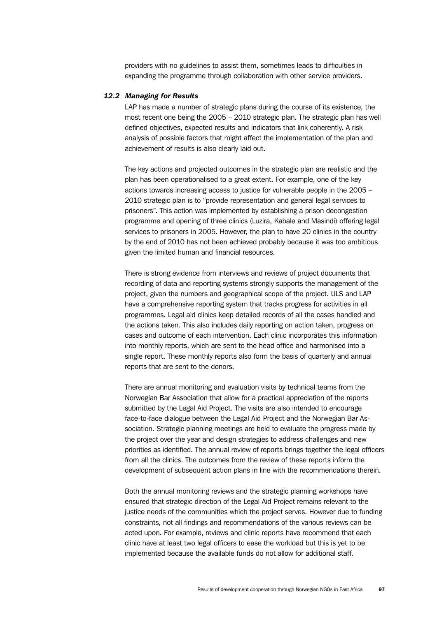providers with no guidelines to assist them, sometimes leads to difficulties in expanding the programme through collaboration with other service providers.

#### *12.2 Managing for Results*

LAP has made a number of strategic plans during the course of its existence, the most recent one being the 2005 – 2010 strategic plan. The strategic plan has well defined objectives, expected results and indicators that link coherently. A risk analysis of possible factors that might affect the implementation of the plan and achievement of results is also clearly laid out.

The key actions and projected outcomes in the strategic plan are realistic and the plan has been operationalised to a great extent. For example, one of the key actions towards increasing access to justice for vulnerable people in the 2005 – 2010 strategic plan is to "provide representation and general legal services to prisoners". This action was implemented by establishing a prison decongestion programme and opening of three clinics (Luzira, Kabale and Masindi) offering legal services to prisoners in 2005. However, the plan to have 20 clinics in the country by the end of 2010 has not been achieved probably because it was too ambitious given the limited human and financial resources.

There is strong evidence from interviews and reviews of project documents that recording of data and reporting systems strongly supports the management of the project, given the numbers and geographical scope of the project. ULS and LAP have a comprehensive reporting system that tracks progress for activities in all programmes. Legal aid clinics keep detailed records of all the cases handled and the actions taken. This also includes daily reporting on action taken, progress on cases and outcome of each intervention. Each clinic incorporates this information into monthly reports, which are sent to the head office and harmonised into a single report. These monthly reports also form the basis of quarterly and annual reports that are sent to the donors.

There are annual monitoring and evaluation visits by technical teams from the Norwegian Bar Association that allow for a practical appreciation of the reports submitted by the Legal Aid Project. The visits are also intended to encourage face-to-face dialogue between the Legal Aid Project and the Norwegian Bar Association. Strategic planning meetings are held to evaluate the progress made by the project over the year and design strategies to address challenges and new priorities as identified. The annual review of reports brings together the legal officers from all the clinics. The outcomes from the review of these reports inform the development of subsequent action plans in line with the recommendations therein.

Both the annual monitoring reviews and the strategic planning workshops have ensured that strategic direction of the Legal Aid Project remains relevant to the justice needs of the communities which the project serves. However due to funding constraints, not all findings and recommendations of the various reviews can be acted upon. For example, reviews and clinic reports have recommend that each clinic have at least two legal officers to ease the workload but this is yet to be implemented because the available funds do not allow for additional staff.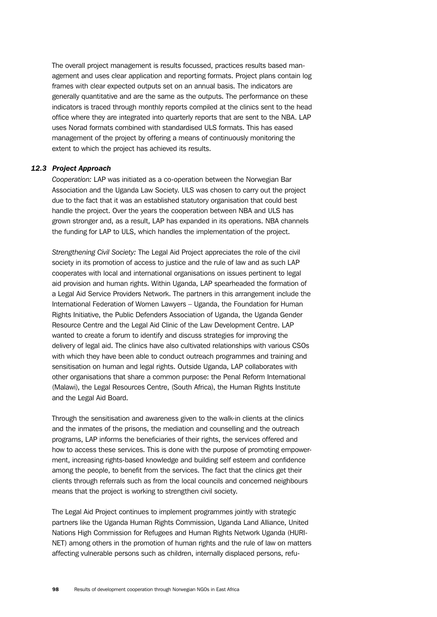The overall project management is results focussed, practices results based management and uses clear application and reporting formats. Project plans contain log frames with clear expected outputs set on an annual basis. The indicators are generally quantitative and are the same as the outputs. The performance on these indicators is traced through monthly reports compiled at the clinics sent to the head office where they are integrated into quarterly reports that are sent to the NBA. LAP uses Norad formats combined with standardised ULS formats. This has eased management of the project by offering a means of continuously monitoring the extent to which the project has achieved its results.

## *12.3 Project Approach*

*Cooperation:* LAP was initiated as a co-operation between the Norwegian Bar Association and the Uganda Law Society. ULS was chosen to carry out the project due to the fact that it was an established statutory organisation that could best handle the project. Over the years the cooperation between NBA and ULS has grown stronger and, as a result, LAP has expanded in its operations. NBA channels the funding for LAP to ULS, which handles the implementation of the project.

*Strengthening Civil Society:* The Legal Aid Project appreciates the role of the civil society in its promotion of access to justice and the rule of law and as such LAP cooperates with local and international organisations on issues pertinent to legal aid provision and human rights. Within Uganda, LAP spearheaded the formation of a Legal Aid Service Providers Network. The partners in this arrangement include the International Federation of Women Lawyers – Uganda, the Foundation for Human Rights Initiative, the Public Defenders Association of Uganda, the Uganda Gender Resource Centre and the Legal Aid Clinic of the Law Development Centre. LAP wanted to create a forum to identify and discuss strategies for improving the delivery of legal aid. The clinics have also cultivated relationships with various CSOs with which they have been able to conduct outreach programmes and training and sensitisation on human and legal rights. Outside Uganda, LAP collaborates with other organisations that share a common purpose: the Penal Reform International (Malawi), the Legal Resources Centre, (South Africa), the Human Rights Institute and the Legal Aid Board.

Through the sensitisation and awareness given to the walk-in clients at the clinics and the inmates of the prisons, the mediation and counselling and the outreach programs, LAP informs the beneficiaries of their rights, the services offered and how to access these services. This is done with the purpose of promoting empowerment, increasing rights-based knowledge and building self esteem and confidence among the people, to benefit from the services. The fact that the clinics get their clients through referrals such as from the local councils and concerned neighbours means that the project is working to strengthen civil society.

The Legal Aid Project continues to implement programmes jointly with strategic partners like the Uganda Human Rights Commission, Uganda Land Alliance, United Nations High Commission for Refugees and Human Rights Network Uganda (HURI-NET) among others in the promotion of human rights and the rule of law on matters affecting vulnerable persons such as children, internally displaced persons, refu-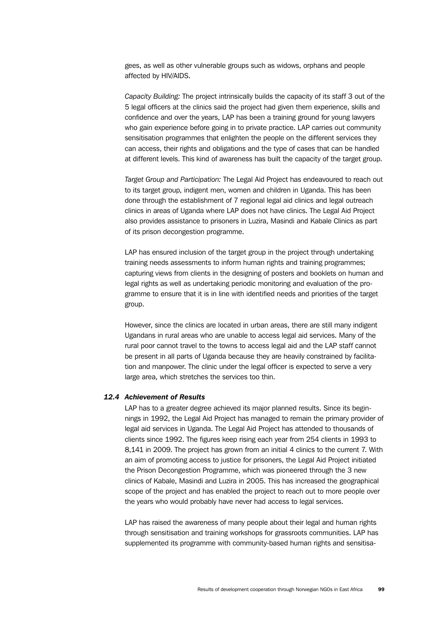gees, as well as other vulnerable groups such as widows, orphans and people affected by HIV/AIDS.

*Capacity Building:* The project intrinsically builds the capacity of its staff 3 out of the 5 legal officers at the clinics said the project had given them experience, skills and confidence and over the years, LAP has been a training ground for young lawyers who gain experience before going in to private practice. LAP carries out community sensitisation programmes that enlighten the people on the different services they can access, their rights and obligations and the type of cases that can be handled at different levels. This kind of awareness has built the capacity of the target group.

*Target Group and Participation:* The Legal Aid Project has endeavoured to reach out to its target group, indigent men, women and children in Uganda. This has been done through the establishment of 7 regional legal aid clinics and legal outreach clinics in areas of Uganda where LAP does not have clinics. The Legal Aid Project also provides assistance to prisoners in Luzira, Masindi and Kabale Clinics as part of its prison decongestion programme.

LAP has ensured inclusion of the target group in the project through undertaking training needs assessments to inform human rights and training programmes; capturing views from clients in the designing of posters and booklets on human and legal rights as well as undertaking periodic monitoring and evaluation of the programme to ensure that it is in line with identified needs and priorities of the target group.

However, since the clinics are located in urban areas, there are still many indigent Ugandans in rural areas who are unable to access legal aid services. Many of the rural poor cannot travel to the towns to access legal aid and the LAP staff cannot be present in all parts of Uganda because they are heavily constrained by facilitation and manpower. The clinic under the legal officer is expected to serve a very large area, which stretches the services too thin.

## *12.4 Achievement of Results*

LAP has to a greater degree achieved its major planned results. Since its beginnings in 1992, the Legal Aid Project has managed to remain the primary provider of legal aid services in Uganda. The Legal Aid Project has attended to thousands of clients since 1992. The figures keep rising each year from 254 clients in 1993 to 8,141 in 2009. The project has grown from an initial 4 clinics to the current 7. With an aim of promoting access to justice for prisoners, the Legal Aid Project initiated the Prison Decongestion Programme, which was pioneered through the 3 new clinics of Kabale, Masindi and Luzira in 2005. This has increased the geographical scope of the project and has enabled the project to reach out to more people over the years who would probably have never had access to legal services.

LAP has raised the awareness of many people about their legal and human rights through sensitisation and training workshops for grassroots communities. LAP has supplemented its programme with community-based human rights and sensitisa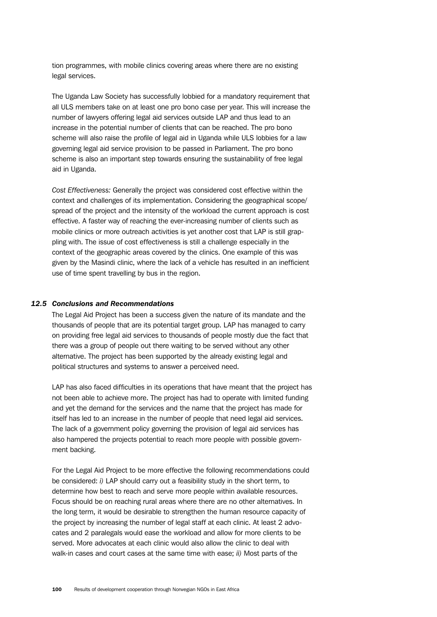tion programmes, with mobile clinics covering areas where there are no existing legal services.

The Uganda Law Society has successfully lobbied for a mandatory requirement that all ULS members take on at least one pro bono case per year. This will increase the number of lawyers offering legal aid services outside LAP and thus lead to an increase in the potential number of clients that can be reached. The pro bono scheme will also raise the profile of legal aid in Uganda while ULS lobbies for a law governing legal aid service provision to be passed in Parliament. The pro bono scheme is also an important step towards ensuring the sustainability of free legal aid in Uganda.

*Cost Effectiveness:* Generally the project was considered cost effective within the context and challenges of its implementation. Considering the geographical scope/ spread of the project and the intensity of the workload the current approach is cost effective. A faster way of reaching the ever-increasing number of clients such as mobile clinics or more outreach activities is yet another cost that LAP is still grappling with. The issue of cost effectiveness is still a challenge especially in the context of the geographic areas covered by the clinics. One example of this was given by the Masindi clinic, where the lack of a vehicle has resulted in an inefficient use of time spent travelling by bus in the region.

## *12.5 Conclusions and Recommendations*

The Legal Aid Project has been a success given the nature of its mandate and the thousands of people that are its potential target group. LAP has managed to carry on providing free legal aid services to thousands of people mostly due the fact that there was a group of people out there waiting to be served without any other alternative. The project has been supported by the already existing legal and political structures and systems to answer a perceived need.

LAP has also faced difficulties in its operations that have meant that the project has not been able to achieve more. The project has had to operate with limited funding and yet the demand for the services and the name that the project has made for itself has led to an increase in the number of people that need legal aid services. The lack of a government policy governing the provision of legal aid services has also hampered the projects potential to reach more people with possible government backing.

For the Legal Aid Project to be more effective the following recommendations could be considered: *i)* LAP should carry out a feasibility study in the short term, to determine how best to reach and serve more people within available resources. Focus should be on reaching rural areas where there are no other alternatives. In the long term, it would be desirable to strengthen the human resource capacity of the project by increasing the number of legal staff at each clinic. At least 2 advocates and 2 paralegals would ease the workload and allow for more clients to be served. More advocates at each clinic would also allow the clinic to deal with walk-in cases and court cases at the same time with ease; *ii)* Most parts of the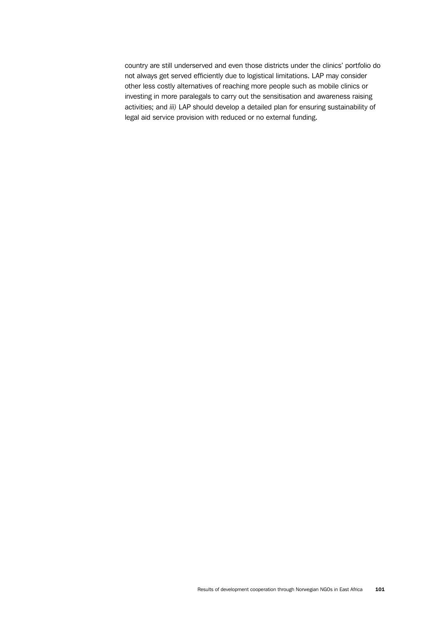country are still underserved and even those districts under the clinics' portfolio do not always get served efficiently due to logistical limitations. LAP may consider other less costly alternatives of reaching more people such as mobile clinics or investing in more paralegals to carry out the sensitisation and awareness raising activities; and *iii)* LAP should develop a detailed plan for ensuring sustainability of legal aid service provision with reduced or no external funding.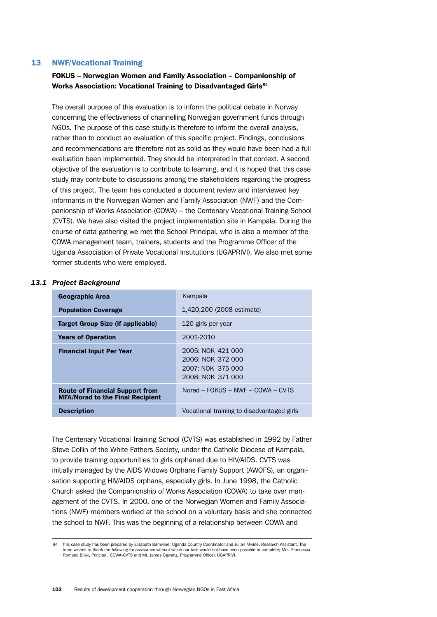## 13 NWF/Vocational Training

# FOKUS – Norwegian Women and Family Association – Companionship of Works Association: Vocational Training to Disadvantaged Girls<sup>84</sup>

The overall purpose of this evaluation is to inform the political debate in Norway concerning the effectiveness of channelling Norwegian government funds through NGOs. The purpose of this case study is therefore to inform the overall analysis, rather than to conduct an evaluation of this specific project. Findings, conclusions and recommendations are therefore not as solid as they would have been had a full evaluation been implemented. They should be interpreted in that context. A second objective of the evaluation is to contribute to learning, and it is hoped that this case study may contribute to discussions among the stakeholders regarding the progress of this project. The team has conducted a document review and interviewed key informants in the Norwegian Women and Family Association (NWF) and the Companionship of Works Association (COWA) – the Centenary Vocational Training School (CVTS). We have also visited the project implementation site in Kampala. During the course of data gathering we met the School Principal, who is also a member of the COWA management team, trainers, students and the Programme Officer of the Uganda Association of Private Vocational Institutions (UGAPRIVI). We also met some former students who were employed.

## *13.1 Project Background*

| <b>Geographic Area</b>                                                            | Kampala                                                                          |
|-----------------------------------------------------------------------------------|----------------------------------------------------------------------------------|
| <b>Population Coverage</b>                                                        | 1,420,200 (2008 estimate)                                                        |
| Target Group Size (if applicable)                                                 | 120 girls per year                                                               |
| <b>Years of Operation</b>                                                         | 2001-2010                                                                        |
| <b>Financial Input Per Year</b>                                                   | 2005: NOK 421 000<br>2006: NOK 372 000<br>2007: NOK 375 000<br>2008: NOK 371 000 |
| <b>Route of Financial Support from</b><br><b>MFA/Norad to the Final Recipient</b> | Norad – FOKUS – NWF – COWA – CVTS                                                |
| <b>Description</b>                                                                | Vocational training to disadvantaged girls                                       |

The Centenary Vocational Training School (CVTS) was established in 1992 by Father Steve Collin of the White Fathers Society, under the Catholic Diocese of Kampala, to provide training opportunities to girls orphaned due to HIV/AIDS. CVTS was initially managed by the AIDS Widows Orphans Family Support (AWOFS), an organisation supporting HIV/AIDS orphans, especially girls. In June 1998, the Catholic Church asked the Companionship of Works Association (COWA) to take over management of the CVTS. In 2000, one of the Norwegian Women and Family Associations (NWF) members worked at the school on a voluntary basis and she connected the school to NWF. This was the beginning of a relationship between COWA and

<sup>84</sup> This case study has been prepared by Elizabeth Bamwine, Uganda Country Coordinator and Julian Mwine, Research Assistant. The team wishes to thank the following for assistance without which our task would not have been possible to complete; Mrs. Francesca Romana Bilak, Principal, COWA-CVTS and Mr. James Ogwang, Programme Officer, UGAPRIVI.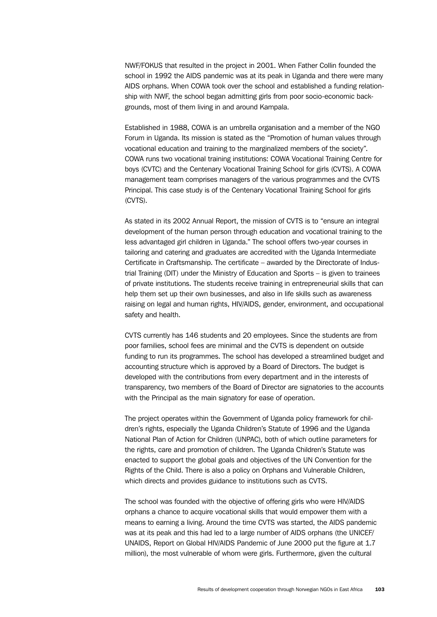NWF/FOKUS that resulted in the project in 2001. When Father Collin founded the school in 1992 the AIDS pandemic was at its peak in Uganda and there were many AIDS orphans. When COWA took over the school and established a funding relationship with NWF, the school began admitting girls from poor socio-economic backgrounds, most of them living in and around Kampala.

Established in 1988, COWA is an umbrella organisation and a member of the NGO Forum in Uganda. Its mission is stated as the "Promotion of human values through vocational education and training to the marginalized members of the society". COWA runs two vocational training institutions: COWA Vocational Training Centre for boys (CVTC) and the Centenary Vocational Training School for girls (CVTS). A COWA management team comprises managers of the various programmes and the CVTS Principal. This case study is of the Centenary Vocational Training School for girls (CVTS).

As stated in its 2002 Annual Report, the mission of CVTS is to "ensure an integral development of the human person through education and vocational training to the less advantaged girl children in Uganda." The school offers two-year courses in tailoring and catering and graduates are accredited with the Uganda Intermediate Certificate in Craftsmanship. The certificate – awarded by the Directorate of Industrial Training (DIT) under the Ministry of Education and Sports – is given to trainees of private institutions. The students receive training in entrepreneurial skills that can help them set up their own businesses, and also in life skills such as awareness raising on legal and human rights, HIV/AIDS, gender, environment, and occupational safety and health.

CVTS currently has 146 students and 20 employees. Since the students are from poor families, school fees are minimal and the CVTS is dependent on outside funding to run its programmes. The school has developed a streamlined budget and accounting structure which is approved by a Board of Directors. The budget is developed with the contributions from every department and in the interests of transparency, two members of the Board of Director are signatories to the accounts with the Principal as the main signatory for ease of operation.

The project operates within the Government of Uganda policy framework for children's rights, especially the Uganda Children's Statute of 1996 and the Uganda National Plan of Action for Children (UNPAC), both of which outline parameters for the rights, care and promotion of children. The Uganda Children's Statute was enacted to support the global goals and objectives of the UN Convention for the Rights of the Child. There is also a policy on Orphans and Vulnerable Children, which directs and provides guidance to institutions such as CVTS.

The school was founded with the objective of offering girls who were HIV/AIDS orphans a chance to acquire vocational skills that would empower them with a means to earning a living. Around the time CVTS was started, the AIDS pandemic was at its peak and this had led to a large number of AIDS orphans (the UNICEF/ UNAIDS, Report on Global HIV/AIDS Pandemic of June 2000 put the figure at 1.7 million), the most vulnerable of whom were girls. Furthermore, given the cultural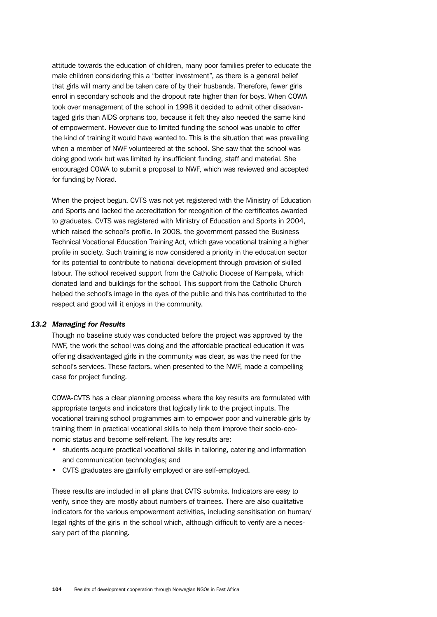attitude towards the education of children, many poor families prefer to educate the male children considering this a "better investment", as there is a general belief that girls will marry and be taken care of by their husbands. Therefore, fewer girls enrol in secondary schools and the dropout rate higher than for boys. When COWA took over management of the school in 1998 it decided to admit other disadvantaged girls than AIDS orphans too, because it felt they also needed the same kind of empowerment. However due to limited funding the school was unable to offer the kind of training it would have wanted to. This is the situation that was prevailing when a member of NWF volunteered at the school. She saw that the school was doing good work but was limited by insufficient funding, staff and material. She encouraged COWA to submit a proposal to NWF, which was reviewed and accepted for funding by Norad.

When the project begun, CVTS was not yet registered with the Ministry of Education and Sports and lacked the accreditation for recognition of the certificates awarded to graduates. CVTS was registered with Ministry of Education and Sports in 2004, which raised the school's profile. In 2008, the government passed the Business Technical Vocational Education Training Act, which gave vocational training a higher profile in society. Such training is now considered a priority in the education sector for its potential to contribute to national development through provision of skilled labour. The school received support from the Catholic Diocese of Kampala, which donated land and buildings for the school. This support from the Catholic Church helped the school's image in the eyes of the public and this has contributed to the respect and good will it enjoys in the community.

#### *13.2 Managing for Results*

Though no baseline study was conducted before the project was approved by the NWF, the work the school was doing and the affordable practical education it was offering disadvantaged girls in the community was clear, as was the need for the school's services. These factors, when presented to the NWF, made a compelling case for project funding.

COWA-CVTS has a clear planning process where the key results are formulated with appropriate targets and indicators that logically link to the project inputs. The vocational training school programmes aim to empower poor and vulnerable girls by training them in practical vocational skills to help them improve their socio-economic status and become self-reliant. The key results are:

- students acquire practical vocational skills in tailoring, catering and information and communication technologies; and
- CVTS graduates are gainfully employed or are self-employed.

These results are included in all plans that CVTS submits. Indicators are easy to verify, since they are mostly about numbers of trainees. There are also qualitative indicators for the various empowerment activities, including sensitisation on human/ legal rights of the girls in the school which, although difficult to verify are a necessary part of the planning.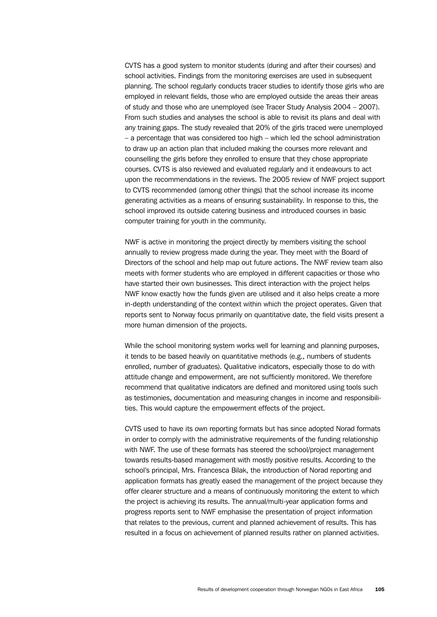CVTS has a good system to monitor students (during and after their courses) and school activities. Findings from the monitoring exercises are used in subsequent planning. The school regularly conducts tracer studies to identify those girls who are employed in relevant fields, those who are employed outside the areas their areas of study and those who are unemployed (see Tracer Study Analysis 2004 – 2007). From such studies and analyses the school is able to revisit its plans and deal with any training gaps. The study revealed that 20% of the girls traced were unemployed – a percentage that was considered too high – which led the school administration to draw up an action plan that included making the courses more relevant and counselling the girls before they enrolled to ensure that they chose appropriate courses. CVTS is also reviewed and evaluated regularly and it endeavours to act upon the recommendations in the reviews. The 2005 review of NWF project support to CVTS recommended (among other things) that the school increase its income generating activities as a means of ensuring sustainability. In response to this, the school improved its outside catering business and introduced courses in basic computer training for youth in the community.

NWF is active in monitoring the project directly by members visiting the school annually to review progress made during the year. They meet with the Board of Directors of the school and help map out future actions. The NWF review team also meets with former students who are employed in different capacities or those who have started their own businesses. This direct interaction with the project helps NWF know exactly how the funds given are utilised and it also helps create a more in-depth understanding of the context within which the project operates. Given that reports sent to Norway focus primarily on quantitative date, the field visits present a more human dimension of the projects.

While the school monitoring system works well for learning and planning purposes, it tends to be based heavily on quantitative methods (e.g., numbers of students enrolled, number of graduates). Qualitative indicators, especially those to do with attitude change and empowerment, are not sufficiently monitored. We therefore recommend that qualitative indicators are defined and monitored using tools such as testimonies, documentation and measuring changes in income and responsibilities. This would capture the empowerment effects of the project.

CVTS used to have its own reporting formats but has since adopted Norad formats in order to comply with the administrative requirements of the funding relationship with NWF. The use of these formats has steered the school/project management towards results-based management with mostly positive results. According to the school's principal, Mrs. Francesca Bilak, the introduction of Norad reporting and application formats has greatly eased the management of the project because they offer clearer structure and a means of continuously monitoring the extent to which the project is achieving its results. The annual/multi-year application forms and progress reports sent to NWF emphasise the presentation of project information that relates to the previous, current and planned achievement of results. This has resulted in a focus on achievement of planned results rather on planned activities.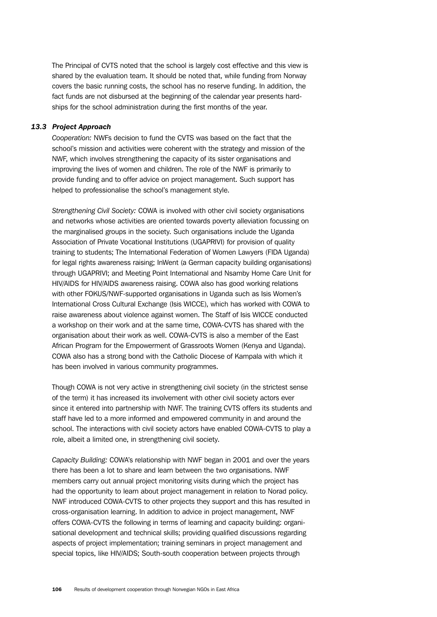The Principal of CVTS noted that the school is largely cost effective and this view is shared by the evaluation team. It should be noted that, while funding from Norway covers the basic running costs, the school has no reserve funding. In addition, the fact funds are not disbursed at the beginning of the calendar year presents hardships for the school administration during the first months of the year.

## *13.3 Project Approach*

*Cooperation:* NWFs decision to fund the CVTS was based on the fact that the school's mission and activities were coherent with the strategy and mission of the NWF, which involves strengthening the capacity of its sister organisations and improving the lives of women and children. The role of the NWF is primarily to provide funding and to offer advice on project management. Such support has helped to professionalise the school's management style.

*Strengthening Civil Society:* COWA is involved with other civil society organisations and networks whose activities are oriented towards poverty alleviation focussing on the marginalised groups in the society. Such organisations include the Uganda Association of Private Vocational Institutions (UGAPRIVI) for provision of quality training to students; The International Federation of Women Lawyers (FIDA Uganda) for legal rights awareness raising; InWent (a German capacity building organisations) through UGAPRIVI; and Meeting Point International and Nsamby Home Care Unit for HIV/AIDS for HIV/AIDS awareness raising. COWA also has good working relations with other FOKUS/NWF-supported organisations in Uganda such as Isis Women's International Cross Cultural Exchange (Isis WICCE), which has worked with COWA to raise awareness about violence against women. The Staff of Isis WICCE conducted a workshop on their work and at the same time, COWA-CVTS has shared with the organisation about their work as well. COWA-CVTS is also a member of the East African Program for the Empowerment of Grassroots Women (Kenya and Uganda). COWA also has a strong bond with the Catholic Diocese of Kampala with which it has been involved in various community programmes.

Though COWA is not very active in strengthening civil society (in the strictest sense of the term) it has increased its involvement with other civil society actors ever since it entered into partnership with NWF. The training CVTS offers its students and staff have led to a more informed and empowered community in and around the school. The interactions with civil society actors have enabled COWA-CVTS to play a role, albeit a limited one, in strengthening civil society.

*Capacity Building:* COWA's relationship with NWF began in 2001 and over the years there has been a lot to share and learn between the two organisations. NWF members carry out annual project monitoring visits during which the project has had the opportunity to learn about project management in relation to Norad policy. NWF introduced COWA-CVTS to other projects they support and this has resulted in cross-organisation learning. In addition to advice in project management, NWF offers COWA-CVTS the following in terms of learning and capacity building: organisational development and technical skills; providing qualified discussions regarding aspects of project implementation; training seminars in project management and special topics, like HIV/AIDS; South-south cooperation between projects through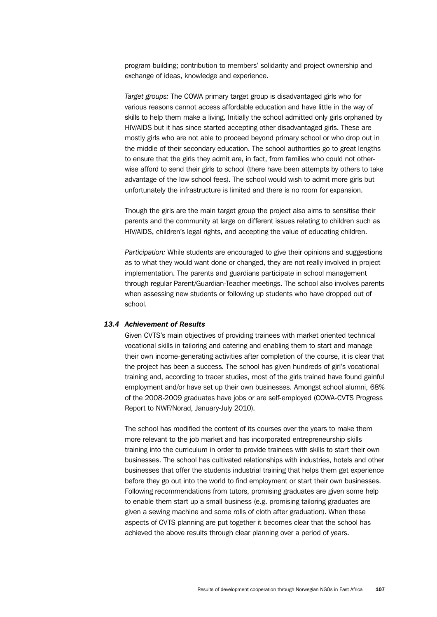program building; contribution to members' solidarity and project ownership and exchange of ideas, knowledge and experience.

*Target groups:* The COWA primary target group is disadvantaged girls who for various reasons cannot access affordable education and have little in the way of skills to help them make a living. Initially the school admitted only girls orphaned by HIV/AIDS but it has since started accepting other disadvantaged girls. These are mostly girls who are not able to proceed beyond primary school or who drop out in the middle of their secondary education. The school authorities go to great lengths to ensure that the girls they admit are, in fact, from families who could not otherwise afford to send their girls to school (there have been attempts by others to take advantage of the low school fees). The school would wish to admit more girls but unfortunately the infrastructure is limited and there is no room for expansion.

Though the girls are the main target group the project also aims to sensitise their parents and the community at large on different issues relating to children such as HIV/AIDS, children's legal rights, and accepting the value of educating children.

*Participation:* While students are encouraged to give their opinions and suggestions as to what they would want done or changed, they are not really involved in project implementation. The parents and guardians participate in school management through regular Parent/Guardian-Teacher meetings. The school also involves parents when assessing new students or following up students who have dropped out of school.

## *13.4 Achievement of Results*

Given CVTS's main objectives of providing trainees with market oriented technical vocational skills in tailoring and catering and enabling them to start and manage their own income-generating activities after completion of the course, it is clear that the project has been a success. The school has given hundreds of girl's vocational training and, according to tracer studies, most of the girls trained have found gainful employment and/or have set up their own businesses. Amongst school alumni, 68% of the 2008-2009 graduates have jobs or are self-employed (COWA-CVTS Progress Report to NWF/Norad, January-July 2010).

The school has modified the content of its courses over the years to make them more relevant to the job market and has incorporated entrepreneurship skills training into the curriculum in order to provide trainees with skills to start their own businesses. The school has cultivated relationships with industries, hotels and other businesses that offer the students industrial training that helps them get experience before they go out into the world to find employment or start their own businesses. Following recommendations from tutors, promising graduates are given some help to enable them start up a small business (e.g. promising tailoring graduates are given a sewing machine and some rolls of cloth after graduation). When these aspects of CVTS planning are put together it becomes clear that the school has achieved the above results through clear planning over a period of years.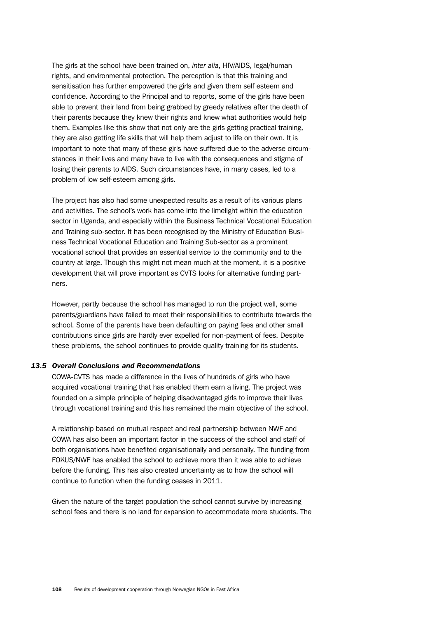The girls at the school have been trained on, *inter alia*, HIV/AIDS, legal/human rights, and environmental protection. The perception is that this training and sensitisation has further empowered the girls and given them self esteem and confidence. According to the Principal and to reports, some of the girls have been able to prevent their land from being grabbed by greedy relatives after the death of their parents because they knew their rights and knew what authorities would help them. Examples like this show that not only are the girls getting practical training, they are also getting life skills that will help them adjust to life on their own. It is important to note that many of these girls have suffered due to the adverse circumstances in their lives and many have to live with the consequences and stigma of losing their parents to AIDS. Such circumstances have, in many cases, led to a problem of low self-esteem among girls.

The project has also had some unexpected results as a result of its various plans and activities. The school's work has come into the limelight within the education sector in Uganda, and especially within the Business Technical Vocational Education and Training sub-sector. It has been recognised by the Ministry of Education Business Technical Vocational Education and Training Sub-sector as a prominent vocational school that provides an essential service to the community and to the country at large. Though this might not mean much at the moment, it is a positive development that will prove important as CVTS looks for alternative funding partners.

However, partly because the school has managed to run the project well, some parents/guardians have failed to meet their responsibilities to contribute towards the school. Some of the parents have been defaulting on paying fees and other small contributions since girls are hardly ever expelled for non-payment of fees. Despite these problems, the school continues to provide quality training for its students.

## *13.5 Overall Conclusions and Recommendations*

COWA-CVTS has made a difference in the lives of hundreds of girls who have acquired vocational training that has enabled them earn a living. The project was founded on a simple principle of helping disadvantaged girls to improve their lives through vocational training and this has remained the main objective of the school.

A relationship based on mutual respect and real partnership between NWF and COWA has also been an important factor in the success of the school and staff of both organisations have benefited organisationally and personally. The funding from FOKUS/NWF has enabled the school to achieve more than it was able to achieve before the funding. This has also created uncertainty as to how the school will continue to function when the funding ceases in 2011.

Given the nature of the target population the school cannot survive by increasing school fees and there is no land for expansion to accommodate more students. The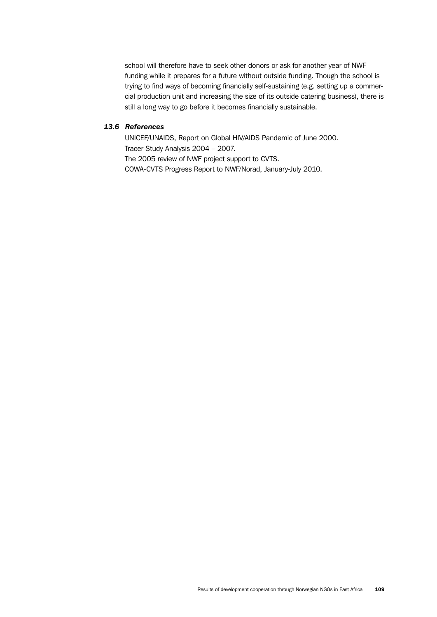school will therefore have to seek other donors or ask for another year of NWF funding while it prepares for a future without outside funding. Though the school is trying to find ways of becoming financially self-sustaining (e.g. setting up a commercial production unit and increasing the size of its outside catering business), there is still a long way to go before it becomes financially sustainable.

## *13.6 References*

UNICEF/UNAIDS, Report on Global HIV/AIDS Pandemic of June 2000. Tracer Study Analysis 2004 – 2007. The 2005 review of NWF project support to CVTS. COWA-CVTS Progress Report to NWF/Norad, January-July 2010.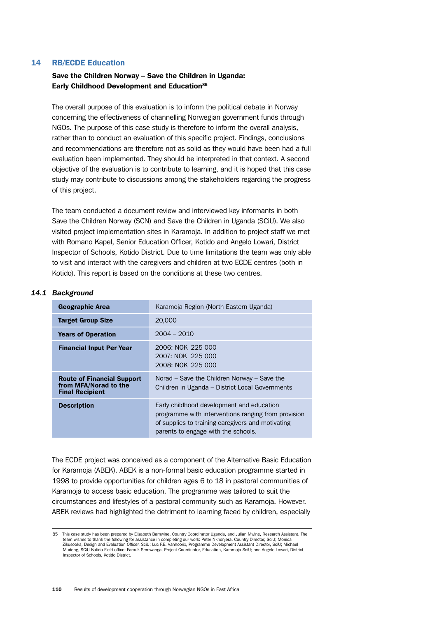## 14 RB/ECDE Education

# Save the Children Norway – Save the Children in Uganda: Early Childhood Development and Education<sup>85</sup>

The overall purpose of this evaluation is to inform the political debate in Norway concerning the effectiveness of channelling Norwegian government funds through NGOs. The purpose of this case study is therefore to inform the overall analysis, rather than to conduct an evaluation of this specific project. Findings, conclusions and recommendations are therefore not as solid as they would have been had a full evaluation been implemented. They should be interpreted in that context. A second objective of the evaluation is to contribute to learning, and it is hoped that this case study may contribute to discussions among the stakeholders regarding the progress of this project.

The team conducted a document review and interviewed key informants in both Save the Children Norway (SCN) and Save the Children in Uganda (SCiU). We also visited project implementation sites in Karamoja. In addition to project staff we met with Romano Kapel, Senior Education Officer, Kotido and Angelo Lowari, District Inspector of Schools, Kotido District. Due to time limitations the team was only able to visit and interact with the caregivers and children at two ECDE centres (both in Kotido). This report is based on the conditions at these two centres.

## *14.1 Background*

| <b>Geographic Area</b>                                                               | Karamoja Region (North Eastern Uganda)                                                                                                                                                       |
|--------------------------------------------------------------------------------------|----------------------------------------------------------------------------------------------------------------------------------------------------------------------------------------------|
| <b>Target Group Size</b>                                                             | 20,000                                                                                                                                                                                       |
| <b>Years of Operation</b>                                                            | $2004 - 2010$                                                                                                                                                                                |
| <b>Financial Input Per Year</b>                                                      | 2006: NOK 225 000<br>2007: NOK 225 000<br>2008: NOK 225 000                                                                                                                                  |
| <b>Route of Financial Support</b><br>from MFA/Norad to the<br><b>Final Recipient</b> | Norad – Save the Children Norway – Save the<br>Children in Uganda – District Local Governments                                                                                               |
| <b>Description</b>                                                                   | Early childhood development and education<br>programme with interventions ranging from provision<br>of supplies to training caregivers and motivating<br>parents to engage with the schools. |

The ECDE project was conceived as a component of the Alternative Basic Education for Karamoja (ABEK). ABEK is a non-formal basic education programme started in 1998 to provide opportunities for children ages 6 to 18 in pastoral communities of Karamoja to access basic education. The programme was tailored to suit the circumstances and lifestyles of a pastoral community such as Karamoja. However, ABEK reviews had highlighted the detriment to learning faced by children, especially

<sup>85</sup> This case study has been prepared by Elizabeth Bamwine, Country Coordinator Uganda, and Julian Mwine, Research Assistant. The team wishes to thank the following for assistance in completing our work: Peter Nkhonjera, Country Director, SciU; Monica Zikusooka, Design and Evaluation Officer, SciU; Luc F.E. Vanhoorix, Programme Development Assistant Director, SciU; Michael Mudeng, SCiU Kotido Field office; Farouk Semwanga, Project Coordinator, Education, Karamoja SciU; and Angelo Lowari, District Inspector of Schools, Kotido District.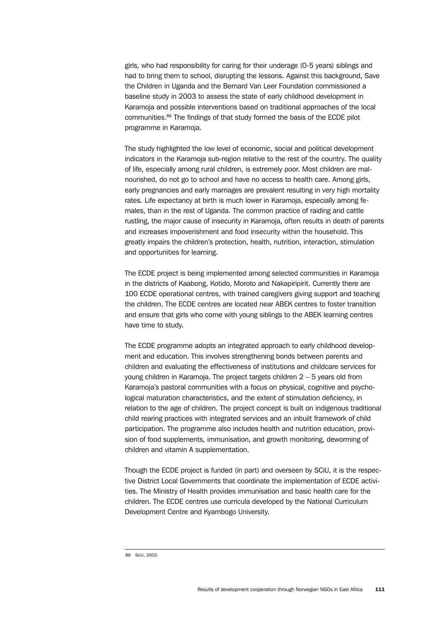girls, who had responsibility for caring for their underage (0-5 years) siblings and had to bring them to school, disrupting the lessons. Against this background, Save the Children in Uganda and the Bernard Van Leer Foundation commissioned a baseline study in 2003 to assess the state of early childhood development in Karamoja and possible interventions based on traditional approaches of the local communities.86 The findings of that study formed the basis of the ECDE pilot programme in Karamoja.

The study highlighted the low level of economic, social and political development indicators in the Karamoja sub-region relative to the rest of the country. The quality of life, especially among rural children, is extremely poor. Most children are malnourished, do not go to school and have no access to health care. Among girls, early pregnancies and early marriages are prevalent resulting in very high mortality rates*.* Life expectancy at birth is much lower in Karamoja, especially among females, than in the rest of Uganda. The common practice of raiding and cattle rustling, the major cause of insecurity in Karamoja, often results in death of parents and increases impoverishment and food insecurity within the household. This greatly impairs the children's protection, health, nutrition, interaction, stimulation and opportunities for learning.

The ECDE project is being implemented among selected communities in Karamoja in the districts of Kaabong, Kotido, Moroto and Nakapiripirit. Currently there are 100 ECDE operational centres, with trained caregivers giving support and teaching the children. The ECDE centres are located near ABEK centres to foster transition and ensure that girls who come with young siblings to the ABEK learning centres have time to study.

The ECDE programme adopts an integrated approach to early childhood development and education. This involves strengthening bonds between parents and children and evaluating the effectiveness of institutions and childcare services for young children in Karamoja. The project targets children 2 – 5 years old from Karamoja's pastoral communities with a focus on physical, cognitive and psychological maturation characteristics, and the extent of stimulation deficiency, in relation to the age of children. The project concept is built on indigenous traditional child rearing practices with integrated services and an inbuilt framework of child participation. The programme also includes health and nutrition education, provision of food supplements, immunisation, and growth monitoring, deworming of children and vitamin A supplementation.

Though the ECDE project is funded (in part) and overseen by SCiU, it is the respective District Local Governments that coordinate the implementation of ECDE activities. The Ministry of Health provides immunisation and basic health care for the children. The ECDE centres use curricula developed by the National Curriculum Development Centre and Kyambogo University.

<sup>86</sup> SciU, 2003.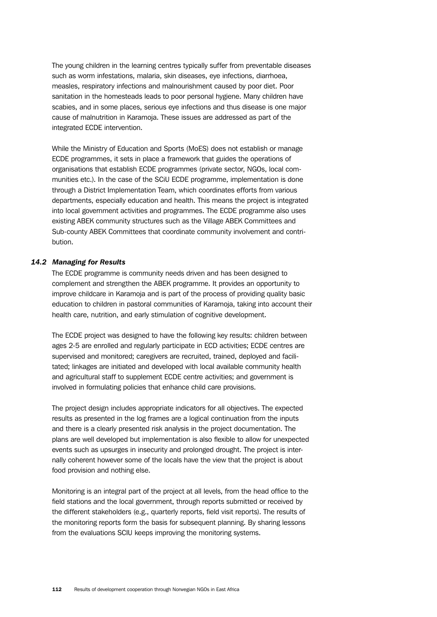The young children in the learning centres typically suffer from preventable diseases such as worm infestations, malaria, skin diseases, eye infections, diarrhoea, measles, respiratory infections and malnourishment caused by poor diet. Poor sanitation in the homesteads leads to poor personal hygiene. Many children have scabies, and in some places, serious eye infections and thus disease is one major cause of malnutrition in Karamoja. These issues are addressed as part of the integrated ECDE intervention.

While the Ministry of Education and Sports (MoES) does not establish or manage ECDE programmes, it sets in place a framework that guides the operations of organisations that establish ECDE programmes (private sector, NGOs, local communities etc.). In the case of the SCiU ECDE programme, implementation is done through a District Implementation Team, which coordinates efforts from various departments, especially education and health. This means the project is integrated into local government activities and programmes. The ECDE programme also uses existing ABEK community structures such as the Village ABEK Committees and Sub-county ABEK Committees that coordinate community involvement and contribution.

## *14.2 Managing for Results*

The ECDE programme is community needs driven and has been designed to complement and strengthen the ABEK programme. It provides an opportunity to improve childcare in Karamoja and is part of the process of providing quality basic education to children in pastoral communities of Karamoja, taking into account their health care, nutrition, and early stimulation of cognitive development.

The ECDE project was designed to have the following key results: children between ages 2-5 are enrolled and regularly participate in ECD activities; ECDE centres are supervised and monitored; caregivers are recruited, trained, deployed and facilitated; linkages are initiated and developed with local available community health and agricultural staff to supplement ECDE centre activities; and government is involved in formulating policies that enhance child care provisions.

The project design includes appropriate indicators for all objectives. The expected results as presented in the log frames are a logical continuation from the inputs and there is a clearly presented risk analysis in the project documentation. The plans are well developed but implementation is also flexible to allow for unexpected events such as upsurges in insecurity and prolonged drought. The project is internally coherent however some of the locals have the view that the project is about food provision and nothing else.

Monitoring is an integral part of the project at all levels, from the head office to the field stations and the local government, through reports submitted or received by the different stakeholders (e.g., quarterly reports, field visit reports). The results of the monitoring reports form the basis for subsequent planning. By sharing lessons from the evaluations SCIU keeps improving the monitoring systems.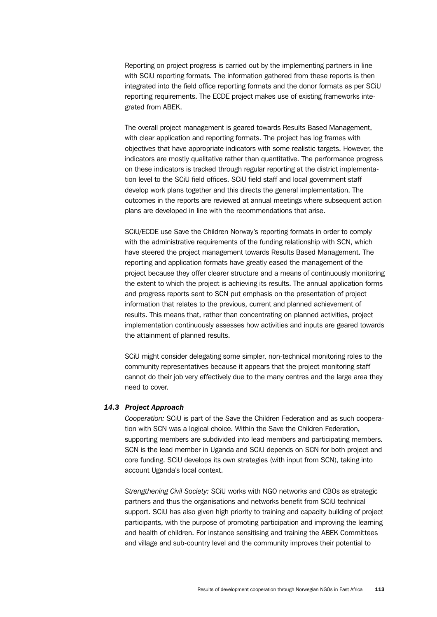Reporting on project progress is carried out by the implementing partners in line with SCiU reporting formats. The information gathered from these reports is then integrated into the field office reporting formats and the donor formats as per SCiU reporting requirements. The ECDE project makes use of existing frameworks integrated from ABEK.

The overall project management is geared towards Results Based Management, with clear application and reporting formats. The project has log frames with objectives that have appropriate indicators with some realistic targets. However, the indicators are mostly qualitative rather than quantitative. The performance progress on these indicators is tracked through regular reporting at the district implementation level to the SCiU field offices. SCiU field staff and local government staff develop work plans together and this directs the general implementation. The outcomes in the reports are reviewed at annual meetings where subsequent action plans are developed in line with the recommendations that arise.

SCiU/ECDE use Save the Children Norway's reporting formats in order to comply with the administrative requirements of the funding relationship with SCN, which have steered the project management towards Results Based Management. The reporting and application formats have greatly eased the management of the project because they offer clearer structure and a means of continuously monitoring the extent to which the project is achieving its results. The annual application forms and progress reports sent to SCN put emphasis on the presentation of project information that relates to the previous, current and planned achievement of results. This means that, rather than concentrating on planned activities, project implementation continuously assesses how activities and inputs are geared towards the attainment of planned results.

SCiU might consider delegating some simpler, non-technical monitoring roles to the community representatives because it appears that the project monitoring staff cannot do their job very effectively due to the many centres and the large area they need to cover.

#### *14.3 Project Approach*

*Cooperation:* SCiU is part of the Save the Children Federation and as such cooperation with SCN was a logical choice. Within the Save the Children Federation, supporting members are subdivided into lead members and participating members. SCN is the lead member in Uganda and SCiU depends on SCN for both project and core funding. SCiU develops its own strategies (with input from SCN), taking into account Uganda's local context.

*Strengthening Civil Society:* SCiU works with NGO networks and CBOs as strategic partners and thus the organisations and networks benefit from SCiU technical support. SCiU has also given high priority to training and capacity building of project participants, with the purpose of promoting participation and improving the learning and health of children. For instance sensitising and training the ABEK Committees and village and sub-country level and the community improves their potential to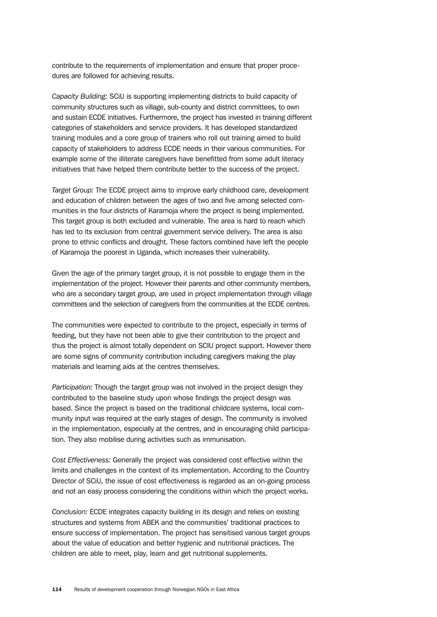contribute to the requirements of implementation and ensure that proper procedures are followed for achieving results.

*Capacity Building:* SCiU is supporting implementing districts to build capacity of community structures such as village, sub-county and district committees, to own and sustain ECDE initiatives. Furthermore, the project has invested in training different categories of stakeholders and service providers. It has developed standardized training modules and a core group of trainers who roll out training aimed to build capacity of stakeholders to address ECDE needs in their various communities. For example some of the illiterate caregivers have benefitted from some adult literacy initiatives that have helped them contribute better to the success of the project.

*Target Group:* The ECDE project aims to improve early childhood care, development and education of children between the ages of two and five among selected communities in the four districts of Karamoja where the project is being implemented. This target group is both excluded and vulnerable. The area is hard to reach which has led to its exclusion from central government service delivery. The area is also prone to ethnic conflicts and drought. These factors combined have left the people of Karamoja the poorest in Uganda, which increases their vulnerability.

Given the age of the primary target group, it is not possible to engage them in the implementation of the project. However their parents and other community members, who are a secondary target group, are used in project implementation through village committees and the selection of caregivers from the communities at the ECDE centres.

The communities were expected to contribute to the project, especially in terms of feeding, but they have not been able to give their contribution to the project and thus the project is almost totally dependent on SCIU project support. However there are some signs of community contribution including caregivers making the play materials and learning aids at the centres themselves.

*Participation:* Though the target group was not involved in the project design they contributed to the baseline study upon whose findings the project design was based. Since the project is based on the traditional childcare systems, local community input was required at the early stages of design. The community is involved in the implementation, especially at the centres, and in encouraging child participation. They also mobilise during activities such as immunisation.

*Cost Effectiveness:* Generally the project was considered cost effective within the limits and challenges in the context of its implementation. According to the Country Director of SCiU, the issue of cost effectiveness is regarded as an on-going process and not an easy process considering the conditions within which the project works.

*Conclusion:* ECDE integrates capacity building in its design and relies on existing structures and systems from ABEK and the communities' traditional practices to ensure success of implementation. The project has sensitised various target groups about the value of education and better hygienic and nutritional practices. The children are able to meet, play, learn and get nutritional supplements.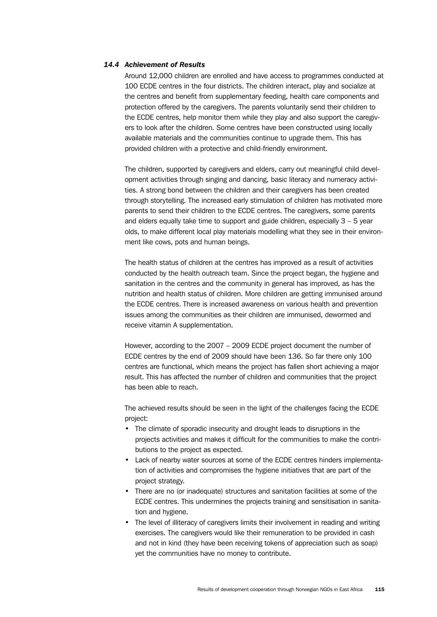## *14.4 Achievement of Results*

Around 12,000 children are enrolled and have access to programmes conducted at 100 ECDE centres in the four districts. The children interact, play and socialize at the centres and benefit from supplementary feeding, health care components and protection offered by the caregivers. The parents voluntarily send their children to the ECDE centres, help monitor them while they play and also support the caregivers to look after the children. Some centres have been constructed using locally available materials and the communities continue to upgrade them. This has provided children with a protective and child-friendly environment.

The children, supported by caregivers and elders, carry out meaningful child development activities through singing and dancing, basic literacy and numeracy activities. A strong bond between the children and their caregivers has been created through storytelling. The increased early stimulation of children has motivated more parents to send their children to the ECDE centres. The caregivers, some parents and elders equally take time to support and guide children, especially 3 – 5 year olds, to make different local play materials modelling what they see in their environment like cows, pots and human beings.

The health status of children at the centres has improved as a result of activities conducted by the health outreach team. Since the project began, the hygiene and sanitation in the centres and the community in general has improved, as has the nutrition and health status of children. More children are getting immunised around the ECDE centres. There is increased awareness on various health and prevention issues among the communities as their children are immunised, dewormed and receive vitamin A supplementation.

However, according to the 2007 – 2009 ECDE project document the number of ECDE centres by the end of 2009 should have been 136. So far there only 100 centres are functional, which means the project has fallen short achieving a major result. This has affected the number of children and communities that the project has been able to reach.

The achieved results should be seen in the light of the challenges facing the ECDE project:

- The climate of sporadic insecurity and drought leads to disruptions in the projects activities and makes it difficult for the communities to make the contributions to the project as expected.
- Lack of nearby water sources at some of the ECDE centres hinders implementation of activities and compromises the hygiene initiatives that are part of the project strategy.
- There are no (or inadequate) structures and sanitation facilities at some of the ECDE centres. This undermines the projects training and sensitisation in sanitation and hygiene.
- The level of illiteracy of caregivers limits their involvement in reading and writing exercises. The caregivers would like their remuneration to be provided in cash and not in kind (they have been receiving tokens of appreciation such as soap) yet the communities have no money to contribute.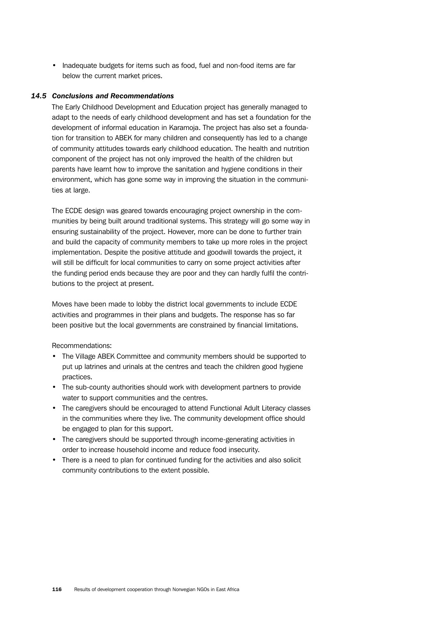• Inadequate budgets for items such as food, fuel and non-food items are far below the current market prices.

## *14.5 Conclusions and Recommendations*

The Early Childhood Development and Education project has generally managed to adapt to the needs of early childhood development and has set a foundation for the development of informal education in Karamoja. The project has also set a foundation for transition to ABEK for many children and consequently has led to a change of community attitudes towards early childhood education. The health and nutrition component of the project has not only improved the health of the children but parents have learnt how to improve the sanitation and hygiene conditions in their environment, which has gone some way in improving the situation in the communities at large.

The ECDE design was geared towards encouraging project ownership in the communities by being built around traditional systems. This strategy will go some way in ensuring sustainability of the project. However, more can be done to further train and build the capacity of community members to take up more roles in the project implementation. Despite the positive attitude and goodwill towards the project, it will still be difficult for local communities to carry on some project activities after the funding period ends because they are poor and they can hardly fulfil the contributions to the project at present.

Moves have been made to lobby the district local governments to include ECDE activities and programmes in their plans and budgets. The response has so far been positive but the local governments are constrained by financial limitations.

Recommendations:

- The Village ABEK Committee and community members should be supported to put up latrines and urinals at the centres and teach the children good hygiene practices.
- The sub-county authorities should work with development partners to provide water to support communities and the centres.
- The caregivers should be encouraged to attend Functional Adult Literacy classes in the communities where they live. The community development office should be engaged to plan for this support.
- The caregivers should be supported through income-generating activities in order to increase household income and reduce food insecurity.
- There is a need to plan for continued funding for the activities and also solicit community contributions to the extent possible.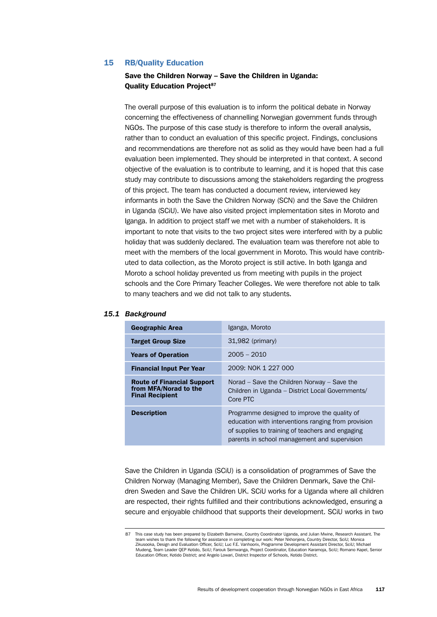## 15 RB/Quality Education

## Save the Children Norway – Save the Children in Uganda: **Ouality Education Project<sup>87</sup>**

The overall purpose of this evaluation is to inform the political debate in Norway concerning the effectiveness of channelling Norwegian government funds through NGOs. The purpose of this case study is therefore to inform the overall analysis, rather than to conduct an evaluation of this specific project. Findings, conclusions and recommendations are therefore not as solid as they would have been had a full evaluation been implemented. They should be interpreted in that context. A second objective of the evaluation is to contribute to learning, and it is hoped that this case study may contribute to discussions among the stakeholders regarding the progress of this project. The team has conducted a document review, interviewed key informants in both the Save the Children Norway (SCN) and the Save the Children in Uganda (SCiU). We have also visited project implementation sites in Moroto and Iganga. In addition to project staff we met with a number of stakeholders. It is important to note that visits to the two project sites were interfered with by a public holiday that was suddenly declared. The evaluation team was therefore not able to meet with the members of the local government in Moroto. This would have contributed to data collection, as the Moroto project is still active. In both Iganga and Moroto a school holiday prevented us from meeting with pupils in the project schools and the Core Primary Teacher Colleges. We were therefore not able to talk to many teachers and we did not talk to any students.

| <b>Geographic Area</b>                                                               | Iganga, Moroto                                                                                                                                                                                          |
|--------------------------------------------------------------------------------------|---------------------------------------------------------------------------------------------------------------------------------------------------------------------------------------------------------|
| <b>Target Group Size</b>                                                             | $31,982$ (primary)                                                                                                                                                                                      |
| <b>Years of Operation</b>                                                            | $2005 - 2010$                                                                                                                                                                                           |
| <b>Financial Input Per Year</b>                                                      | 2009: NOK 1 227 000                                                                                                                                                                                     |
| <b>Route of Financial Support</b><br>from MFA/Norad to the<br><b>Final Recipient</b> | Norad $-$ Save the Children Norway $-$ Save the<br>Children in Uganda - District Local Governments/<br>Core PTC                                                                                         |
| <b>Description</b>                                                                   | Programme designed to improve the quality of<br>education with interventions ranging from provision<br>of supplies to training of teachers and engaging<br>parents in school management and supervision |

#### *15.1 Background*

Save the Children in Uganda (SCiU) is a consolidation of programmes of Save the Children Norway (Managing Member), Save the Children Denmark, Save the Children Sweden and Save the Children UK. SCiU works for a Uganda where all children are respected, their rights fulfilled and their contributions acknowledged, ensuring a secure and enjoyable childhood that supports their development. SCiU works in two

<sup>87</sup> This case study has been prepared by Elizabeth Bamwine, Country Coordinator Uganda, and Julian Mwine, Research Assistant. The team wishes to thank the following for assistance in completing our work: Peter Nkhonjera, Country Director, SciU; Monica Zikusooka, Design and Evaluation Officer, SciU; Luc F.E. Vanhoorix, Programme Development Assistant Director, SciU; Michael Mudeng, Team Leader QEP Kotido, SciU; Farouk Semwanga, Project Coordinator, Education Karamoja, SciU; Romano Kapel, Senior<br>Education Officer, Kotido District; and Angelo Lowari, District Inspector of Schools, Kotido Distri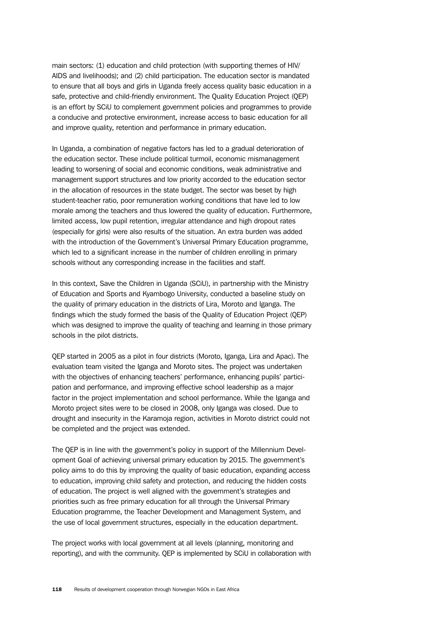main sectors: (1) education and child protection (with supporting themes of HIV/ AIDS and livelihoods); and (2) child participation. The education sector is mandated to ensure that all boys and girls in Uganda freely access quality basic education in a safe, protective and child-friendly environment. The Quality Education Project (QEP) is an effort by SCiU to complement government policies and programmes to provide a conducive and protective environment, increase access to basic education for all and improve quality, retention and performance in primary education.

In Uganda, a combination of negative factors has led to a gradual deterioration of the education sector. These include political turmoil, economic mismanagement leading to worsening of social and economic conditions, weak administrative and management support structures and low priority accorded to the education sector in the allocation of resources in the state budget. The sector was beset by high student-teacher ratio, poor remuneration working conditions that have led to low morale among the teachers and thus lowered the quality of education. Furthermore, limited access, low pupil retention, irregular attendance and high dropout rates (especially for girls) were also results of the situation. An extra burden was added with the introduction of the Government's Universal Primary Education programme, which led to a significant increase in the number of children enrolling in primary schools without any corresponding increase in the facilities and staff.

In this context, Save the Children in Uganda (SCiU), in partnership with the Ministry of Education and Sports and Kyambogo University, conducted a baseline study on the quality of primary education in the districts of Lira, Moroto and Iganga. The findings which the study formed the basis of the Quality of Education Project (QEP) which was designed to improve the quality of teaching and learning in those primary schools in the pilot districts.

QEP started in 2005 as a pilot in four districts (Moroto, Iganga, Lira and Apac). The evaluation team visited the Iganga and Moroto sites. The project was undertaken with the objectives of enhancing teachers' performance, enhancing pupils' participation and performance, and improving effective school leadership as a major factor in the project implementation and school performance. While the Iganga and Moroto project sites were to be closed in 2008, only Iganga was closed. Due to drought and insecurity in the Karamoja region, activities in Moroto district could not be completed and the project was extended.

The QEP is in line with the government's policy in support of the Millennium Development Goal of achieving universal primary education by 2015. The government's policy aims to do this by improving the quality of basic education, expanding access to education, improving child safety and protection, and reducing the hidden costs of education. The project is well aligned with the government's strategies and priorities such as free primary education for all through the Universal Primary Education programme, the Teacher Development and Management System, and the use of local government structures, especially in the education department.

The project works with local government at all levels (planning, monitoring and reporting), and with the community. QEP is implemented by SCiU in collaboration with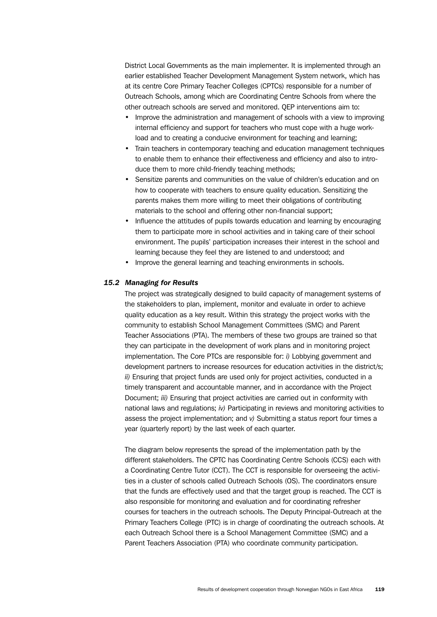District Local Governments as the main implementer. It is implemented through an earlier established Teacher Development Management System network, which has at its centre Core Primary Teacher Colleges (CPTCs) responsible for a number of Outreach Schools, among which are Coordinating Centre Schools from where the other outreach schools are served and monitored. QEP interventions aim to:

- Improve the administration and management of schools with a view to improving internal efficiency and support for teachers who must cope with a huge workload and to creating a conducive environment for teaching and learning;
- Train teachers in contemporary teaching and education management techniques to enable them to enhance their effectiveness and efficiency and also to introduce them to more child-friendly teaching methods;
- Sensitize parents and communities on the value of children's education and on how to cooperate with teachers to ensure quality education. Sensitizing the parents makes them more willing to meet their obligations of contributing materials to the school and offering other non-financial support;
- Influence the attitudes of pupils towards education and learning by encouraging them to participate more in school activities and in taking care of their school environment. The pupils' participation increases their interest in the school and learning because they feel they are listened to and understood; and
- Improve the general learning and teaching environments in schools.

## *15.2 Managing for Results*

The project was strategically designed to build capacity of management systems of the stakeholders to plan, implement, monitor and evaluate in order to achieve quality education as a key result. Within this strategy the project works with the community to establish School Management Committees (SMC) and Parent Teacher Associations (PTA). The members of these two groups are trained so that they can participate in the development of work plans and in monitoring project implementation. The Core PTCs are responsible for: *i)* Lobbying government and development partners to increase resources for education activities in the district/s; *ii)* Ensuring that project funds are used only for project activities, conducted in a timely transparent and accountable manner, and in accordance with the Project Document; *iii)* Ensuring that project activities are carried out in conformity with national laws and regulations; *iv)* Participating in reviews and monitoring activities to assess the project implementation; and *v)* Submitting a status report four times a year (quarterly report) by the last week of each quarter.

The diagram below represents the spread of the implementation path by the different stakeholders. The CPTC has Coordinating Centre Schools (CCS) each with a Coordinating Centre Tutor (CCT). The CCT is responsible for overseeing the activities in a cluster of schools called Outreach Schools (OS). The coordinators ensure that the funds are effectively used and that the target group is reached. The CCT is also responsible for monitoring and evaluation and for coordinating refresher courses for teachers in the outreach schools. The Deputy Principal-Outreach at the Primary Teachers College (PTC) is in charge of coordinating the outreach schools. At each Outreach School there is a School Management Committee (SMC) and a Parent Teachers Association (PTA) who coordinate community participation.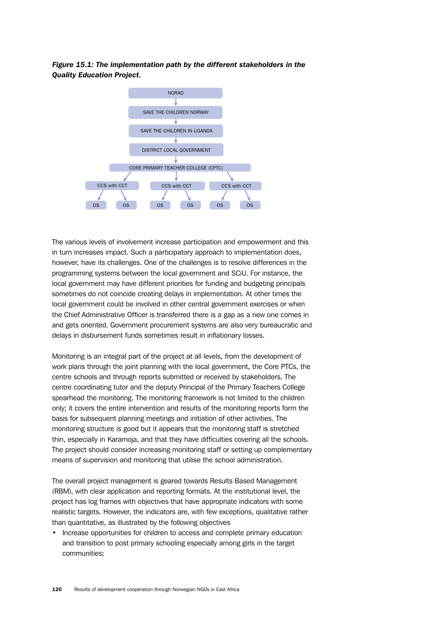*Figure 15.1: The implementation path by the different stakeholders in the Quality Education Project.*



The various levels of involvement increase participation and empowerment and this in turn increases impact. Such a participatory approach to implementation does, however, have its challenges. One of the challenges is to resolve differences in the programming systems between the local government and SCiU. For instance, the local government may have different priorities for funding and budgeting principals sometimes do not coincide creating delays in implementation. At other times the local government could be involved in other central government exercises or when the Chief Administrative Officer is transferred there is a gap as a new one comes in and gets oriented. Government procurement systems are also very bureaucratic and delays in disbursement funds sometimes result in inflationary losses.

Monitoring is an integral part of the project at all levels, from the development of work plans through the joint planning with the local government, the Core PTCs, the centre schools and through reports submitted or received by stakeholders. The centre coordinating tutor and the deputy Principal of the Primary Teachers College spearhead the monitoring. The monitoring framework is not limited to the children only; it covers the entire intervention and results of the monitoring reports form the basis for subsequent planning meetings and initiation of other activities. The monitoring structure is good but it appears that the monitoring staff is stretched thin, especially in Karamoja, and that they have difficulties covering all the schools. The project should consider increasing monitoring staff or setting up complementary means of supervision and monitoring that utilise the school administration.

The overall project management is geared towards Results Based Management (RBM), with clear application and reporting formats. At the institutional level, the project has log frames with objectives that have appropriate indicators with some realistic targets. However, the indicators are, with few exceptions, qualitative rather than quantitative, as illustrated by the following objectives

• Increase opportunities for children to access and complete primary education and transition to post primary schooling especially among girls in the target communities;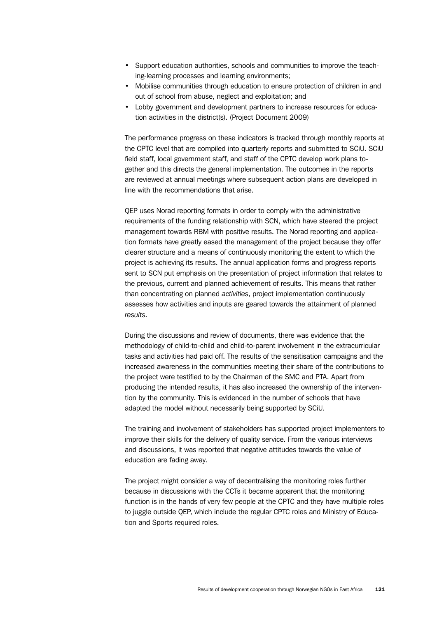- Support education authorities, schools and communities to improve the teaching-learning processes and learning environments;
- Mobilise communities through education to ensure protection of children in and out of school from abuse, neglect and exploitation; and
- Lobby government and development partners to increase resources for education activities in the district(s). (Project Document 2009)

The performance progress on these indicators is tracked through monthly reports at the CPTC level that are compiled into quarterly reports and submitted to SCiU. SCiU field staff, local government staff, and staff of the CPTC develop work plans together and this directs the general implementation. The outcomes in the reports are reviewed at annual meetings where subsequent action plans are developed in line with the recommendations that arise.

QEP uses Norad reporting formats in order to comply with the administrative requirements of the funding relationship with SCN, which have steered the project management towards RBM with positive results. The Norad reporting and application formats have greatly eased the management of the project because they offer clearer structure and a means of continuously monitoring the extent to which the project is achieving its results. The annual application forms and progress reports sent to SCN put emphasis on the presentation of project information that relates to the previous, current and planned achievement of results. This means that rather than concentrating on planned *activities*, project implementation continuously assesses how activities and inputs are geared towards the attainment of planned *results*.

During the discussions and review of documents, there was evidence that the methodology of child-to-child and child-to-parent involvement in the extracurricular tasks and activities had paid off. The results of the sensitisation campaigns and the increased awareness in the communities meeting their share of the contributions to the project were testified to by the Chairman of the SMC and PTA. Apart from producing the intended results, it has also increased the ownership of the intervention by the community. This is evidenced in the number of schools that have adapted the model without necessarily being supported by SCiU.

The training and involvement of stakeholders has supported project implementers to improve their skills for the delivery of quality service. From the various interviews and discussions, it was reported that negative attitudes towards the value of education are fading away.

The project might consider a way of decentralising the monitoring roles further because in discussions with the CCTs it became apparent that the monitoring function is in the hands of very few people at the CPTC and they have multiple roles to juggle outside QEP, which include the regular CPTC roles and Ministry of Education and Sports required roles.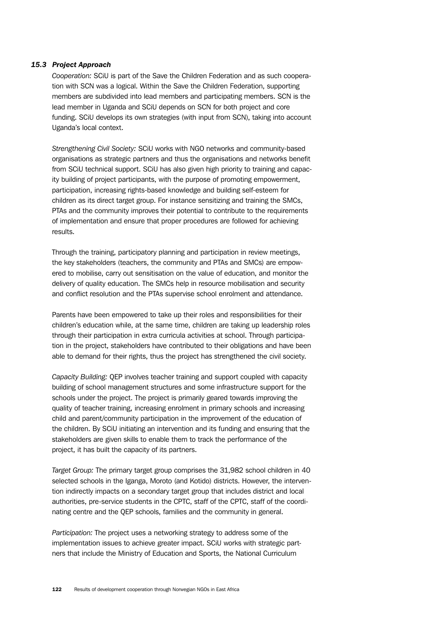## *15.3 Project Approach*

*Cooperation:* SCiU is part of the Save the Children Federation and as such cooperation with SCN was a logical. Within the Save the Children Federation, supporting members are subdivided into lead members and participating members. SCN is the lead member in Uganda and SCiU depends on SCN for both project and core funding. SCiU develops its own strategies (with input from SCN), taking into account Uganda's local context.

*Strengthening Civil Society:* SCiU works with NGO networks and community-based organisations as strategic partners and thus the organisations and networks benefit from SCiU technical support. SCiU has also given high priority to training and capacity building of project participants, with the purpose of promoting empowerment, participation, increasing rights-based knowledge and building self-esteem for children as its direct target group. For instance sensitizing and training the SMCs, PTAs and the community improves their potential to contribute to the requirements of implementation and ensure that proper procedures are followed for achieving results.

Through the training, participatory planning and participation in review meetings, the key stakeholders (teachers, the community and PTAs and SMCs) are empowered to mobilise, carry out sensitisation on the value of education, and monitor the delivery of quality education. The SMCs help in resource mobilisation and security and conflict resolution and the PTAs supervise school enrolment and attendance.

Parents have been empowered to take up their roles and responsibilities for their children's education while, at the same time, children are taking up leadership roles through their participation in extra curricula activities at school. Through participation in the project, stakeholders have contributed to their obligations and have been able to demand for their rights, thus the project has strengthened the civil society.

*Capacity Building:* QEP involves teacher training and support coupled with capacity building of school management structures and some infrastructure support for the schools under the project. The project is primarily geared towards improving the quality of teacher training, increasing enrolment in primary schools and increasing child and parent/community participation in the improvement of the education of the children. By SCiU initiating an intervention and its funding and ensuring that the stakeholders are given skills to enable them to track the performance of the project, it has built the capacity of its partners.

*Target Group:* The primary target group comprises the 31,982 school children in 40 selected schools in the Iganga, Moroto (and Kotido) districts. However, the intervention indirectly impacts on a secondary target group that includes district and local authorities, pre-service students in the CPTC, staff of the CPTC, staff of the coordinating centre and the QEP schools, families and the community in general.

*Participation:* The project uses a networking strategy to address some of the implementation issues to achieve greater impact. SCiU works with strategic partners that include the Ministry of Education and Sports, the National Curriculum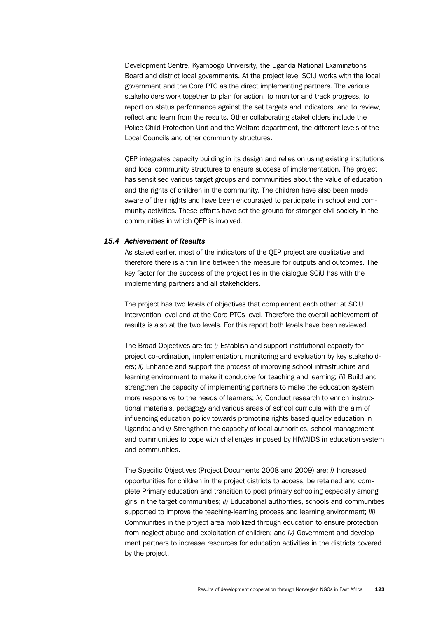Development Centre, Kyambogo University, the Uganda National Examinations Board and district local governments. At the project level SCiU works with the local government and the Core PTC as the direct implementing partners. The various stakeholders work together to plan for action, to monitor and track progress, to report on status performance against the set targets and indicators, and to review, reflect and learn from the results. Other collaborating stakeholders include the Police Child Protection Unit and the Welfare department, the different levels of the Local Councils and other community structures.

QEP integrates capacity building in its design and relies on using existing institutions and local community structures to ensure success of implementation. The project has sensitised various target groups and communities about the value of education and the rights of children in the community. The children have also been made aware of their rights and have been encouraged to participate in school and community activities. These efforts have set the ground for stronger civil society in the communities in which QEP is involved.

# *15.4 Achievement of Results*

As stated earlier, most of the indicators of the QEP project are qualitative and therefore there is a thin line between the measure for outputs and outcomes. The key factor for the success of the project lies in the dialogue SCiU has with the implementing partners and all stakeholders.

The project has two levels of objectives that complement each other: at SCiU intervention level and at the Core PTCs level. Therefore the overall achievement of results is also at the two levels. For this report both levels have been reviewed.

The Broad Objectives are to: *i)* Establish and support institutional capacity for project co-ordination, implementation, monitoring and evaluation by key stakeholders; *ii)* Enhance and support the process of improving school infrastructure and learning environment to make it conducive for teaching and learning; *iii)* Build and strengthen the capacity of implementing partners to make the education system more responsive to the needs of learners; *iv)* Conduct research to enrich instructional materials, pedagogy and various areas of school curricula with the aim of influencing education policy towards promoting rights based quality education in Uganda; and *v)* Strengthen the capacity of local authorities, school management and communities to cope with challenges imposed by HIV/AIDS in education system and communities.

The Specific Objectives (Project Documents 2008 and 2009) are: *i)* Increased opportunities for children in the project districts to access, be retained and complete Primary education and transition to post primary schooling especially among girls in the target communities; *ii)* Educational authorities, schools and communities supported to improve the teaching-learning process and learning environment; *iii)*  Communities in the project area mobilized through education to ensure protection from neglect abuse and exploitation of children; and *iv)* Government and development partners to increase resources for education activities in the districts covered by the project.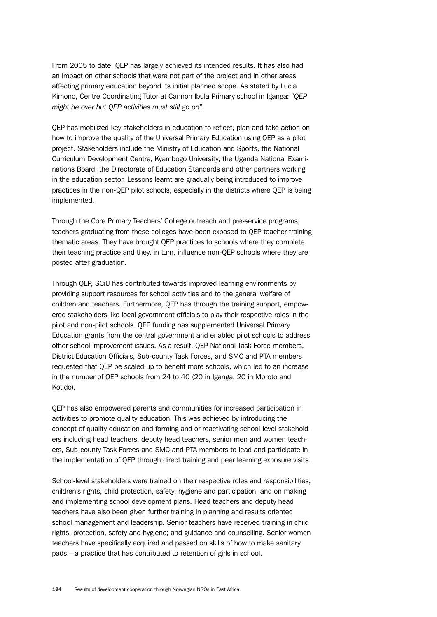From 2005 to date, QEP has largely achieved its intended results. It has also had an impact on other schools that were not part of the project and in other areas affecting primary education beyond its initial planned scope. As stated by Lucia Kimono, Centre Coordinating Tutor at Cannon Ibula Primary school in Iganga: "*QEP might be over but QEP activities must still go on*".

QEP has mobilized key stakeholders in education to reflect, plan and take action on how to improve the quality of the Universal Primary Education using QEP as a pilot project. Stakeholders include the Ministry of Education and Sports, the National Curriculum Development Centre, Kyambogo University, the Uganda National Examinations Board, the Directorate of Education Standards and other partners working in the education sector. Lessons learnt are gradually being introduced to improve practices in the non-QEP pilot schools, especially in the districts where QEP is being implemented.

Through the Core Primary Teachers' College outreach and pre-service programs, teachers graduating from these colleges have been exposed to QEP teacher training thematic areas. They have brought QEP practices to schools where they complete their teaching practice and they, in turn, influence non-QEP schools where they are posted after graduation.

Through QEP, SCiU has contributed towards improved learning environments by providing support resources for school activities and to the general welfare of children and teachers. Furthermore, QEP has through the training support, empowered stakeholders like local government officials to play their respective roles in the pilot and non-pilot schools. QEP funding has supplemented Universal Primary Education grants from the central government and enabled pilot schools to address other school improvement issues. As a result, QEP National Task Force members, District Education Officials, Sub-county Task Forces, and SMC and PTA members requested that QEP be scaled up to benefit more schools, which led to an increase in the number of QEP schools from 24 to 40 (20 in Iganga, 20 in Moroto and Kotido).

QEP has also empowered parents and communities for increased participation in activities to promote quality education. This was achieved by introducing the concept of quality education and forming and or reactivating school-level stakeholders including head teachers, deputy head teachers, senior men and women teachers, Sub-county Task Forces and SMC and PTA members to lead and participate in the implementation of QEP through direct training and peer learning exposure visits.

School-level stakeholders were trained on their respective roles and responsibilities, children's rights, child protection, safety, hygiene and participation, and on making and implementing school development plans. Head teachers and deputy head teachers have also been given further training in planning and results oriented school management and leadership. Senior teachers have received training in child rights, protection, safety and hygiene; and guidance and counselling. Senior women teachers have specifically acquired and passed on skills of how to make sanitary pads – a practice that has contributed to retention of girls in school.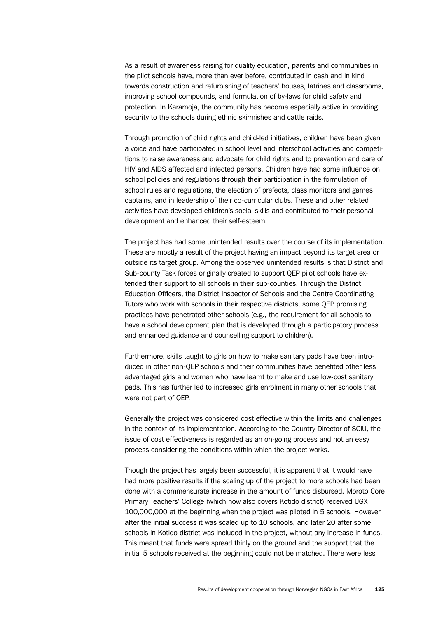As a result of awareness raising for quality education, parents and communities in the pilot schools have, more than ever before, contributed in cash and in kind towards construction and refurbishing of teachers' houses, latrines and classrooms, improving school compounds, and formulation of by-laws for child safety and protection. In Karamoja, the community has become especially active in providing security to the schools during ethnic skirmishes and cattle raids.

Through promotion of child rights and child-led initiatives, children have been given a voice and have participated in school level and interschool activities and competitions to raise awareness and advocate for child rights and to prevention and care of HIV and AIDS affected and infected persons. Children have had some influence on school policies and regulations through their participation in the formulation of school rules and regulations, the election of prefects, class monitors and games captains, and in leadership of their co-curricular clubs. These and other related activities have developed children's social skills and contributed to their personal development and enhanced their self-esteem.

The project has had some unintended results over the course of its implementation. These are mostly a result of the project having an impact beyond its target area or outside its target group. Among the observed unintended results is that District and Sub-county Task forces originally created to support QEP pilot schools have extended their support to all schools in their sub-counties. Through the District Education Officers, the District Inspector of Schools and the Centre Coordinating Tutors who work with schools in their respective districts, some QEP promising practices have penetrated other schools (e.g., the requirement for all schools to have a school development plan that is developed through a participatory process and enhanced guidance and counselling support to children).

Furthermore, skills taught to girls on how to make sanitary pads have been introduced in other non-QEP schools and their communities have benefited other less advantaged girls and women who have learnt to make and use low-cost sanitary pads. This has further led to increased girls enrolment in many other schools that were not part of QEP.

Generally the project was considered cost effective within the limits and challenges in the context of its implementation. According to the Country Director of SCiU, the issue of cost effectiveness is regarded as an on-going process and not an easy process considering the conditions within which the project works.

Though the project has largely been successful, it is apparent that it would have had more positive results if the scaling up of the project to more schools had been done with a commensurate increase in the amount of funds disbursed. Moroto Core Primary Teachers' College (which now also covers Kotido district) received UGX 100,000,000 at the beginning when the project was piloted in 5 schools. However after the initial success it was scaled up to 10 schools, and later 20 after some schools in Kotido district was included in the project, without any increase in funds. This meant that funds were spread thinly on the ground and the support that the initial 5 schools received at the beginning could not be matched. There were less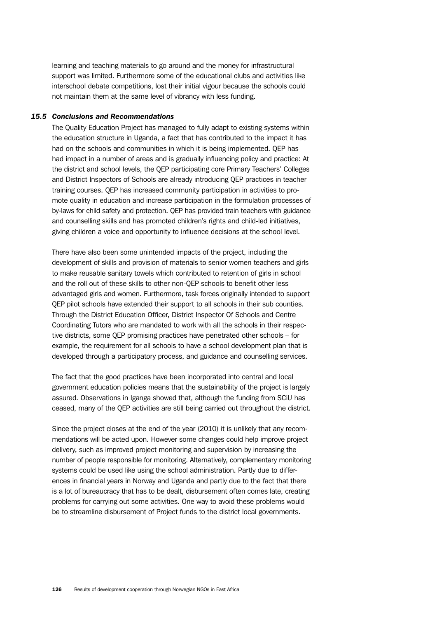learning and teaching materials to go around and the money for infrastructural support was limited. Furthermore some of the educational clubs and activities like interschool debate competitions, lost their initial vigour because the schools could not maintain them at the same level of vibrancy with less funding.

#### *15.5 Conclusions and Recommendations*

The Quality Education Project has managed to fully adapt to existing systems within the education structure in Uganda, a fact that has contributed to the impact it has had on the schools and communities in which it is being implemented. QEP has had impact in a number of areas and is gradually influencing policy and practice: At the district and school levels, the QEP participating core Primary Teachers' Colleges and District Inspectors of Schools are already introducing QEP practices in teacher training courses. QEP has increased community participation in activities to promote quality in education and increase participation in the formulation processes of by-laws for child safety and protection. QEP has provided train teachers with guidance and counselling skills and has promoted children's rights and child-led initiatives, giving children a voice and opportunity to influence decisions at the school level.

There have also been some unintended impacts of the project, including the development of skills and provision of materials to senior women teachers and girls to make reusable sanitary towels which contributed to retention of girls in school and the roll out of these skills to other non-QEP schools to benefit other less advantaged girls and women. Furthermore, task forces originally intended to support QEP pilot schools have extended their support to all schools in their sub counties. Through the District Education Officer, District Inspector Of Schools and Centre Coordinating Tutors who are mandated to work with all the schools in their respective districts, some QEP promising practices have penetrated other schools – for example, the requirement for all schools to have a school development plan that is developed through a participatory process, and guidance and counselling services.

The fact that the good practices have been incorporated into central and local government education policies means that the sustainability of the project is largely assured. Observations in Iganga showed that, although the funding from SCiU has ceased, many of the QEP activities are still being carried out throughout the district.

Since the project closes at the end of the year (2010) it is unlikely that any recommendations will be acted upon. However some changes could help improve project delivery, such as improved project monitoring and supervision by increasing the number of people responsible for monitoring. Alternatively, complementary monitoring systems could be used like using the school administration. Partly due to differences in financial years in Norway and Uganda and partly due to the fact that there is a lot of bureaucracy that has to be dealt, disbursement often comes late, creating problems for carrying out some activities. One way to avoid these problems would be to streamline disbursement of Project funds to the district local governments.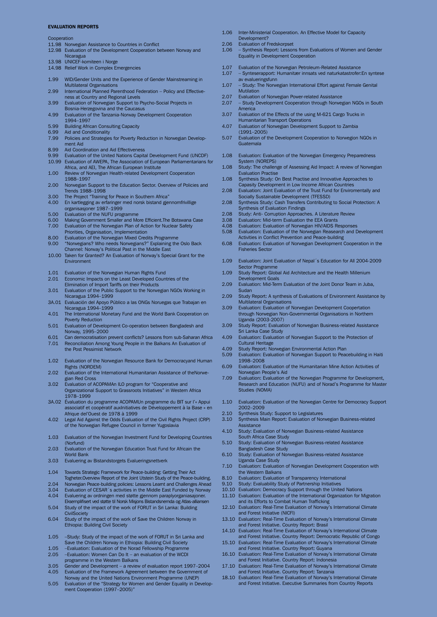#### EVALUATION REPORTS

#### **Cooperation**

- 11.98 Norwegian Assistance to Countries in Conflict
- 12.98 Evaluation of the Development Cooperation between Norway and **Nicaragua** 13.98 UNICEF-komiteen i Norge
- 14.98 Relief Work in Complex Emergencies
- 
- 1.99 WlD/Gender Units and the Experience of Gender Mainstreaming in Multilateral Organisations
- 2.99 International Planned Parenthood Federation Policy and Effectiveness at Country and Regional Levels 3.99 Evaluation of Norwegian Support to Psycho-Social Projects in
- Bosnia-Herzegovina and the Caucasus
- 4.99 Evaluation of the Tanzania-Norway Development Cooperation 1994–1997
- 5.99 Building African Consulting Capacity
- 6.99 Aid and Conditionality
- 7.99 Policies and Strategies for Poverty Reduction in Norwegian Development Aid
- 8.99 Aid Coordination and Aid Effectiveness
- 9.99 Evaluation of the United Nations Capital Development Fund (UNCDF) 10.99 Evaluation of AWEPA, The Association of European Parliamentarians for
- Africa, and AEI, The African European Institute
- 1.00 Review of Norwegian Health-related Development Cooperation 1988–1997
- 2.00 Norwegian Support to the Education Sector. Overview of Policies and Trends 1988–1998
- 3.00 The Project "Training for Peace in Southern Africa"<br>4.00 En kartlegging av erfaringer med norsk bistand gjer
- 4.00 En kartlegging av erfaringer med norsk bistand gjennomfrivillige organisasjoner 1987–1999
- 
- 5.00 Evaluation of the NUFU programme<br>6.00 Making Government Smaller and Mo 6.00 Making Government Smaller and More Efficient.The Botswana Case
- 7.00 Evaluation of the Norwegian Plan of Action for Nuclear Safety Priorities, Organisation, Implementation
- 8.00 Evaluation of the Norwegian Mixed Credits Programme
- 9.00 "Norwegians? Who needs Norwegians?" Explaining the Oslo Back Channel: Norway's Political Past in the Middle East
- 10.00 Taken for Granted? An Evaluation of Norway's Special Grant for the Environment
- 1.01 Evaluation of the Norwegian Human Rights Fund
- 2.01 Economic Impacts on the Least Developed Countries of the Elimination of Import Tariffs on their Products
- 3.01 Evaluation of the Public Support to the Norwegian NGOs Working in Nicaragua 1994–1999
- 3A.01 Evaluación del Apoyo Público a las ONGs Noruegas que Trabajan en Nicaragua 1994–1999
- 4.01 The International Monetary Fund and the World Bank Cooperation on Poverty Reduction
- 5.01 Evaluation of Development Co-operation between Bangladesh and Norway, 1995–2000
- 6.01 Can democratisation prevent conflicts? Lessons from sub-Saharan Africa Reconciliation Among Young People in the Balkans An Evaluation of the Post Pessimist Network
- 1.02 Evaluation of the Norwegian Resource Bank for Democracyand Human Rights (NORDEM)
- 2.02 Evaluation of the International Humanitarian Assistance of theNorwegian Red Cross
- 3.02 Evaluation of ACOPAMAn ILO program for "Cooperative and Organizational Support to Grassroots Initiatives" in Western Africa 1978–1999
- 3A.02 Évaluation du programme ACOPAMUn programme du BIT sur l'« Appui associatif et coopératif auxInitiatives de Développement à la Base » en Afrique del'Ouest de 1978 à 1999
- 4.02 Legal Aid Against the Odds Evaluation of the Civil Rights Project (CRP) of the Norwegian Refugee Council in former Yugoslavia
- 1.03 Evaluation of the Norwegian Investment Fund for Developing Countries (Norfund)
- 2.03 Evaluation of the Norwegian Education Trust Fund for Africain the World Bank
- 3.03 Evaluering av Bistandstorgets Evalueringsnettverk
- 1.04 Towards Strategic Framework for Peace-building: Getting Their Act
- Togheter.Overview Report of the Joint Utstein Study of the Peace-building.
- 2.04 Norwegian Peace-building policies: Lessons Learnt and Challenges Ahead<br>3.04 Evaluation of CESAR's activities in the Middle Fast Funded by Norway
- 3.04 Evaluation of CESAR´s activities in the Middle East Funded by Norway<br>4.04 Evaluering av ordningen med støtte gjennom paraplyorganiasajoner.
- 4.04 Evaluering av ordningen med støtte gjennom paraplyorganiasajoner. Eksemplifisert ved støtte til Norsk Misjons Bistandsnemda og Atlas-alliansen 5.04 Study of the impact of the work of FORUT in Sri Lanka: Building
- **CivilSociety** 6.04 Study of the impact of the work of Save the Children Norway in
- Ethiopia: Building Civil Society
- 1.05 –Study: Study of the impact of the work of FORUT in Sri Lanka and Save the Children Norway in Ethiopia: Building Civil Society
- 1.05 Evaluation: Evaluation of the Norad Fellowship Programm<br>2.05 Evaluation: Women Can Do It an evaluation of the WCD -Evaluation: Women Can Do It – an evaluation of the WCDI
- programme in the Western Balkans 3.05 Gender and Development – a review of evaluation report 1997–2004 4.05 Evaluation of the Framework Agreement between the Government of
- Norway and the United Nations Environment Programme (UNEP)
- 5.05 Evaluation of the "Strategy for Women and Gender Equality in Develop-ment Cooperation (1997–2005)"
- 1.06 Inter-Ministerial Cooperation. An Effective Model for Capacity Development?
- 
- 2.06 Evaluation of Fredskorpset 1.06 Synthesis Report: Lessons from Evaluations of Women and Gender Equality in Development Cooperation
- 1.07 Evaluation of the Norwegian Petroleum-Related Assistance
- 1.07 Synteserapport: Humanitær innsats ved naturkatastrofer:En syntese av evalueringsfunn
- 1.07 Study: The Norwegian International Effort against Female Genital Mutilation
- 
- 2.07 Evaluation of Norwegian Power-related Assistance 2.07 Study Development Cooperation through Norwegian NGOs in South America
- 3.07 Evaluation of the Effects of the using M-621 Cargo Trucks in Humanitarian Transport Operations
- 4.07 Evaluation of Norwegian Development Support to Zambia (1991–2005)
- 5.07 Evaluation of the Development Cooperation to Norwegion NGOs in Guatemala
- 1.08 Evaluation: Evaluation of the Norwegian Emergency Preparedness System (NOREPS)
- 1.08 Study: The challenge of Assessing Aid Impact: A review of Norwegian Evaluation Practise
- 1.08 Synthesis Study: On Best Practise and Innovative Approaches to Capasity Development in Low Income African Countries
- 2.08 Evaluation: Joint Evaluation of the Trust Fund for Enviromentally and Socially Sustainable Development (TFESSD)
- 2.08 Synthesis Study: Cash Transfers Contributing to Social Protection: A Synthesis of Evaluation Findings
- 2.08 Study: Anti- Corruption Approaches. A Literature Review
- 3.08 Evaluation: Mid-term Evaluation the EEA Grants<br>4.08 Evaluation: Evaluation of Norwegian HIV/AIDS R
- 4.08 Evaluation: Evaluation of Norwegian HIV/AIDS Responses
- 5.08 Evaluation: Evaluation of the Norwegian Reasearch and Development Activities in Conflict Prevention and Peace-building
- 6.08 Evaluation: Evaluation of Norwegian Development Cooperation in the Fisheries Sector
- 1.09 Evaluation: Joint Evaluation of Nepal´s Education for All 2004-2009 Sector Programme
- 1.09 Study Report: Global Aid Architecture and the Health Millenium Development Goals
- 2.09 Evaluation: Mid-Term Evaluation of the Joint Donor Team in Juba, Sudan
- 2.09 Study Report: A synthesis of Evaluations of Environment Assistance by Multilateral Organisations
- 3.09 Evaluation: Evaluation of Norwegian Development Coopertation through Norwegian Non-Governmental Organisations in Northern Uganda (2003-2007)
- 3.09 Study Report: Evaluation of Norwegian Business-related Assistance Sri Lanka Case Study
- 4.09 Evaluation: Evaluation of Norwegian Support to the Protection of Cultural Heritage
- 4.09 Study Report: Norwegian Environmental Action Plan
- Evaluation: Evaluation of Norwegian Support to Peacebuilding in Haiti 1998–2008
- 6.09 Evaluation: Evaluation of the Humanitarian Mine Action Activities of Norwegian People's Aid
- 7.09 Evaluation: Evaluation of the Norwegian Programme for Development, Research and Education (NUFU) and of Norad's Programme for Master Studies (NOMA)
- 1.10 Evaluation: Evaluation of the Norwegian Centre for Democracy Support 2002–2009
- 
- 2.10 Synthesis Study: Support to Legislatures 3.10 Synthesis Main Report: Evaluation of Norwegian Business-related **Assistance**
- 4.10 Study: Evaluation of Norwegian Business-related Assistance South Africa Case Study
- 5.10 Study: Evaluation of Norwegian Business-related Assistance Bangladesh Case Study
- 6.10 Study: Evaluation of Norwegian Business-related Assistance Uganda Case Study
- 7.10 Evaluation: Evaluation of Norwegian Development Cooperation with the Western Balkans
- 8.10 Evaluation: Evaluation of Transparency International
- 
- 9.10 Study: Evaluability Study of Partnership Initiatives 10.10 Evaluation: Democracy Support through the United Nations 11.10 Evaluation: Evaluation of the International Organization for Migration
- and its Efforts to Combat Human Trafficking
- 12.10 Evaluation: Real-Time Evaluation of Norway's International Climate and Forest Initiative (NICFI)
- 13.10 Evaluation: Real-Time Evaluation of Norway's International Climate and Forest Initiative. Country Report: Brasil 14.10 Evaluation: Real-Time Evaluation of Norway's International Climate
- and Forest Initiative. Country Report: Democratic Republic of Congo
- 15.10 Evaluation: Real-Time Evaluation of Norway's International Climate and Forest Initiative. Country Report: Guyana 16.10 Evaluation: Real-Time Evaluation of Norway's International Climate

and Forest Initiative. Country Report: Indonesia 17.10 Evaluation: Real-Time Evaluation of Norway's International Climate

and Forest Initiative. Country Report: Tanzania 18.10 Evaluation: Real-Time Evaluation of Norway's International Climate and Forest Initiative. Executive Summaries from Country Reports